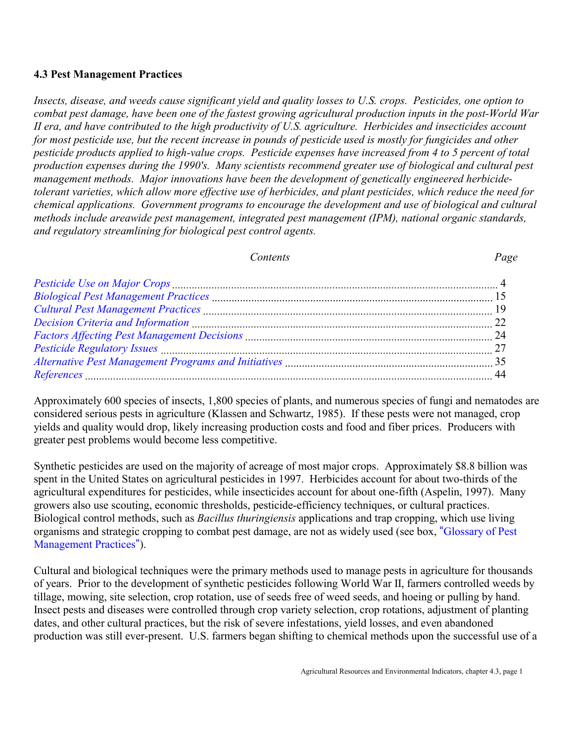#### **4.3 Pest Management Practices**

*Insects, disease, and weeds cause significant yield and quality losses to U.S. crops. Pesticides, one option to combat pest damage, have been one of the fastest growing agricultural production inputs in the post-World War II era, and have contributed to the high productivity of U.S. agriculture. Herbicides and insecticides account for most pesticide use, but the recent increase in pounds of pesticide used is mostly for fungicides and other pesticide products applied to high-value crops. Pesticide expenses have increased from 4 to 5 percent of total production expenses during the 1990's. Many scientists recommend greater use of biological and cultural pest management methods. Major innovations have been the development of genetically engineered herbicidetolerant varieties, which allow more effective use of herbicides, and plant pesticides, which reduce the need for chemical applications. Government programs to encourage the development and use of biological and cultural methods include areawide pest management, integrated pest management (IPM), national organic standards, and regulatory streamlining for biological pest control agents.*

#### *Contents Page*

Approximately 600 species of insects, 1,800 species of plants, and numerous species of fungi and nematodes are considered serious pests in agriculture (Klassen and Schwartz, 1985). If these pests were not managed, crop yields and quality would drop, likely increasing production costs and food and fiber prices. Producers with greater pest problems would become less competitive.

Synthetic pesticides are used on the majority of acreage of most major crops. Approximately \$8.8 billion was spent in the United States on agricultural pesticides in 1997. Herbicides account for about two-thirds of the agricultural expenditures for pesticides, while insecticides account for about one-fifth (Aspelin, 1997). Many growers also use scouting, economic thresholds, pesticide-efficiency techniques, or cultural practices. Biological control methods, such as *Bacillus thuringiensis* applications and trap cropping, which use living organisms and strategic cropping to combat pest damage, are not as widely used (see box, "[Glossary of Pest](#page-1-0)") [Management Practices](#page-1-1)").

Cultural and biological techniques were the primary methods used to manage pests in agriculture for thousands of years. Prior to the development of synthetic pesticides following World War II, farmers controlled weeds by tillage, mowing, site selection, crop rotation, use of seeds free of weed seeds, and hoeing or pulling by hand. Insect pests and diseases were controlled through crop variety selection, crop rotations, adjustment of planting dates, and other cultural practices, but the risk of severe infestations, yield losses, and even abandoned production was still ever-present. U.S. farmers began shifting to chemical methods upon the successful use of a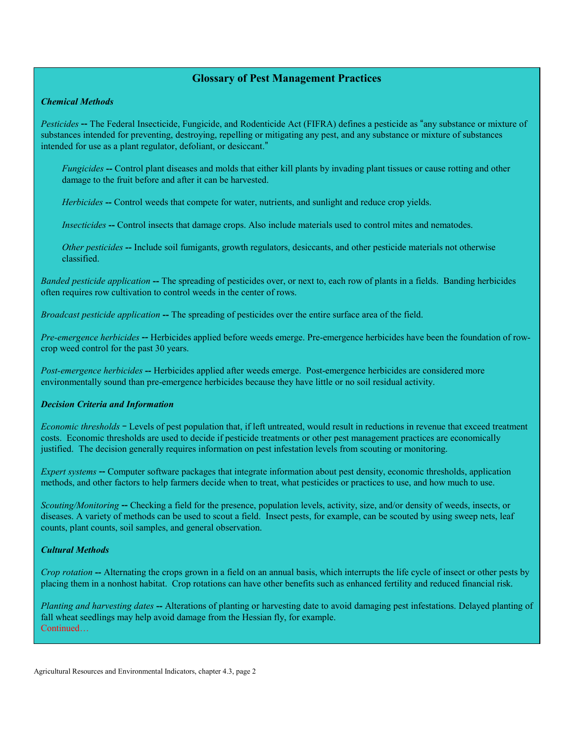#### **Glossary of Pest Management Practices**

#### <span id="page-1-1"></span><span id="page-1-0"></span>*Chemical Methods*

*Pesticides* -- The Federal Insecticide, Fungicide, and Rodenticide Act (FIFRA) defines a pesticide as "any substance or mixture of substances intended for preventing, destroying, repelling or mitigating any pest, and any substance or mixture of substances intended for use as a plant regulator, defoliant, or desiccant."

*Fungicides* -- Control plant diseases and molds that either kill plants by invading plant tissues or cause rotting and other damage to the fruit before and after it can be harvested.

*Herbicides* -- Control weeds that compete for water, nutrients, and sunlight and reduce crop yields.

*Insecticides* **--** Control insects that damage crops. Also include materials used to control mites and nematodes.

*Other pesticides* **--** Include soil fumigants, growth regulators, desiccants, and other pesticide materials not otherwise classified.

*Banded pesticide application* **--** The spreading of pesticides over, or next to, each row of plants in a fields. Banding herbicides often requires row cultivation to control weeds in the center of rows.

*Broadcast pesticide application* **--** The spreading of pesticides over the entire surface area of the field.

*Pre-emergence herbicides* -- Herbicides applied before weeds emerge. Pre-emergence herbicides have been the foundation of rowcrop weed control for the past 30 years.

*Post-emergence herbicides* **--** Herbicides applied after weeds emerge. Post-emergence herbicides are considered more environmentally sound than pre-emergence herbicides because they have little or no soil residual activity.

#### *Decision Criteria and Information*

*Economic thresholds* - Levels of pest population that, if left untreated, would result in reductions in revenue that exceed treatment costs. Economic thresholds are used to decide if pesticide treatments or other pest management practices are economically justified. The decision generally requires information on pest infestation levels from scouting or monitoring.

*Expert systems* **--** Computer software packages that integrate information about pest density, economic thresholds, application methods, and other factors to help farmers decide when to treat, what pesticides or practices to use, and how much to use.

*Scouting/Monitoring* -- Checking a field for the presence, population levels, activity, size, and/or density of weeds, insects, or diseases. A variety of methods can be used to scout a field. Insect pests, for example, can be scouted by using sweep nets, leaf counts, plant counts, soil samples, and general observation.

#### *Cultural Methods*

*Crop rotation* -- Alternating the crops grown in a field on an annual basis, which interrupts the life cycle of insect or other pests by placing them in a nonhost habitat. Crop rotations can have other benefits such as enhanced fertility and reduced financial risk.

*Planting and harvesting dates* **--** Alterations of planting or harvesting date to avoid damaging pest infestations. Delayed planting of fall wheat seedlings may help avoid damage from the Hessian fly, for example. Continued...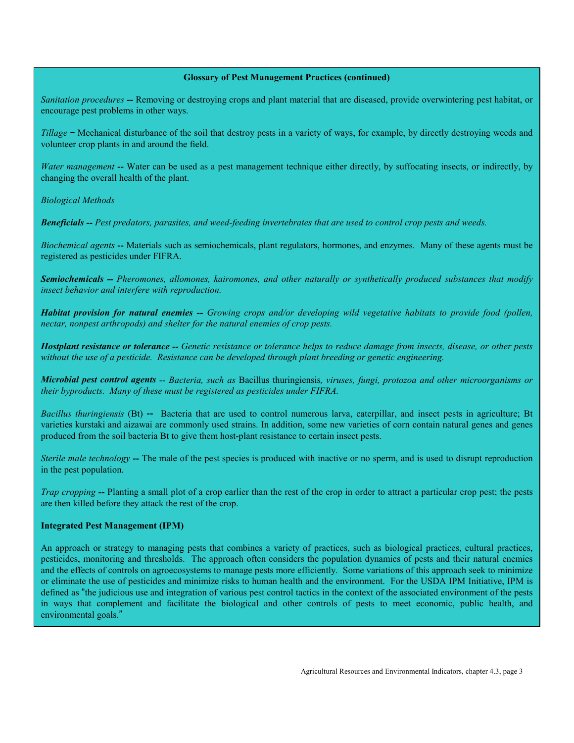#### **Glossary of Pest Management Practices (continued)**

<span id="page-2-0"></span>*Sanitation procedures* **--** Removing or destroying crops and plant material that are diseased, provide overwintering pest habitat, or encourage pest problems in other ways.

*Tillage* – Mechanical disturbance of the soil that destroy pests in a variety of ways, for example, by directly destroying weeds and volunteer crop plants in and around the field.

*Water management* -- Water can be used as a pest management technique either directly, by suffocating insects, or indirectly, by changing the overall health of the plant.

*Biological Methods*

*Beneficials -- Pest predators, parasites, and weed-feeding invertebrates that are used to control crop pests and weeds.*

*Biochemical agents* **--** Materials such as semiochemicals, plant regulators, hormones, and enzymes. Many of these agents must be registered as pesticides under FIFRA.

*Semiochemicals -- Pheromones, allomones, kairomones, and other naturally or synthetically produced substances that modify insect behavior and interfere with reproduction.*

*Habitat provision for natural enemies -- Growing crops and/or developing wild vegetative habitats to provide food (pollen, nectar, nonpest arthropods) and shelter for the natural enemies of crop pests.*

*Hostplant resistance or tolerance -- Genetic resistance or tolerance helps to reduce damage from insects, disease, or other pests without the use of a pesticide. Resistance can be developed through plant breeding or genetic engineering.*

*Microbial pest control agents -- Bacteria, such as* Bacillus thuringiensis*, viruses, fungi, protozoa and other microorganisms or their byproducts. Many of these must be registered as pesticides under FIFRA.*

*Bacillus thuringiensis* (Bt) **--** Bacteria that are used to control numerous larva, caterpillar, and insect pests in agriculture; Bt varieties kurstaki and aizawai are commonly used strains. In addition, some new varieties of corn contain natural genes and genes produced from the soil bacteria Bt to give them host-plant resistance to certain insect pests.

*Sterile male technology* –- The male of the pest species is produced with inactive or no sperm, and is used to disrupt reproduction in the pest population.

*Trap cropping* -- Planting a small plot of a crop earlier than the rest of the crop in order to attract a particular crop pest; the pests are then killed before they attack the rest of the crop.

#### **Integrated Pest Management (IPM)**

An approach or strategy to managing pests that combines a variety of practices, such as biological practices, cultural practices, pesticides, monitoring and thresholds. The approach often considers the population dynamics of pests and their natural enemies and the effects of controls on agroecosystems to manage pests more efficiently. Some variations of this approach seek to minimize or eliminate the use of pesticides and minimize risks to human health and the environment. For the USDA IPM Initiative, IPM is defined as "the judicious use and integration of various pest control tactics in the context of the associated environment of the pests in ways that complement and facilitate the biological and other controls of pests to meet economic, public health, and environmental goals."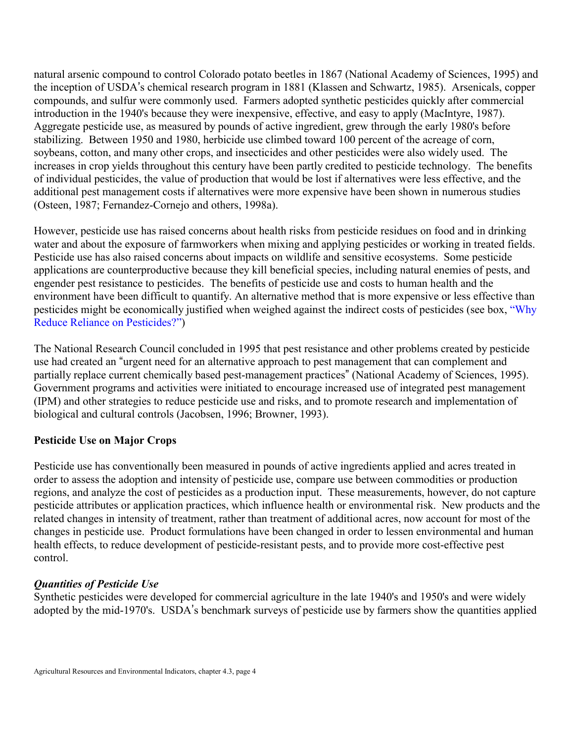natural arsenic compound to control Colorado potato beetles in 1867 (National Academy of Sciences, 1995) and the inception of USDA's chemical research program in 1881 (Klassen and Schwartz, 1985). Arsenicals, copper compounds, and sulfur were commonly used. Farmers adopted synthetic pesticides quickly after commercial introduction in the 1940's because they were inexpensive, effective, and easy to apply (MacIntyre, 1987). Aggregate pesticide use, as measured by pounds of active ingredient, grew through the early 1980's before stabilizing. Between 1950 and 1980, herbicide use climbed toward 100 percent of the acreage of corn, soybeans, cotton, and many other crops, and insecticides and other pesticides were also widely used. The increases in crop yields throughout this century have been partly credited to pesticide technology. The benefits of individual pesticides, the value of production that would be lost if alternatives were less effective, and the additional pest management costs if alternatives were more expensive have been shown in numerous studies (Osteen, 1987; Fernandez-Cornejo and others, 1998a).

However, pesticide use has raised concerns about health risks from pesticide residues on food and in drinking water and about the exposure of farmworkers when mixing and applying pesticides or working in treated fields. Pesticide use has also raised concerns about impacts on wildlife and sensitive ecosystems. Some pesticide applications are counterproductive because they kill beneficial species, including natural enemies of pests, and engender pest resistance to pesticides. The benefits of pesticide use and costs to human health and the environment have been difficult to quantify. An alternative method that is more expensive or less effective than pesticides might be economically justified when weighed against the indirect costs of pesticides (see box, "Why Reduce Reliance on Pesticides?")

<span id="page-3-0"></span>The National Research Council concluded in 1995 that pest resistance and other problems created by pesticide use had created an "urgent need for an alternative approach to pest management that can complement and partially replace current chemically based pest-management practices" (National Academy of Sciences, 1995). Government programs and activities were initiated to encourage increased use of integrated pest management (IPM) and other strategies to reduce pesticide use and risks, and to promote research and implementation of biological and cultural controls (Jacobsen, 1996; Browner, 1993).

# **Pesticide Use on Major Crops**

Pesticide use has conventionally been measured in pounds of active ingredients applied and acres treated in order to assess the adoption and intensity of pesticide use, compare use between commodities or production regions, and analyze the cost of pesticides as a production input. These measurements, however, do not capture pesticide attributes or application practices, which influence health or environmental risk. New products and the related changes in intensity of treatment, rather than treatment of additional acres, now account for most of the changes in pesticide use. Product formulations have been changed in order to lessen environmental and human health effects, to reduce development of pesticide-resistant pests, and to provide more cost-effective pest control.

# *Quantities of Pesticide Use*

Synthetic pesticides were developed for commercial agriculture in the late 1940's and 1950's and were widely adopted by the mid-1970's. USDA's benchmark surveys of pesticide use by farmers show the quantities applied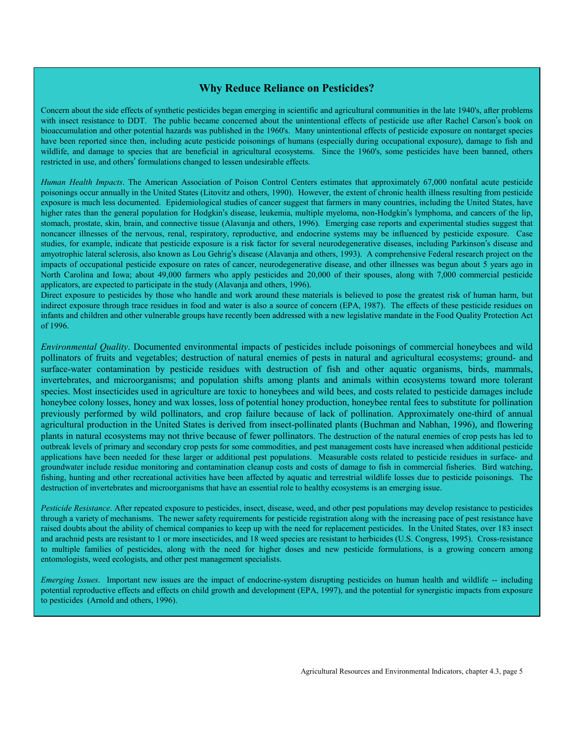#### **Why Reduce Reliance on Pesticides?**

<span id="page-4-1"></span><span id="page-4-0"></span>Concern about the side effects of synthetic pesticides began emerging in scientific and agricultural communities in the late 1940's, after problems with insect resistance to DDT. The public became concerned about the unintentional effects of pesticide use after Rachel Carson's book on bioaccumulation and other potential hazards was published in the 1960's. Many unintentional effects of pesticide exposure on nontarget species have been reported since then, including acute pesticide poisonings of humans (especially during occupational exposure), damage to fish and wildlife, and damage to species that are beneficial in agricultural ecosystems. Since the 1960's, some pesticides have been banned, others restricted in use, and others' formulations changed to lessen undesirable effects.

*Human Health Impacts*. The American Association of Poison Control Centers estimates that approximately 67,000 nonfatal acute pesticide poisonings occur annually in the United States (Litovitz and others, 1990). However, the extent of chronic health illness resulting from pesticide exposure is much less documented. Epidemiological studies of cancer suggest that farmers in many countries, including the United States, have higher rates than the general population for Hodgkin's disease, leukemia, multiple myeloma, non-Hodgkin's lymphoma, and cancers of the lip, stomach, prostate, skin, brain, and connective tissue (Alavanja and others, 1996). Emerging case reports and experimental studies suggest that noncancer illnesses of the nervous, renal, respiratory, reproductive, and endocrine systems may be influenced by pesticide exposure. Case studies, for example, indicate that pesticide exposure is a risk factor for several neurodegenerative diseases, including Parkinson's disease and amyotrophic lateral sclerosis, also known as Lou Gehrig's disease (Alavania and others, 1993). A comprehensive Federal research project on the impacts of occupational pesticide exposure on rates of cancer, neurodegenerative disease, and other illnesses was begun about 5 years ago in North Carolina and Iowa; about 49,000 farmers who apply pesticides and 20,000 of their spouses, along with 7,000 commercial pesticide applicators, are expected to participate in the study (Alavanja and others, 1996).

Direct exposure to pesticides by those who handle and work around these materials is believed to pose the greatest risk of human harm, but indirect exposure through trace residues in food and water is also a source of concern (EPA, 1987). The effects of these pesticide residues on infants and children and other vulnerable groups have recently been addressed with a new legislative mandate in the Food Quality Protection Act of 1996.

*Environmental Quality*. Documented environmental impacts of pesticides include poisonings of commercial honeybees and wild pollinators of fruits and vegetables; destruction of natural enemies of pests in natural and agricultural ecosystems; ground- and surface-water contamination by pesticide residues with destruction of fish and other aquatic organisms, birds, mammals, invertebrates, and microorganisms; and population shifts among plants and animals within ecosystems toward more tolerant species. Most insecticides used in agriculture are toxic to honeybees and wild bees, and costs related to pesticide damages include honeybee colony losses, honey and wax losses, loss of potential honey production, honeybee rental fees to substitute for pollination previously performed by wild pollinators, and crop failure because of lack of pollination. Approximately one-third of annual agricultural production in the United States is derived from insect-pollinated plants (Buchman and Nabhan, 1996), and flowering plants in natural ecosystems may not thrive because of fewer pollinators. The destruction of the natural enemies of crop pests has led to outbreak levels of primary and secondary crop pests for some commodities, and pest management costs have increased when additional pesticide applications have been needed for these larger or additional pest populations. Measurable costs related to pesticide residues in surface- and groundwater include residue monitoring and contamination cleanup costs and costs of damage to fish in commercial fisheries. Bird watching, fishing, hunting and other recreational activities have been affected by aquatic and terrestrial wildlife losses due to pesticide poisonings. The destruction of invertebrates and microorganisms that have an essential role to healthy ecosystems is an emerging issue.

*Pesticide Resistance*. After repeated exposure to pesticides, insect, disease, weed, and other pest populations may develop resistance to pesticides through a variety of mechanisms. The newer safety requirements for pesticide registration along with the increasing pace of pest resistance have raised doubts about the ability of chemical companies to keep up with the need for replacement pesticides. In the United States, over 183 insect and arachnid pests are resistant to 1 or more insecticides, and 18 weed species are resistant to herbicides (U.S. Congress, 1995). Cross-resistance to multiple families of pesticides, along with the need for higher doses and new pesticide formulations, is a growing concern among entomologists, weed ecologists, and other pest management specialists.

*Emerging Issues*. Important new issues are the impact of endocrine-system disrupting pesticides on human health and wildlife -- including potential reproductive effects and effects on child growth and development (EPA, 1997), and the potential for synergistic impacts from exposure to pesticides (Arnold and others, 1996).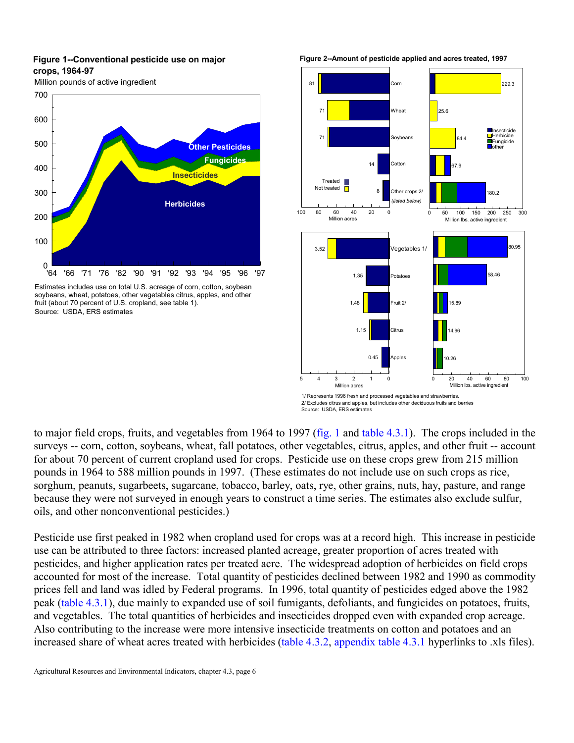#### <span id="page-5-3"></span><span id="page-5-2"></span><span id="page-5-1"></span><span id="page-5-0"></span>**Figure 1--Conventional pesticide use on major crops, 1964-97**

Million pounds of active ingredient



Estimates includes use on total U.S. acreage of corn, cotton, soybean soybeans, wheat, potatoes, other vegetables citrus, apples, and other fruit (about 70 percent of U.S. cropland, see table 1). Source: USDA, ERS estimates

**Figure 2--Amount of pesticide applied and acres treated, 1997**



Source: USDA, ERS estimates

to major field crops, fruits, and vegetables from 1964 to 1997 [\(fig. 1 a](#page-5-0)nd [table 4.3.1\).](#page-6-0) The crops included in the surveys -- corn, cotton, soybeans, wheat, fall potatoes, other vegetables, citrus, apples, and other fruit -- account for about 70 percent of current cropland used for crops. Pesticide use on these crops grew from 215 million pounds in 1964 to 588 million pounds in 1997. (These estimates do not include use on such crops as rice, sorghum, peanuts, sugarbeets, sugarcane, tobacco, barley, oats, rye, other grains, nuts, hay, pasture, and range because they were not surveyed in enough years to construct a time series. The estimates also exclude sulfur, oils, and other nonconventional pesticides.)

Pesticide use first peaked in 1982 when cropland used for crops was at a record high. This increase in pesticide use can be attributed to three factors: increased planted acreage, greater proportion of acres treated with pesticides, and higher application rates per treated acre. The widespread adoption of herbicides on field crops accounted for most of the increase. Total quantity of pesticides declined between 1982 and 1990 as commodity prices fell and land was idled by Federal programs. In 1996, total quantity of pesticides edged above the 1982 peak [\(table 4.3.1\),](#page-6-1) due mainly to expanded use of soil fumigants, defoliants, and fungicides on potatoes, fruits, and vegetables. The total quantities of herbicides and insecticides dropped even with expanded crop acreage. Also contributing to the increase were more intensive insecticide treatments on cotton and potatoes and an increased share of wheat acres treated with herbicides (table 4.3.2, appendix table 4.3.1 hyperlinks to .xls files).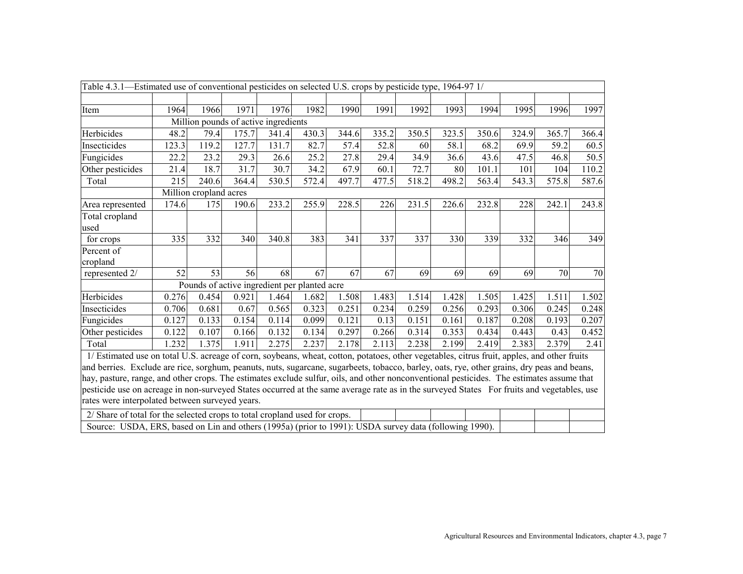<span id="page-6-6"></span><span id="page-6-5"></span><span id="page-6-4"></span><span id="page-6-3"></span><span id="page-6-2"></span><span id="page-6-1"></span><span id="page-6-0"></span>

| Table 4.3.1—Estimated use of conventional pesticides on selected U.S. crops by pesticide type, 1964-97 1/                                   |       |                        |                                      |       |                                              |       |       |       |       |       |       |       |       |
|---------------------------------------------------------------------------------------------------------------------------------------------|-------|------------------------|--------------------------------------|-------|----------------------------------------------|-------|-------|-------|-------|-------|-------|-------|-------|
|                                                                                                                                             |       |                        |                                      |       |                                              |       |       |       |       |       |       |       |       |
| Item                                                                                                                                        | 1964  | 1966                   | 1971                                 | 1976  | 1982                                         | 1990  | 1991  | 1992  | 1993  | 1994  | 1995  | 1996  | 1997  |
|                                                                                                                                             |       |                        | Million pounds of active ingredients |       |                                              |       |       |       |       |       |       |       |       |
| Herbicides                                                                                                                                  | 48.2  | 79.4                   | 175.7                                | 341.4 | 430.3                                        | 344.6 | 335.2 | 350.5 | 323.5 | 350.6 | 324.9 | 365.7 | 366.4 |
| Insecticides                                                                                                                                | 123.3 | 119.2                  | 127.7                                | 131.7 | 82.7                                         | 57.4  | 52.8  | 60    | 58.1  | 68.2  | 69.9  | 59.2  | 60.5  |
| Fungicides                                                                                                                                  | 22.2  | 23.2                   | 29.3                                 | 26.6  | 25.2                                         | 27.8  | 29.4  | 34.9  | 36.6  | 43.6  | 47.5  | 46.8  | 50.5  |
| Other pesticides                                                                                                                            | 21.4  | 18.7                   | 31.7                                 | 30.7  | 34.2                                         | 67.9  | 60.1  | 72.7  | 80    | 101.1 | 101   | 104   | 110.2 |
| Total                                                                                                                                       | 215   | 240.6                  | 364.4                                | 530.5 | 572.4                                        | 497.7 | 477.5 | 518.2 | 498.2 | 563.4 | 543.3 | 575.8 | 587.6 |
|                                                                                                                                             |       | Million cropland acres |                                      |       |                                              |       |       |       |       |       |       |       |       |
| Area represented                                                                                                                            | 174.6 | 175                    | 190.6                                | 233.2 | 255.9                                        | 228.5 | 226   | 231.5 | 226.6 | 232.8 | 228   | 242.1 | 243.8 |
| Total cropland                                                                                                                              |       |                        |                                      |       |                                              |       |       |       |       |       |       |       |       |
| used                                                                                                                                        |       |                        |                                      |       |                                              |       |       |       |       |       |       |       |       |
| for crops                                                                                                                                   | 335   | 332                    | 340                                  | 340.8 | 383                                          | 341   | 337   | 337   | 330   | 339   | 332   | 346   | 349   |
| Percent of                                                                                                                                  |       |                        |                                      |       |                                              |       |       |       |       |       |       |       |       |
| cropland                                                                                                                                    |       |                        |                                      |       |                                              |       |       |       |       |       |       |       |       |
| represented 2/                                                                                                                              | 52    | 53                     | 56                                   | 68    | 67                                           | 67    | 67    | 69    | 69    | 69    | 69    | 70    | 70    |
|                                                                                                                                             |       |                        |                                      |       | Pounds of active ingredient per planted acre |       |       |       |       |       |       |       |       |
| Herbicides                                                                                                                                  | 0.276 | 0.454                  | 0.921                                | 1.464 | 1.682                                        | 1.508 | 1.483 | 1.514 | 1.428 | 1.505 | 1.425 | 1.511 | 1.502 |
| Insecticides                                                                                                                                | 0.706 | 0.681                  | 0.67                                 | 0.565 | 0.323                                        | 0.251 | 0.234 | 0.259 | 0.256 | 0.293 | 0.306 | 0.245 | 0.248 |
| Fungicides                                                                                                                                  | 0.127 | 0.133                  | 0.154                                | 0.114 | 0.099                                        | 0.121 | 0.13  | 0.151 | 0.161 | 0.187 | 0.208 | 0.193 | 0.207 |
| Other pesticides                                                                                                                            | 0.122 | 0.107                  | 0.166                                | 0.132 | 0.134                                        | 0.297 | 0.266 | 0.314 | 0.353 | 0.434 | 0.443 | 0.43  | 0.452 |
| Total                                                                                                                                       | 1.232 | 1.375                  | 1.911                                | 2.275 | 2.237                                        | 2.178 | 2.113 | 2.238 | 2.199 | 2.419 | 2.383 | 2.379 | 2.41  |
| 1/ Estimated use on total U.S. acreage of corn, soybeans, wheat, cotton, potatoes, other vegetables, citrus fruit, apples, and other fruits |       |                        |                                      |       |                                              |       |       |       |       |       |       |       |       |
| and berries. Exclude are rice, sorghum, peanuts, nuts, sugarcane, sugarbeets, tobacco, barley, oats, rye, other grains, dry peas and beans, |       |                        |                                      |       |                                              |       |       |       |       |       |       |       |       |
| hay, pasture, range, and other crops. The estimates exclude sulfur, oils, and other nonconventional pesticides. The estimates assume that   |       |                        |                                      |       |                                              |       |       |       |       |       |       |       |       |
| pesticide use on acreage in non-surveyed States occurred at the same average rate as in the surveyed States For fruits and vegetables, use  |       |                        |                                      |       |                                              |       |       |       |       |       |       |       |       |
| rates were interpolated between surveyed years.                                                                                             |       |                        |                                      |       |                                              |       |       |       |       |       |       |       |       |
| 2/ Share of total for the selected crops to total cropland used for crops.                                                                  |       |                        |                                      |       |                                              |       |       |       |       |       |       |       |       |
| Source: USDA, ERS, based on Lin and others (1995a) (prior to 1991): USDA survey data (following 1990).                                      |       |                        |                                      |       |                                              |       |       |       |       |       |       |       |       |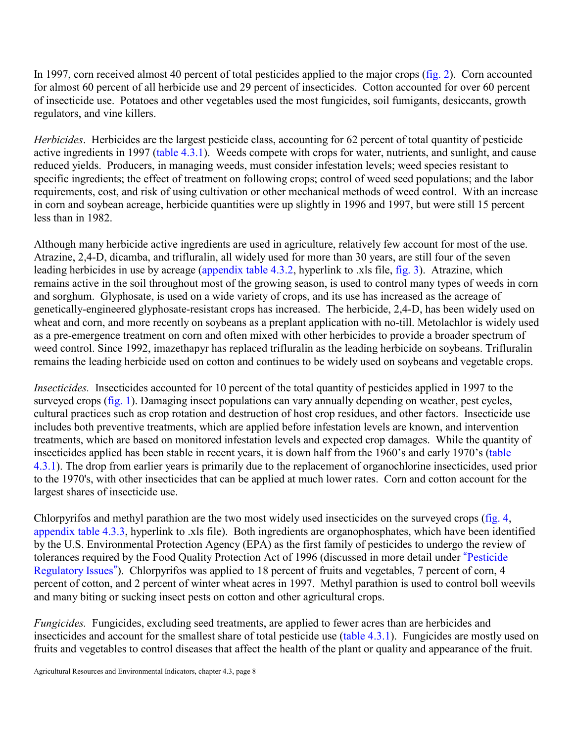In 1997, corn received almost 40 percent of total pesticides applied to the major crops [\(fig. 2\).](#page-5-1) Corn accounted for almost 60 percent of all herbicide use and 29 percent of insecticides. Cotton accounted for over 60 percent of insecticide use. Potatoes and other vegetables used the most fungicides, soil fumigants, desiccants, growth regulators, and vine killers.

*Herbicides*. Herbicides are the largest pesticide class, accounting for 62 percent of total quantity of pesticide active ingredients in 1997 [\(table 4.3.1\)](#page-6-2). Weeds compete with crops for water, nutrients, and sunlight, and cause reduced yields. Producers, in managing weeds, must consider infestation levels; weed species resistant to specific ingredients; the effect of treatment on following crops; control of weed seed populations; and the labor requirements, cost, and risk of using cultivation or other mechanical methods of weed control. With an increase in corn and soybean acreage, herbicide quantities were up slightly in 1996 and 1997, but were still 15 percent less than in 1982.

Although many herbicide active ingredients are used in agriculture, relatively few account for most of the use. Atrazine, 2,4-D, dicamba, and trifluralin, all widely used for more than 30 years, are still four of the seven leading herbicides in use by acreage (appendix table 4.3.2, hyperlink to .xls file[, fig. 3\).](#page-8-0) Atrazine, which remains active in the soil throughout most of the growing season, is used to control many types of weeds in corn and sorghum. Glyphosate, is used on a wide variety of crops, and its use has increased as the acreage of genetically-engineered glyphosate-resistant crops has increased. The herbicide, 2,4-D, has been widely used on wheat and corn, and more recently on soybeans as a preplant application with no-till. Metolachlor is widely used as a pre-emergence treatment on corn and often mixed with other herbicides to provide a broader spectrum of weed control. Since 1992, imazethapyr has replaced trifluralin as the leading herbicide on soybeans. Trifluralin remains the leading herbicide used on cotton and continues to be widely used on soybeans and vegetable crops.

*Insecticides.* Insecticides accounted for 10 percent of the total quantity of pesticides applied in 1997 to the surveyed crops [\(fig. 1\).](#page-5-2) Damaging insect populations can vary annually depending on weather, pest cycles, cultural practices such as crop rotation and destruction of host crop residues, and other factors. Insecticide use includes both preventive treatments, which are applied before infestation levels are known, and intervention treatments, which are based on monitored infestation levels and expected crop damages. While the quantity of insecticides applied has been stable in recent years, it is down half from the 1960's and early 1970's [\(table](#page-6-3) [4.3.1\).](#page-6-4) The drop from earlier years is primarily due to the replacement of organochlorine insecticides, used prior to the 1970's, with other insecticides that can be applied at much lower rates. Corn and cotton account for the largest shares of insecticide use.

Chlorpyrifos and methyl parathion are the two most widely used insecticides on the surveyed crop[s \(fig. 4,](#page-8-1) appendix table 4.3.3, hyperlink to .xls file). Both ingredients are organophosphates, which have been identified by the U.S. Environmental Protection Agency (EPA) as the first family of pesticides to undergo the review of tolerances required by the Food Quality Protection Act of 1996 (discussed in more detail under "[Pesticide](#page-26-0)") [Regulatory Issues](#page-26-0)"). Chlorpyrifos was applied to 18 percent of fruits and vegetables, 7 percent of corn, 4 percent of cotton, and 2 percent of winter wheat acres in 1997. Methyl parathion is used to control boll weevils and many biting or sucking insect pests on cotton and other agricultural crops.

*Fungicides.* Fungicides, excluding seed treatments, are applied to fewer acres than are herbicides and insecticides and account for the smallest share of total pesticide use [\(table 4.3.1\).](#page-6-3) Fungicides are mostly used on fruits and vegetables to control diseases that affect the health of the plant or quality and appearance of the fruit.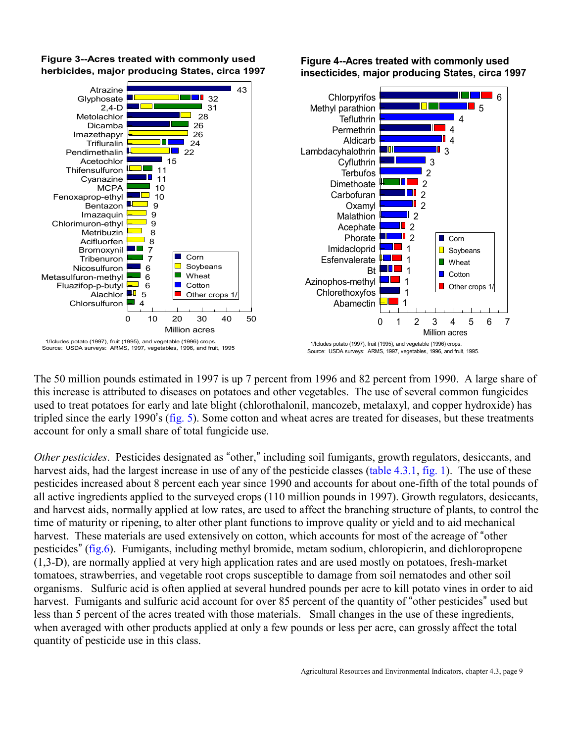

<span id="page-8-1"></span><span id="page-8-0"></span>**Figure 3--Acres treated with commonly used herbicides, major producing States, circa 1997**

**Figure 4--Acres treated with commonly used insecticides, major producing States, circa 1997**

6

The 50 million pounds estimated in 1997 is up 7 percent from 1996 and 82 percent from 1990. A large share of this increase is attributed to diseases on potatoes and other vegetables. The use of several common fungicides used to treat potatoes for early and late blight (chlorothalonil, mancozeb, metalaxyl, and copper hydroxide) has tripled since the early 1990's [\(fig. 5\).](#page-9-0) Some cotton and wheat acres are treated for diseases, but these treatments account for only a small share of total fungicide use.

*Other pesticides.* Pesticides designated as "other," including soil fumigants, growth regulators, desiccants, and harvest aids, had the largest increase in use of any of the pesticide classes [\(table 4.3.1](#page-6-5), [fig. 1\).](#page-5-3) The use of these pesticides increased about 8 percent each year since 1990 and accounts for about one-fifth of the total pounds of all active ingredients applied to the surveyed crops (110 million pounds in 1997). Growth regulators, desiccants, and harvest aids, normally applied at low rates, are used to affect the branching structure of plants, to control the time of maturity or ripening, to alter other plant functions to improve quality or yield and to aid mechanical harvest. These materials are used extensively on cotton, which accounts for most of the acreage of "other" pesticides" [\(fig.6\).](#page-9-1) Fumigants, including methyl bromide, metam sodium, chloropicrin, and dichloropropene (1,3-D), are normally applied at very high application rates and are used mostly on potatoes, fresh-market tomatoes, strawberries, and vegetable root crops susceptible to damage from soil nematodes and other soil organisms. Sulfuric acid is often applied at several hundred pounds per acre to kill potato vines in order to aid harvest. Fumigants and sulfuric acid account for over 85 percent of the quantity of "other pesticides" used but less than 5 percent of the acres treated with those materials. Small changes in the use of these ingredients, when averaged with other products applied at only a few pounds or less per acre, can grossly affect the total quantity of pesticide use in this class.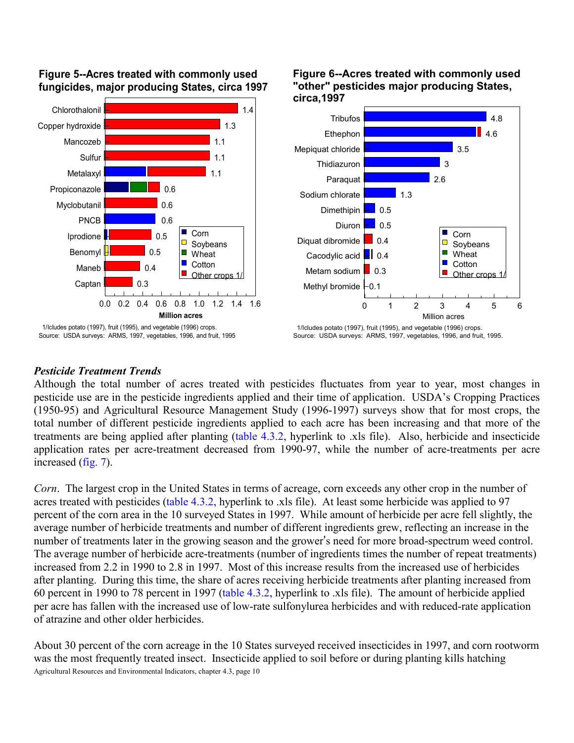

#### <span id="page-9-1"></span><span id="page-9-0"></span>**Figure 5--Acres treated with commonly used fungicides, major producing States, circa 1997**

**Figure 6--Acres treated with commonly used "other" pesticides major producing States, circa,1997**



#### *Pesticide Treatment Trends*

Although the total number of acres treated with pesticides fluctuates from year to year, most changes in pesticide use are in the pesticide ingredients applied and their time of application. USDA's Cropping Practices (1950-95) and Agricultural Resource Management Study (1996-1997) surveys show that for most crops, the total number of different pesticide ingredients applied to each acre has been increasing and that more of the treatments are being applied after planting (table 4.3.2, hyperlink to .xls file). Also, herbicide and insecticide application rates per acre-treatment decreased from 1990-97, while the number of acre-treatments per acre increased [\(fig. 7\).](#page-10-0)

*Corn*. The largest crop in the United States in terms of acreage, corn exceeds any other crop in the number of acres treated with pesticides (table 4.3.2, hyperlink to .xls file). At least some herbicide was applied to 97 percent of the corn area in the 10 surveyed States in 1997. While amount of herbicide per acre fell slightly, the average number of herbicide treatments and number of different ingredients grew, reflecting an increase in the number of treatments later in the growing season and the grower's need for more broad-spectrum weed control. The average number of herbicide acre-treatments (number of ingredients times the number of repeat treatments) increased from 2.2 in 1990 to 2.8 in 1997. Most of this increase results from the increased use of herbicides after planting. During this time, the share of acres receiving herbicide treatments after planting increased from 60 percent in 1990 to 78 percent in 1997 (table 4.3.2, hyperlink to .xls file). The amount of herbicide applied per acre has fallen with the increased use of low-rate sulfonylurea herbicides and with reduced-rate application of atrazine and other older herbicides.

Agricultural Resources and Environmental Indicators, chapter 4.3, page 10 About 30 percent of the corn acreage in the 10 States surveyed received insecticides in 1997, and corn rootworm was the most frequently treated insect. Insecticide applied to soil before or during planting kills hatching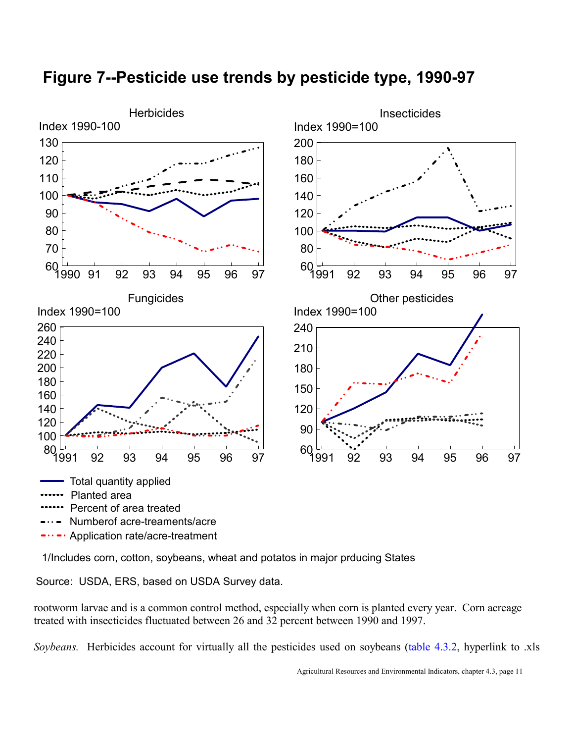

# <span id="page-10-0"></span>**Figure 7--Pesticide use trends by pesticide type, 1990-97**

Application rate/acre-treatment

1/Includes corn, cotton, soybeans, wheat and potatos in major prducing States

Source: USDA, ERS, based on USDA Survey data.

rootworm larvae and is a common control method, especially when corn is planted every year. Corn acreage treated with insecticides fluctuated between 26 and 32 percent between 1990 and 1997.

*Soybeans.* Herbicides account for virtually all the pesticides used on soybeans (table 4.3.2, hyperlink to .xls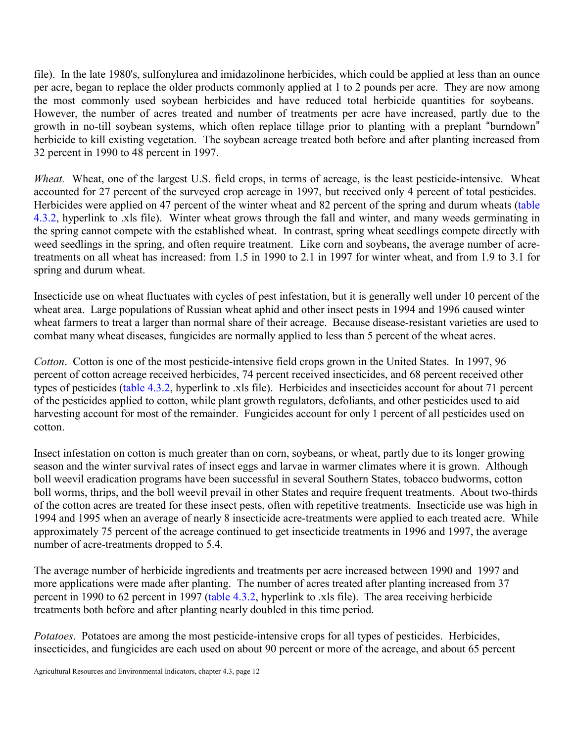file). In the late 1980's, sulfonylurea and imidazolinone herbicides, which could be applied at less than an ounce per acre, began to replace the older products commonly applied at 1 to 2 pounds per acre. They are now among the most commonly used soybean herbicides and have reduced total herbicide quantities for soybeans. However, the number of acres treated and number of treatments per acre have increased, partly due to the growth in no-till soybean systems, which often replace tillage prior to planting with a preplant "burndown" herbicide to kill existing vegetation. The soybean acreage treated both before and after planting increased from 32 percent in 1990 to 48 percent in 1997.

*Wheat.* Wheat, one of the largest U.S. field crops, in terms of acreage, is the least pesticide-intensive. Wheat accounted for 27 percent of the surveyed crop acreage in 1997, but received only 4 percent of total pesticides. Herbicides were applied on 47 percent of the winter wheat and 82 percent of the spring and durum wheats (table 4.3.2, hyperlink to .xls file). Winter wheat grows through the fall and winter, and many weeds germinating in the spring cannot compete with the established wheat. In contrast, spring wheat seedlings compete directly with weed seedlings in the spring, and often require treatment. Like corn and soybeans, the average number of acretreatments on all wheat has increased: from 1.5 in 1990 to 2.1 in 1997 for winter wheat, and from 1.9 to 3.1 for spring and durum wheat.

Insecticide use on wheat fluctuates with cycles of pest infestation, but it is generally well under 10 percent of the wheat area. Large populations of Russian wheat aphid and other insect pests in 1994 and 1996 caused winter wheat farmers to treat a larger than normal share of their acreage. Because disease-resistant varieties are used to combat many wheat diseases, fungicides are normally applied to less than 5 percent of the wheat acres.

*Cotton*. Cotton is one of the most pesticide-intensive field crops grown in the United States. In 1997, 96 percent of cotton acreage received herbicides, 74 percent received insecticides, and 68 percent received other types of pesticides (table 4.3.2, hyperlink to .xls file). Herbicides and insecticides account for about 71 percent of the pesticides applied to cotton, while plant growth regulators, defoliants, and other pesticides used to aid harvesting account for most of the remainder. Fungicides account for only 1 percent of all pesticides used on cotton.

Insect infestation on cotton is much greater than on corn, soybeans, or wheat, partly due to its longer growing season and the winter survival rates of insect eggs and larvae in warmer climates where it is grown. Although boll weevil eradication programs have been successful in several Southern States, tobacco budworms, cotton boll worms, thrips, and the boll weevil prevail in other States and require frequent treatments. About two-thirds of the cotton acres are treated for these insect pests, often with repetitive treatments. Insecticide use was high in 1994 and 1995 when an average of nearly 8 insecticide acre-treatments were applied to each treated acre. While approximately 75 percent of the acreage continued to get insecticide treatments in 1996 and 1997, the average number of acre-treatments dropped to 5.4.

The average number of herbicide ingredients and treatments per acre increased between 1990 and 1997 and more applications were made after planting. The number of acres treated after planting increased from 37 percent in 1990 to 62 percent in 1997 (table 4.3.2, hyperlink to .xls file). The area receiving herbicide treatments both before and after planting nearly doubled in this time period.

*Potatoes*. Potatoes are among the most pesticide-intensive crops for all types of pesticides. Herbicides, insecticides, and fungicides are each used on about 90 percent or more of the acreage, and about 65 percent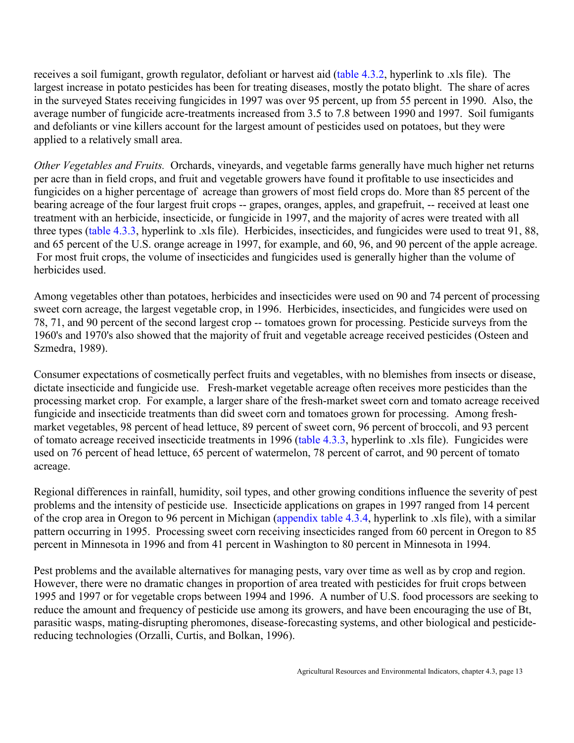receives a soil fumigant, growth regulator, defoliant or harvest aid (table 4.3.2, hyperlink to .xls file). The largest increase in potato pesticides has been for treating diseases, mostly the potato blight. The share of acres in the surveyed States receiving fungicides in 1997 was over 95 percent, up from 55 percent in 1990. Also, the average number of fungicide acre-treatments increased from 3.5 to 7.8 between 1990 and 1997. Soil fumigants and defoliants or vine killers account for the largest amount of pesticides used on potatoes, but they were applied to a relatively small area.

*Other Vegetables and Fruits.* Orchards, vineyards, and vegetable farms generally have much higher net returns per acre than in field crops, and fruit and vegetable growers have found it profitable to use insecticides and fungicides on a higher percentage of acreage than growers of most field crops do. More than 85 percent of the bearing acreage of the four largest fruit crops -- grapes, oranges, apples, and grapefruit, -- received at least one treatment with an herbicide, insecticide, or fungicide in 1997, and the majority of acres were treated with all three types (table 4.3.3, hyperlink to .xls file). Herbicides, insecticides, and fungicides were used to treat 91, 88, and 65 percent of the U.S. orange acreage in 1997, for example, and 60, 96, and 90 percent of the apple acreage. For most fruit crops, the volume of insecticides and fungicides used is generally higher than the volume of herbicides used.

Among vegetables other than potatoes, herbicides and insecticides were used on 90 and 74 percent of processing sweet corn acreage, the largest vegetable crop, in 1996. Herbicides, insecticides, and fungicides were used on 78, 71, and 90 percent of the second largest crop -- tomatoes grown for processing. Pesticide surveys from the 1960's and 1970's also showed that the majority of fruit and vegetable acreage received pesticides (Osteen and Szmedra, 1989).

Consumer expectations of cosmetically perfect fruits and vegetables, with no blemishes from insects or disease, dictate insecticide and fungicide use. Fresh-market vegetable acreage often receives more pesticides than the processing market crop. For example, a larger share of the fresh-market sweet corn and tomato acreage received fungicide and insecticide treatments than did sweet corn and tomatoes grown for processing. Among freshmarket vegetables, 98 percent of head lettuce, 89 percent of sweet corn, 96 percent of broccoli, and 93 percent of tomato acreage received insecticide treatments in 1996 (table 4.3.3, hyperlink to .xls file). Fungicides were used on 76 percent of head lettuce, 65 percent of watermelon, 78 percent of carrot, and 90 percent of tomato acreage.

Regional differences in rainfall, humidity, soil types, and other growing conditions influence the severity of pest problems and the intensity of pesticide use. Insecticide applications on grapes in 1997 ranged from 14 percent of the crop area in Oregon to 96 percent in Michigan (appendix table 4.3.4, hyperlink to .xls file), with a similar pattern occurring in 1995. Processing sweet corn receiving insecticides ranged from 60 percent in Oregon to 85 percent in Minnesota in 1996 and from 41 percent in Washington to 80 percent in Minnesota in 1994.

Pest problems and the available alternatives for managing pests, vary over time as well as by crop and region. However, there were no dramatic changes in proportion of area treated with pesticides for fruit crops between 1995 and 1997 or for vegetable crops between 1994 and 1996. A number of U.S. food processors are seeking to reduce the amount and frequency of pesticide use among its growers, and have been encouraging the use of Bt, parasitic wasps, mating-disrupting pheromones, disease-forecasting systems, and other biological and pesticidereducing technologies (Orzalli, Curtis, and Bolkan, 1996).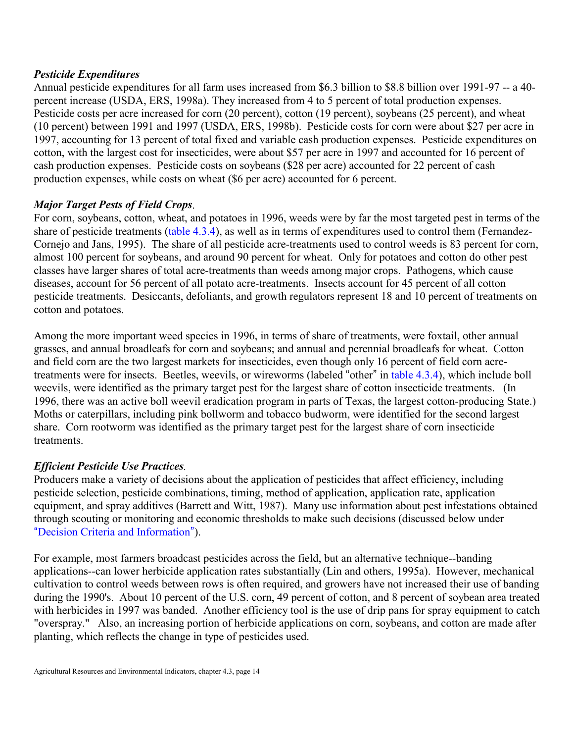# *Pesticide Expenditures*

Annual pesticide expenditures for all farm uses increased from \$6.3 billion to \$8.8 billion over 1991-97 -- a 40 percent increase (USDA, ERS, 1998a). They increased from 4 to 5 percent of total production expenses. Pesticide costs per acre increased for corn (20 percent), cotton (19 percent), soybeans (25 percent), and wheat (10 percent) between 1991 and 1997 (USDA, ERS, 1998b). Pesticide costs for corn were about \$27 per acre in 1997, accounting for 13 percent of total fixed and variable cash production expenses. Pesticide expenditures on cotton, with the largest cost for insecticides, were about \$57 per acre in 1997 and accounted for 16 percent of cash production expenses. Pesticide costs on soybeans (\$28 per acre) accounted for 22 percent of cash production expenses, while costs on wheat (\$6 per acre) accounted for 6 percent.

# *Major Target Pests of Field Crops*.

For corn, soybeans, cotton, wheat, and potatoes in 1996, weeds were by far the most targeted pest in terms of the share of pesticide treatments [\(table 4.3.4\),](#page-15-0) as well as in terms of expenditures used to control them (Fernandez-Cornejo and Jans, 1995). The share of all pesticide acre-treatments used to control weeds is 83 percent for corn, almost 100 percent for soybeans, and around 90 percent for wheat. Only for potatoes and cotton do other pest classes have larger shares of total acre-treatments than weeds among major crops. Pathogens, which cause diseases, account for 56 percent of all potato acre-treatments. Insects account for 45 percent of all cotton pesticide treatments. Desiccants, defoliants, and growth regulators represent 18 and 10 percent of treatments on cotton and potatoes.

Among the more important weed species in 1996, in terms of share of treatments, were foxtail, other annual grasses, and annual broadleafs for corn and soybeans; and annual and perennial broadleafs for wheat. Cotton and field corn are the two largest markets for insecticides, even though only 16 percent of field corn acretreatments were for insects. Beetles, weevils, or wireworms (labeled "other" i[n table 4.3.4\),](#page-15-1) which include boll weevils, were identified as the primary target pest for the largest share of cotton insecticide treatments. (In 1996, there was an active boll weevil eradication program in parts of Texas, the largest cotton-producing State.) Moths or caterpillars, including pink bollworm and tobacco budworm, were identified for the second largest share. Corn rootworm was identified as the primary target pest for the largest share of corn insecticide treatments.

# *Efficient Pesticide Use Practices.*

Producers make a variety of decisions about the application of pesticides that affect efficiency, including pesticide selection, pesticide combinations, timing, method of application, application rate, application equipment, and spray additives (Barrett and Witt, 1987). Many use information about pest infestations obtained through scouting or monitoring and economic thresholds to make such decisions (discussed below under "[Decision Criteria and Information](#page-21-1)").

For example, most farmers broadcast pesticides across the field, but an alternative technique--banding applications--can lower herbicide application rates substantially (Lin and others, 1995a). However, mechanical cultivation to control weeds between rows is often required, and growers have not increased their use of banding during the 1990's. About 10 percent of the U.S. corn, 49 percent of cotton, and 8 percent of soybean area treated with herbicides in 1997 was banded. Another efficiency tool is the use of drip pans for spray equipment to catch "overspray." Also, an increasing portion of herbicide applications on corn, soybeans, and cotton are made after planting, which reflects the change in type of pesticides used.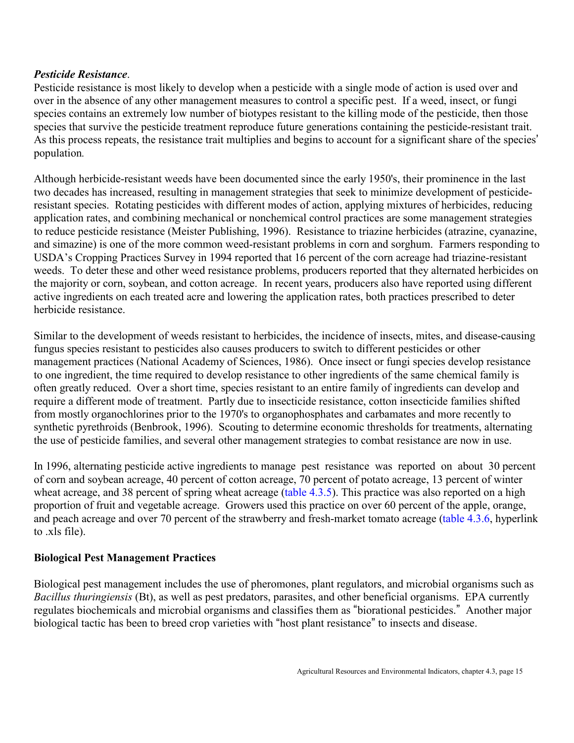# <span id="page-14-0"></span>*Pesticide Resistance*.

Pesticide resistance is most likely to develop when a pesticide with a single mode of action is used over and over in the absence of any other management measures to control a specific pest. If a weed, insect, or fungi species contains an extremely low number of biotypes resistant to the killing mode of the pesticide, then those species that survive the pesticide treatment reproduce future generations containing the pesticide-resistant trait. As this process repeats, the resistance trait multiplies and begins to account for a significant share of the species' population*.* 

Although herbicide-resistant weeds have been documented since the early 1950's, their prominence in the last two decades has increased, resulting in management strategies that seek to minimize development of pesticideresistant species. Rotating pesticides with different modes of action, applying mixtures of herbicides, reducing application rates, and combining mechanical or nonchemical control practices are some management strategies to reduce pesticide resistance (Meister Publishing, 1996). Resistance to triazine herbicides (atrazine, cyanazine, and simazine) is one of the more common weed-resistant problems in corn and sorghum. Farmers responding to USDA's Cropping Practices Survey in 1994 reported that 16 percent of the corn acreage had triazine-resistant weeds. To deter these and other weed resistance problems, producers reported that they alternated herbicides on the majority or corn, soybean, and cotton acreage. In recent years, producers also have reported using different active ingredients on each treated acre and lowering the application rates, both practices prescribed to deter herbicide resistance.

Similar to the development of weeds resistant to herbicides, the incidence of insects, mites, and disease-causing fungus species resistant to pesticides also causes producers to switch to different pesticides or other management practices (National Academy of Sciences, 1986). Once insect or fungi species develop resistance to one ingredient, the time required to develop resistance to other ingredients of the same chemical family is often greatly reduced. Over a short time, species resistant to an entire family of ingredients can develop and require a different mode of treatment. Partly due to insecticide resistance, cotton insecticide families shifted from mostly organochlorines prior to the 1970's to organophosphates and carbamates and more recently to synthetic pyrethroids (Benbrook, 1996). Scouting to determine economic thresholds for treatments, alternating the use of pesticide families, and several other management strategies to combat resistance are now in use.

In 1996, alternating pesticide active ingredients to manage pest resistance was reported on about 30 percent of corn and soybean acreage, 40 percent of cotton acreage, 70 percent of potato acreage, 13 percent of winter wheat acreage, and 38 percent of spring wheat acreage [\(table 4.3.5\).](#page-17-0) This practice was also reported on a high proportion of fruit and vegetable acreage. Growers used this practice on over 60 percent of the apple, orange, and peach acreage and over 70 percent of the strawberry and fresh-market tomato acreage (table 4.3.6, hyperlink to .xls file).

# **Biological Pest Management Practices**

Biological pest management includes the use of pheromones, plant regulators, and microbial organisms such as *Bacillus thuringiensis* (Bt), as well as pest predators, parasites, and other beneficial organisms. EPA currently regulates biochemicals and microbial organisms and classifies them as "biorational pesticides." Another major biological tactic has been to breed crop varieties with "host plant resistance" to insects and disease.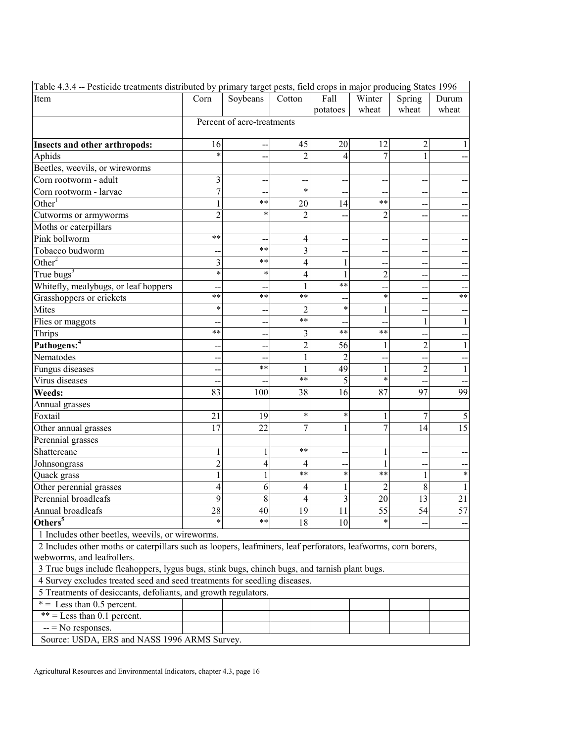<span id="page-15-1"></span><span id="page-15-0"></span>

| Table 4.3.4 -- Pesticide treatments distributed by primary target pests, field crops in major producing States 1996 |                |                                                |                |                |                              |                |       |  |
|---------------------------------------------------------------------------------------------------------------------|----------------|------------------------------------------------|----------------|----------------|------------------------------|----------------|-------|--|
| Item                                                                                                                | Corn           | Soybeans<br>Fall<br>Winter<br>Spring<br>Cotton |                |                |                              |                | Durum |  |
|                                                                                                                     |                |                                                |                | potatoes       | wheat                        | wheat          | wheat |  |
|                                                                                                                     |                | Percent of acre-treatments                     |                |                |                              |                |       |  |
|                                                                                                                     |                |                                                |                |                |                              |                |       |  |
| Insects and other arthropods:                                                                                       | 16             |                                                | 45             | 20             | 12                           | 2              |       |  |
| Aphids                                                                                                              | $\ast$         |                                                | $\overline{2}$ | 4              | 7                            | $\mathbf{1}$   |       |  |
| Beetles, weevils, or wireworms                                                                                      |                |                                                |                |                |                              |                |       |  |
| Corn rootworm - adult                                                                                               | 3              |                                                |                |                |                              |                |       |  |
| Corn rootworm - larvae                                                                                              | $\overline{7}$ |                                                | $\ast$         |                |                              |                |       |  |
| Other <sup>T</sup>                                                                                                  |                | $***$                                          | 20             | 14             | $***$                        |                |       |  |
| Cutworms or armyworms                                                                                               | $\overline{2}$ | $\ast$                                         | $\overline{2}$ |                | $\overline{2}$               |                |       |  |
| Moths or caterpillars                                                                                               |                |                                                |                |                |                              |                |       |  |
| Pink bollworm                                                                                                       | **             | --                                             | 4              | --             | --                           |                |       |  |
| Tobacco budworm                                                                                                     |                | $***$                                          | $\overline{3}$ |                | $-$                          |                |       |  |
| Other $2$                                                                                                           | 3              | $***$                                          | 4              | 1              | $-$                          |                |       |  |
| True bugs <sup>3</sup>                                                                                              | $\ast$         | $\star$                                        | 4              | 1              | $\overline{2}$               |                |       |  |
| Whitefly, mealybugs, or leaf hoppers                                                                                |                |                                                | 1              | $***$          |                              |                |       |  |
| Grasshoppers or crickets                                                                                            | **             | $***$                                          | $***$          |                | $\ast$                       |                | $***$ |  |
| Mites                                                                                                               | *              |                                                | $\overline{2}$ | $\ast$         | 1                            |                |       |  |
| Flies or maggots                                                                                                    |                |                                                | $***$          |                | --                           | 1              |       |  |
| Thrips                                                                                                              | **             |                                                | 3              | $***$          | $***$                        |                |       |  |
| Pathogens: <sup>4</sup>                                                                                             |                |                                                | $\overline{c}$ | 56             | $\mathbf{1}$                 | $\overline{c}$ |       |  |
| Nematodes                                                                                                           |                |                                                | 1              | $\overline{2}$ | --                           | --             |       |  |
| Fungus diseases                                                                                                     |                | $***$                                          | 1              | 49             | $\mathbf{1}$                 | $\overline{c}$ | 1     |  |
| Virus diseases                                                                                                      |                |                                                | $***$          | 5              | $\ast$                       |                |       |  |
| Weeds:                                                                                                              | 83             | 100                                            | 38             | 16             | 87                           | 97             | 99    |  |
| Annual grasses                                                                                                      |                |                                                |                |                |                              |                |       |  |
| Foxtail                                                                                                             | 21             | 19                                             | $\ast$         | $\ast$         | 1                            | 7              | 5     |  |
| Other annual grasses                                                                                                | 17             | 22                                             | 7              | 1              | $\overline{7}$               | 14             | 15    |  |
| Perennial grasses                                                                                                   |                |                                                |                |                |                              |                |       |  |
|                                                                                                                     | 1              |                                                | $***$          |                |                              |                |       |  |
| Shattercane                                                                                                         | $\overline{2}$ | 1<br>$\overline{4}$                            |                |                | $\mathbf{1}$<br>$\mathbf{1}$ |                |       |  |
| Johnsongrass                                                                                                        |                |                                                | 4<br>$***$     | $\ast$         | $***$                        |                | *     |  |
| Quack grass                                                                                                         |                | 1                                              |                |                |                              | 1              |       |  |
| Other perennial grasses                                                                                             | 4              | 6                                              | 4              | 1              | $\overline{c}$               | 8              |       |  |
| Perennial broadleafs                                                                                                | $\mathbf Q$    | 8                                              | 4              | 3              | 20                           | 13             | 21    |  |
| Annual broadleafs                                                                                                   | 28             | 40<br>$\ast\ast$                               | 19             | 11             | 55<br>$\ast$                 | 54             | 57    |  |
| Others <sup>5</sup>                                                                                                 |                |                                                | 18             | 10             |                              |                |       |  |
| 1 Includes other beetles, weevils, or wireworms.                                                                    |                |                                                |                |                |                              |                |       |  |
| 2 Includes other moths or caterpillars such as loopers, leafminers, leaf perforators, leafworms, corn borers,       |                |                                                |                |                |                              |                |       |  |
| webworms, and leafrollers.                                                                                          |                |                                                |                |                |                              |                |       |  |
| 3 True bugs include fleahoppers, lygus bugs, stink bugs, chinch bugs, and tarnish plant bugs.                       |                |                                                |                |                |                              |                |       |  |
| 4 Survey excludes treated seed and seed treatments for seedling diseases.                                           |                |                                                |                |                |                              |                |       |  |
| 5 Treatments of desiccants, defoliants, and growth regulators.                                                      |                |                                                |                |                |                              |                |       |  |
| $* =$ Less than 0.5 percent.                                                                                        |                |                                                |                |                |                              |                |       |  |
| $**$ = Less than 0.1 percent.                                                                                       |                |                                                |                |                |                              |                |       |  |
| $--$ No responses.                                                                                                  |                |                                                |                |                |                              |                |       |  |
| Source: USDA, ERS and NASS 1996 ARMS Survey.                                                                        |                |                                                |                |                |                              |                |       |  |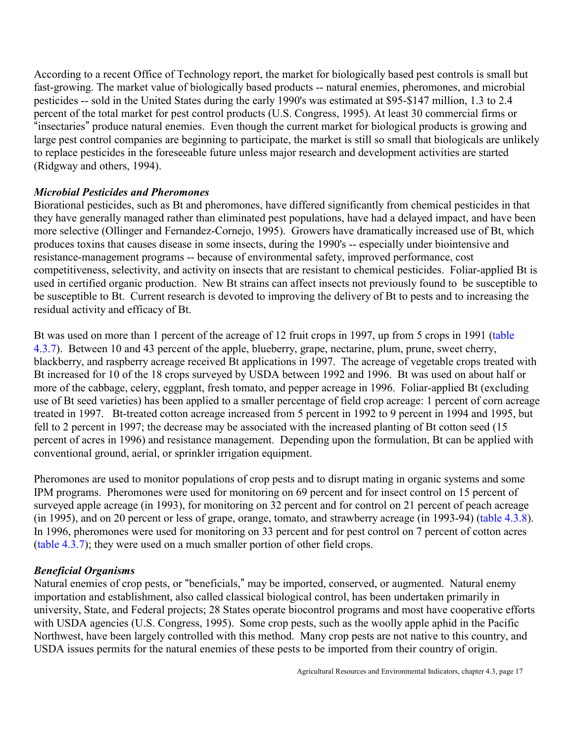According to a recent Office of Technology report, the market for biologically based pest controls is small but fast-growing. The market value of biologically based products -- natural enemies, pheromones, and microbial pesticides -- sold in the United States during the early 1990's was estimated at \$95-\$147 million, 1.3 to 2.4 percent of the total market for pest control products (U.S. Congress, 1995). At least 30 commercial firms or "insectaries" produce natural enemies. Even though the current market for biological products is growing and large pest control companies are beginning to participate, the market is still so small that biologicals are unlikely to replace pesticides in the foreseeable future unless major research and development activities are started (Ridgway and others, 1994).

# *Microbial Pesticides and Pheromones*

Biorational pesticides, such as Bt and pheromones, have differed significantly from chemical pesticides in that they have generally managed rather than eliminated pest populations, have had a delayed impact, and have been more selective (Ollinger and Fernandez-Cornejo, 1995). Growers have dramatically increased use of Bt, which produces toxins that causes disease in some insects, during the 1990's -- especially under biointensive and resistance-management programs -- because of environmental safety, improved performance, cost competitiveness, selectivity, and activity on insects that are resistant to chemical pesticides. Foliar-applied Bt is used in certified organic production. New Bt strains can affect insects not previously found to be susceptible to be susceptible to Bt. Current research is devoted to improving the delivery of Bt to pests and to increasing the residual activity and efficacy of Bt.

Bt was used on more than 1 percent of the acreage of 12 fruit crops in 1997, up from 5 crops in 1991 [\(table](#page-19-0) [4.3.7\).](#page-19-1) Between 10 and 43 percent of the apple, blueberry, grape, nectarine, plum, prune, sweet cherry, blackberry, and raspberry acreage received Bt applications in 1997. The acreage of vegetable crops treated with Bt increased for 10 of the 18 crops surveyed by USDA between 1992 and 1996. Bt was used on about half or more of the cabbage, celery, eggplant, fresh tomato, and pepper acreage in 1996. Foliar-applied Bt (excluding use of Bt seed varieties) has been applied to a smaller percentage of field crop acreage: 1 percent of corn acreage treated in 1997. Bt-treated cotton acreage increased from 5 percent in 1992 to 9 percent in 1994 and 1995, but fell to 2 percent in 1997; the decrease may be associated with the increased planting of Bt cotton seed (15 percent of acres in 1996) and resistance management. Depending upon the formulation, Bt can be applied with conventional ground, aerial, or sprinkler irrigation equipment.

Pheromones are used to monitor populations of crop pests and to disrupt mating in organic systems and some IPM programs. Pheromones were used for monitoring on 69 percent and for insect control on 15 percent of surveyed apple acreage (in 1993), for monitoring on 32 percent and for control on 21 percent of peach acreage (in 1995), and on 20 percent or less of grape, orange, tomato, and strawberry acreage (in 1993-94) [\(table 4.3.8\).](#page-20-0)  In 1996, pheromones were used for monitoring on 33 percent and for pest control on 7 percent of cotton acres [\(table 4.3.7\);](#page-19-2) they were used on a much smaller portion of other field crops.

# *Beneficial Organisms*

Natural enemies of crop pests, or "beneficials," may be imported, conserved, or augmented. Natural enemy importation and establishment, also called classical biological control, has been undertaken primarily in university, State, and Federal projects; 28 States operate biocontrol programs and most have cooperative efforts with USDA agencies (U.S. Congress, 1995). Some crop pests, such as the woolly apple aphid in the Pacific Northwest, have been largely controlled with this method. Many crop pests are not native to this country, and USDA issues permits for the natural enemies of these pests to be imported from their country of origin.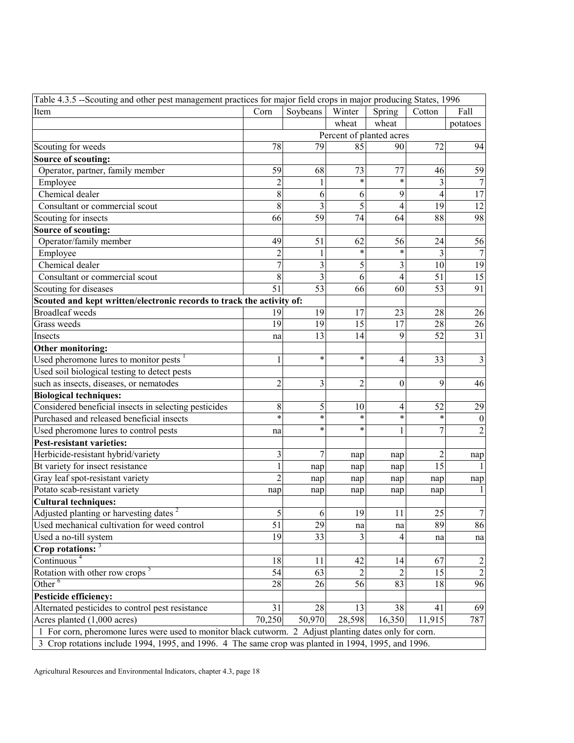<span id="page-17-9"></span><span id="page-17-8"></span><span id="page-17-7"></span><span id="page-17-6"></span><span id="page-17-5"></span><span id="page-17-4"></span><span id="page-17-3"></span><span id="page-17-2"></span><span id="page-17-1"></span><span id="page-17-0"></span>

| Table 4.3.5 --Scouting and other pest management practices for major field crops in major producing States, 1996 |                                                        |                          |                |                |        |                  |  |
|------------------------------------------------------------------------------------------------------------------|--------------------------------------------------------|--------------------------|----------------|----------------|--------|------------------|--|
| Item                                                                                                             | Corn<br>Soybeans<br>Winter<br>Spring<br>Cotton<br>Fall |                          |                |                |        |                  |  |
|                                                                                                                  |                                                        |                          | wheat          | wheat          |        | potatoes         |  |
|                                                                                                                  |                                                        | Percent of planted acres |                |                |        |                  |  |
| Scouting for weeds                                                                                               | 78                                                     | 79                       | 85             | 90             | 72     | 94               |  |
| Source of scouting:                                                                                              |                                                        |                          |                |                |        |                  |  |
| Operator, partner, family member                                                                                 | 59                                                     | 68                       | 73             | 77             | 46     | 59               |  |
| Employee                                                                                                         | $\overline{2}$                                         |                          | $\ast$         | $\star$        | 3      | $\tau$           |  |
| Chemical dealer                                                                                                  | 8                                                      | 6                        | 6              | 9              | 4      | 17               |  |
| Consultant or commercial scout                                                                                   | 8                                                      | 3                        | 5              | 4              | 19     | 12               |  |
| Scouting for insects                                                                                             | 66                                                     | 59                       | 74             | 64             | 88     | 98               |  |
| Source of scouting:                                                                                              |                                                        |                          |                |                |        |                  |  |
| Operator/family member                                                                                           | 49                                                     | 51                       | 62             | 56             | 24     | 56               |  |
| Employee                                                                                                         | $\overline{c}$                                         |                          | *              | $\star$        | 3      | $\boldsymbol{7}$ |  |
| Chemical dealer                                                                                                  | $\overline{7}$                                         | 3                        | 5              | 3              | 10     | 19               |  |
| Consultant or commercial scout                                                                                   | 8                                                      | 3                        | 6              | $\overline{4}$ | 51     | 15               |  |
| Scouting for diseases                                                                                            | 51                                                     | 53                       | 66             | 60             | 53     | 91               |  |
| Scouted and kept written/electronic records to track the activity of:                                            |                                                        |                          |                |                |        |                  |  |
| <b>Broadleaf</b> weeds                                                                                           | 19                                                     | 19                       | 17             | 23             | 28     | 26               |  |
| Grass weeds                                                                                                      | 19                                                     | 19                       | 15             | 17             | 28     | $26\,$           |  |
| Insects                                                                                                          | na                                                     | 13                       | 14             | 9              | 52     | 31               |  |
| Other monitoring:                                                                                                |                                                        |                          |                |                |        |                  |  |
| Used pheromone lures to monitor pests $1$                                                                        | $\mathbf{1}$                                           | $\ast$                   | $\ast$         | 4              | 33     | $\mathfrak{Z}$   |  |
| Used soil biological testing to detect pests                                                                     |                                                        |                          |                |                |        |                  |  |
| such as insects, diseases, or nematodes                                                                          | $\overline{2}$                                         | 3                        | $\overline{c}$ | $\overline{0}$ | 9      | 46               |  |
| <b>Biological techniques:</b>                                                                                    |                                                        |                          |                |                |        |                  |  |
| Considered beneficial insects in selecting pesticides                                                            | 8                                                      | 5                        | 10             | 4              | 52     | 29               |  |
| Purchased and released beneficial insects                                                                        | $\ast$                                                 | $\ast$                   | $\ast$         | $\star$        | $\ast$ | $\boldsymbol{0}$ |  |
| Used pheromone lures to control pests                                                                            | na                                                     | $\ast$                   | $\ast$         | 1              | 7      | $\overline{c}$   |  |
| <b>Pest-resistant varieties:</b>                                                                                 |                                                        |                          |                |                |        |                  |  |
| Herbicide-resistant hybrid/variety                                                                               | 3                                                      | 7                        | nap            | nap            | 2      | nap              |  |
| Bt variety for insect resistance                                                                                 | $\mathbf{1}$                                           | nap                      | nap            | nap            | 15     | $\mathbf{1}$     |  |
| Gray leaf spot-resistant variety                                                                                 | $\overline{2}$                                         | nap                      | nap            | nap            | nap    | nap              |  |
| Potato scab-resistant variety                                                                                    | nap                                                    | nap                      | nap            | nap            | nap    | $\mathbf{1}$     |  |
| <b>Cultural techniques:</b>                                                                                      |                                                        |                          |                |                |        |                  |  |
| Adjusted planting or harvesting dates <sup>2</sup>                                                               | $\sqrt{5}$                                             | $\sqrt{6}$               | 19             | $11\,$         | $25\,$ | $\boldsymbol{7}$ |  |
| Used mechanical cultivation for weed control                                                                     | 51                                                     | 29                       | na             | na             | 89     | 86               |  |
| Used a no-till system                                                                                            | 19                                                     | 33                       | 3              | 4              | na     | na               |  |
| Crop rotations: $3$                                                                                              |                                                        |                          |                |                |        |                  |  |
| Continuous $4$                                                                                                   | 18                                                     | 11                       | 42             | 14             | 67     | $\overline{c}$   |  |
| Rotation with other row crops <sup>5</sup>                                                                       | 54                                                     | 63                       |                | 2              | 15     | $\boldsymbol{2}$ |  |
| Other $6$                                                                                                        | 28                                                     | 26                       | 56             | 83             | 18     | 96               |  |
| <b>Pesticide efficiency:</b>                                                                                     |                                                        |                          |                |                |        |                  |  |
| Alternated pesticides to control pest resistance                                                                 | 31                                                     | 28                       | 13             | 38             | 41     | 69               |  |
| Acres planted (1,000 acres)                                                                                      | 70,250                                                 | 50,970                   | 28,598         | 16,350         | 11,915 | 787              |  |
| 1 For corn, pheromone lures were used to monitor black cutworm. 2 Adjust planting dates only for corn.           |                                                        |                          |                |                |        |                  |  |
| 3 Crop rotations include 1994, 1995, and 1996. 4 The same crop was planted in 1994, 1995, and 1996.              |                                                        |                          |                |                |        |                  |  |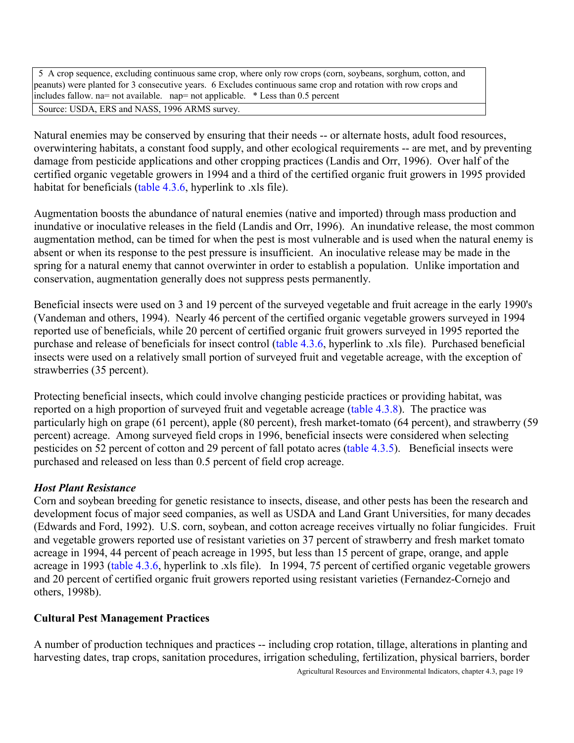<span id="page-18-0"></span> 5 A crop sequence, excluding continuous same crop, where only row crops (corn, soybeans, sorghum, cotton, and peanuts) were planted for 3 consecutive years. 6 Excludes continuous same crop and rotation with row crops and includes fallow. na= not available. nap= not applicable. \* Less than 0.5 percent Source: USDA, ERS and NASS, 1996 ARMS survey.

Natural enemies may be conserved by ensuring that their needs -- or alternate hosts, adult food resources, overwintering habitats, a constant food supply, and other ecological requirements -- are met, and by preventing damage from pesticide applications and other cropping practices (Landis and Orr, 1996). Over half of the certified organic vegetable growers in 1994 and a third of the certified organic fruit growers in 1995 provided habitat for beneficials (table 4.3.6, hyperlink to .xls file).

Augmentation boosts the abundance of natural enemies (native and imported) through mass production and inundative or inoculative releases in the field (Landis and Orr, 1996). An inundative release, the most common augmentation method, can be timed for when the pest is most vulnerable and is used when the natural enemy is absent or when its response to the pest pressure is insufficient. An inoculative release may be made in the spring for a natural enemy that cannot overwinter in order to establish a population. Unlike importation and conservation, augmentation generally does not suppress pests permanently.

Beneficial insects were used on 3 and 19 percent of the surveyed vegetable and fruit acreage in the early 1990's (Vandeman and others, 1994). Nearly 46 percent of the certified organic vegetable growers surveyed in 1994 reported use of beneficials, while 20 percent of certified organic fruit growers surveyed in 1995 reported the purchase and release of beneficials for insect control (table 4.3.6, hyperlink to .xls file). Purchased beneficial insects were used on a relatively small portion of surveyed fruit and vegetable acreage, with the exception of strawberries (35 percent).

Protecting beneficial insects, which could involve changing pesticide practices or providing habitat, was reported on a high proportion of surveyed fruit and vegetable acreage [\(table 4.3.8\).](#page-20-1) The practice was particularly high on grape (61 percent), apple (80 percent), fresh market-tomato (64 percent), and strawberry (59 percent) acreage. Among surveyed field crops in 1996, beneficial insects were considered when selecting pesticides on 52 percent of cotton and 29 percent of fall potato acres [\(table 4.3.5\).](#page-17-1) Beneficial insects were purchased and released on less than 0.5 percent of field crop acreage.

# *Host Plant Resistance*

Corn and soybean breeding for genetic resistance to insects, disease, and other pests has been the research and development focus of major seed companies, as well as USDA and Land Grant Universities, for many decades (Edwards and Ford, 1992). U.S. corn, soybean, and cotton acreage receives virtually no foliar fungicides. Fruit and vegetable growers reported use of resistant varieties on 37 percent of strawberry and fresh market tomato acreage in 1994, 44 percent of peach acreage in 1995, but less than 15 percent of grape, orange, and apple acreage in 1993 (table 4.3.6, hyperlink to .xls file). In 1994, 75 percent of certified organic vegetable growers and 20 percent of certified organic fruit growers reported using resistant varieties (Fernandez-Cornejo and others, 1998b).

# **Cultural Pest Management Practices**

A number of production techniques and practices -- including crop rotation, tillage, alterations in planting and harvesting dates, trap crops, sanitation procedures, irrigation scheduling, fertilization, physical barriers, border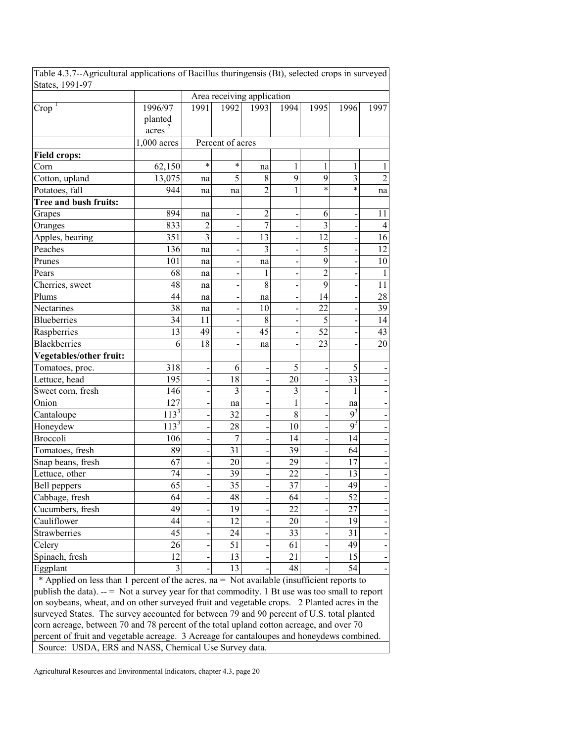| States, 1991-97                                                                            |             |                            |                  |                         |              |                         |                 |                |
|--------------------------------------------------------------------------------------------|-------------|----------------------------|------------------|-------------------------|--------------|-------------------------|-----------------|----------------|
|                                                                                            |             | Area receiving application |                  |                         |              |                         |                 |                |
| Crop <sup>T</sup>                                                                          | 1996/97     | 1991                       | 1992             | 1993                    | 1994         | 1995                    | 1996            | 1997           |
|                                                                                            | planted     |                            |                  |                         |              |                         |                 |                |
|                                                                                            | acres       |                            |                  |                         |              |                         |                 |                |
|                                                                                            | 1,000 acres |                            | Percent of acres |                         |              |                         |                 |                |
| <b>Field crops:</b>                                                                        |             |                            |                  |                         |              |                         |                 |                |
| Corn                                                                                       | 62,150      | $\star$                    | $\ast$           | na                      | 1            | $\mathbf{1}$            | 1               | 1              |
| Cotton, upland                                                                             | 13,075      | na                         | 5                | 8                       | 9            | 9                       | 3               | $\overline{2}$ |
| Potatoes, fall                                                                             | 944         | na                         | na               | $\overline{2}$          | $\mathbf{1}$ | $\ast$                  | $\ast$          | na             |
| Tree and bush fruits:                                                                      |             |                            |                  |                         |              |                         |                 |                |
| Grapes                                                                                     | 894         | na                         |                  | $\overline{c}$          |              | 6                       |                 | 11             |
| Oranges                                                                                    | 833         | $\overline{2}$             |                  | $\overline{7}$          |              | $\overline{\mathbf{3}}$ |                 | $\overline{4}$ |
| Apples, bearing                                                                            | 351         | 3                          |                  | 13                      |              | 12                      |                 | 16             |
| Peaches                                                                                    | 136         | na                         |                  | $\overline{\mathbf{3}}$ |              | 5                       |                 | 12             |
| Prunes                                                                                     | 101         | na                         |                  | na                      |              | 9                       |                 | 10             |
| Pears                                                                                      | 68          | na                         |                  | 1                       |              | $\overline{2}$          |                 | $\mathbf{1}$   |
| Cherries, sweet                                                                            | 48          | na                         |                  | 8                       |              | 9                       |                 | 11             |
| Plums                                                                                      | 44          | na                         |                  | na                      |              | 14                      |                 | 28             |
| Nectarines                                                                                 | 38          | na                         |                  | 10                      |              | 22                      |                 | 39             |
| <b>Blueberries</b>                                                                         | 34          | 11                         |                  | 8                       |              | 5                       |                 | 14             |
| Raspberries                                                                                | 13          | 49                         |                  | 45                      |              | 52                      |                 | 43             |
| <b>Blackberries</b>                                                                        | 6           | 18                         |                  | na                      |              | 23                      |                 | 20             |
| Vegetables/other fruit:                                                                    |             |                            |                  |                         |              |                         |                 |                |
| Tomatoes, proc.                                                                            | 318         |                            | 6                |                         | 5            |                         | 5               |                |
| Lettuce, head                                                                              | 195         |                            | 18               |                         | 20           |                         | 33              |                |
| Sweet corn, fresh                                                                          | 146         |                            | 3                |                         | 3            |                         | 1               |                |
| Onion                                                                                      | 127         |                            | na               |                         | $\mathbf{1}$ |                         | na              |                |
| Cantaloupe                                                                                 | $113^3$     |                            | 32               |                         | $8\,$        |                         | $9^3$           |                |
| Honeydew                                                                                   | $113^3$     |                            | 28               |                         | 10           |                         | $9^3$           |                |
| Broccoli                                                                                   | 106         |                            | $\overline{7}$   |                         | 14           |                         | 14              |                |
| Tomatoes, fresh                                                                            | 89          |                            | 31               |                         | 39           |                         | 64              |                |
| Snap beans, fresh                                                                          | 67          |                            | 20               |                         | 29           |                         | 17              |                |
| Lettuce, other                                                                             | 74          |                            | 39               |                         | 22           |                         | 13              |                |
| Bell peppers                                                                               | 65          |                            | 35               |                         | 37           |                         | 49              |                |
| Cabbage, fresh                                                                             | 64          |                            | 48               |                         | 64           |                         | $\overline{52}$ |                |
| Cucumbers, fresh                                                                           | 49          |                            | 19               |                         | 22           |                         | 27              |                |
| Cauliflower                                                                                | 44          |                            | 12               |                         | 20           |                         | 19              |                |
| Strawberries                                                                               | 45          |                            | 24               |                         | 33           |                         | 31              |                |
| Celery                                                                                     | 26          |                            | 51               |                         | 61           |                         | 49              |                |
| Spinach, fresh                                                                             | 12          |                            | 13               |                         | 21           |                         | 15              |                |
| Eggplant                                                                                   | 3           |                            | 13               |                         | 48           |                         | 54              |                |
| * Applied on less than 1 percent of the acres. na = Not available (insufficient reports to |             |                            |                  |                         |              |                         |                 |                |

<span id="page-19-2"></span><span id="page-19-1"></span><span id="page-19-0"></span>Table 4.3.7--Agricultural applications of Bacillus thuringensis (Bt), selected crops in surveyed

publish the data).  $-$  = Not a survey year for that commodity. 1 Bt use was too small to report on soybeans, wheat, and on other surveyed fruit and vegetable crops. 2 Planted acres in the surveyed States. The survey accounted for between 79 and 90 percent of U.S. total planted corn acreage, between 70 and 78 percent of the total upland cotton acreage, and over 70 percent of fruit and vegetable acreage. 3 Acreage for cantaloupes and honeydews combined. Source: USDA, ERS and NASS, Chemical Use Survey data.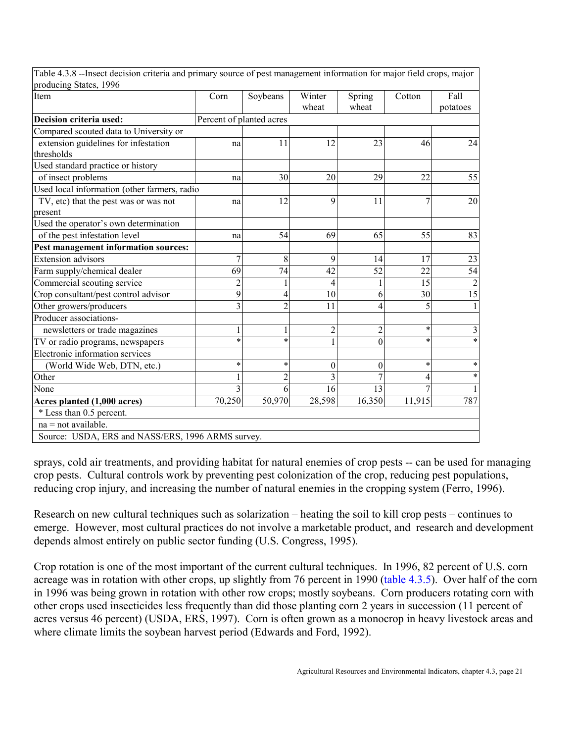| Item                                              | Corn                     | Soybeans       | Winter         | Spring           | Cotton  | Fall            |
|---------------------------------------------------|--------------------------|----------------|----------------|------------------|---------|-----------------|
|                                                   |                          |                | wheat          | wheat            |         | potatoes        |
| Decision criteria used:                           | Percent of planted acres |                |                |                  |         |                 |
| Compared scouted data to University or            |                          |                |                |                  |         |                 |
| extension guidelines for infestation              | na                       | 11             | 12             | 23               | 46      | 24              |
| thresholds                                        |                          |                |                |                  |         |                 |
| Used standard practice or history                 |                          |                |                |                  |         |                 |
| of insect problems                                | na                       | 30             | 20             | 29               | 22      | 55              |
| Used local information (other farmers, radio      |                          |                |                |                  |         |                 |
| TV, etc) that the pest was or was not             | na                       | 12             | 9              | 11               | 7       | 20              |
| present                                           |                          |                |                |                  |         |                 |
| Used the operator's own determination             |                          |                |                |                  |         |                 |
| of the pest infestation level                     | na                       | 54             | 69             | 65               | 55      | 83              |
| Pest management information sources:              |                          |                |                |                  |         |                 |
| <b>Extension</b> advisors                         | $\overline{7}$           | 8              | 9              | 14               | 17      | 23              |
| Farm supply/chemical dealer                       | 69                       | 74             | 42             | 52               | 22      | 54              |
| Commercial scouting service                       | $\overline{c}$           | 1              | 4              | 1                | 15      | $\sqrt{2}$      |
| Crop consultant/pest control advisor              | 9                        | 4              | 10             | 6                | 30      | $\overline{15}$ |
| Other growers/producers                           | $\overline{3}$           | $\overline{2}$ | 11             | 4                | 5       | 1               |
| Producer associations-                            |                          |                |                |                  |         |                 |
| newsletters or trade magazines                    | $\mathbf{1}$             | $\,1$          | $\overline{c}$ | $\overline{c}$   | $\star$ | 3               |
| TV or radio programs, newspapers                  | $\ast$                   | $\star$        |                | $\boldsymbol{0}$ | $\star$ | $\ast$          |
| Electronic information services                   |                          |                |                |                  |         |                 |
| (World Wide Web, DTN, etc.)                       | $\ast$                   | $\ast$         | $\theta$       | 0                | $\ast$  | $\ast$          |
| Other                                             | 1                        | $\overline{2}$ | 3              | $\overline{7}$   | 4       | $\ast$          |
| None                                              | 3                        | 6              | 16             | 13               |         |                 |
| Acres planted (1,000 acres)                       | 70,250                   | 50,970         | 28,598         | 16,350           | 11,915  | 787             |
| * Less than 0.5 percent.                          |                          |                |                |                  |         |                 |
| $na = not available.$                             |                          |                |                |                  |         |                 |
| Source: USDA, ERS and NASS/ERS, 1996 ARMS survey. |                          |                |                |                  |         |                 |

<span id="page-20-3"></span><span id="page-20-2"></span><span id="page-20-1"></span><span id="page-20-0"></span>Table 4.3.8 --Insect decision criteria and primary source of pest management information for major field crops, major

sprays, cold air treatments, and providing habitat for natural enemies of crop pests -- can be used for managing crop pests. Cultural controls work by preventing pest colonization of the crop, reducing pest populations, reducing crop injury, and increasing the number of natural enemies in the cropping system (Ferro, 1996).

Research on new cultural techniques such as solarization  $-$  heating the soil to kill crop pests  $-$  continues to emerge. However, most cultural practices do not involve a marketable product, and research and development depends almost entirely on public sector funding (U.S. Congress, 1995).

Crop rotation is one of the most important of the current cultural techniques. In 1996, 82 percent of U.S. corn acreage was in rotation with other crops, up slightly from 76 percent in 1990 [\(table 4.3.5\).](#page-17-2) Over half of the corn in 1996 was being grown in rotation with other row crops; mostly soybeans. Corn producers rotating corn with other crops used insecticides less frequently than did those planting corn 2 years in succession (11 percent of acres versus 46 percent) (USDA, ERS, 1997). Corn is often grown as a monocrop in heavy livestock areas and where climate limits the soybean harvest period (Edwards and Ford, 1992).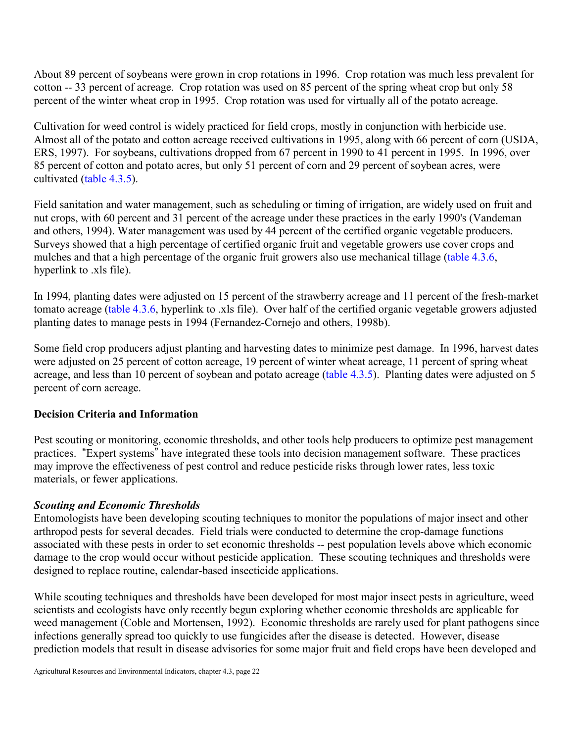About 89 percent of soybeans were grown in crop rotations in 1996. Crop rotation was much less prevalent for cotton -- 33 percent of acreage. Crop rotation was used on 85 percent of the spring wheat crop but only 58 percent of the winter wheat crop in 1995. Crop rotation was used for virtually all of the potato acreage.

Cultivation for weed control is widely practiced for field crops, mostly in conjunction with herbicide use. Almost all of the potato and cotton acreage received cultivations in 1995, along with 66 percent of corn (USDA, ERS, 1997). For soybeans, cultivations dropped from 67 percent in 1990 to 41 percent in 1995. In 1996, over 85 percent of cotton and potato acres, but only 51 percent of corn and 29 percent of soybean acres, were cultivated [\(table 4.3.5\).](#page-17-3)

Field sanitation and water management, such as scheduling or timing of irrigation, are widely used on fruit and nut crops, with 60 percent and 31 percent of the acreage under these practices in the early 1990's (Vandeman and others, 1994). Water management was used by 44 percent of the certified organic vegetable producers. Surveys showed that a high percentage of certified organic fruit and vegetable growers use cover crops and mulches and that a high percentage of the organic fruit growers also use mechanical tillage (table 4.3.6, hyperlink to .xls file).

<span id="page-21-0"></span>In 1994, planting dates were adjusted on 15 percent of the strawberry acreage and 11 percent of the fresh-market tomato acreage (table 4.3.6, hyperlink to .xls file). Over half of the certified organic vegetable growers adjusted planting dates to manage pests in 1994 (Fernandez-Cornejo and others, 1998b).

Some field crop producers adjust planting and harvesting dates to minimize pest damage. In 1996, harvest dates were adjusted on 25 percent of cotton acreage, 19 percent of winter wheat acreage, 11 percent of spring wheat acreage, and less than 10 percent of soybean and potato acreage [\(table 4.3.5\).](#page-17-4) Planting dates were adjusted on 5 percent of corn acreage.

# <span id="page-21-1"></span>**Decision Criteria and Information**

Pest scouting or monitoring, economic thresholds, and other tools help producers to optimize pest management practices. "Expert systems" have integrated these tools into decision management software. These practices may improve the effectiveness of pest control and reduce pesticide risks through lower rates, less toxic materials, or fewer applications.

# *Scouting and Economic Thresholds*

Entomologists have been developing scouting techniques to monitor the populations of major insect and other arthropod pests for several decades. Field trials were conducted to determine the crop-damage functions associated with these pests in order to set economic thresholds -- pest population levels above which economic damage to the crop would occur without pesticide application. These scouting techniques and thresholds were designed to replace routine, calendar-based insecticide applications.

While scouting techniques and thresholds have been developed for most major insect pests in agriculture, weed scientists and ecologists have only recently begun exploring whether economic thresholds are applicable for weed management (Coble and Mortensen, 1992). Economic thresholds are rarely used for plant pathogens since infections generally spread too quickly to use fungicides after the disease is detected. However, disease prediction models that result in disease advisories for some major fruit and field crops have been developed and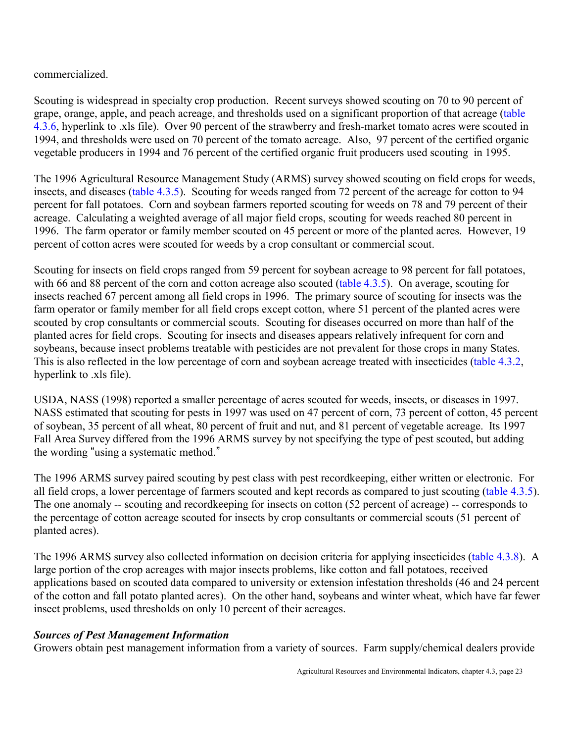commercialized.

Scouting is widespread in specialty crop production. Recent surveys showed scouting on 70 to 90 percent of grape, orange, apple, and peach acreage, and thresholds used on a significant proportion of that acreage (table 4.3.6, hyperlink to .xls file). Over 90 percent of the strawberry and fresh-market tomato acres were scouted in 1994, and thresholds were used on 70 percent of the tomato acreage. Also, 97 percent of the certified organic vegetable producers in 1994 and 76 percent of the certified organic fruit producers used scouting in 1995.

The 1996 Agricultural Resource Management Study (ARMS) survey showed scouting on field crops for weeds, insects, and diseases [\(table 4.3.5\).](#page-17-5) Scouting for weeds ranged from 72 percent of the acreage for cotton to 94 percent for fall potatoes. Corn and soybean farmers reported scouting for weeds on 78 and 79 percent of their acreage. Calculating a weighted average of all major field crops, scouting for weeds reached 80 percent in 1996. The farm operator or family member scouted on 45 percent or more of the planted acres. However, 19 percent of cotton acres were scouted for weeds by a crop consultant or commercial scout.

Scouting for insects on field crops ranged from 59 percent for soybean acreage to 98 percent for fall potatoes, with 66 and 88 percent of the corn and cotton acreage also scouted [\(table 4.3.5\).](#page-17-6) On average, scouting for insects reached 67 percent among all field crops in 1996. The primary source of scouting for insects was the farm operator or family member for all field crops except cotton, where 51 percent of the planted acres were scouted by crop consultants or commercial scouts. Scouting for diseases occurred on more than half of the planted acres for field crops. Scouting for insects and diseases appears relatively infrequent for corn and soybeans, because insect problems treatable with pesticides are not prevalent for those crops in many States. This is also reflected in the low percentage of corn and soybean acreage treated with insecticides (table 4.3.2, hyperlink to .xls file).

USDA, NASS (1998) reported a smaller percentage of acres scouted for weeds, insects, or diseases in 1997. NASS estimated that scouting for pests in 1997 was used on 47 percent of corn, 73 percent of cotton, 45 percent of soybean, 35 percent of all wheat, 80 percent of fruit and nut, and 81 percent of vegetable acreage. Its 1997 Fall Area Survey differed from the 1996 ARMS survey by not specifying the type of pest scouted, but adding the wording "using a systematic method."

The 1996 ARMS survey paired scouting by pest class with pest recordkeeping, either written or electronic. For all field crops, a lower percentage of farmers scouted and kept records as compared to just scouting [\(table 4.3.5\).](#page-17-7) The one anomaly -- scouting and recordkeeping for insects on cotton (52 percent of acreage) -- corresponds to the percentage of cotton acreage scouted for insects by crop consultants or commercial scouts (51 percent of planted acres).

The 1996 ARMS survey also collected information on decision criteria for applying insecticides [\(table 4.3.8\).](#page-20-2) A large portion of the crop acreages with major insects problems, like cotton and fall potatoes, received applications based on scouted data compared to university or extension infestation thresholds (46 and 24 percent of the cotton and fall potato planted acres). On the other hand, soybeans and winter wheat, which have far fewer insect problems, used thresholds on only 10 percent of their acreages.

#### *Sources of Pest Management Information*

Growers obtain pest management information from a variety of sources. Farm supply/chemical dealers provide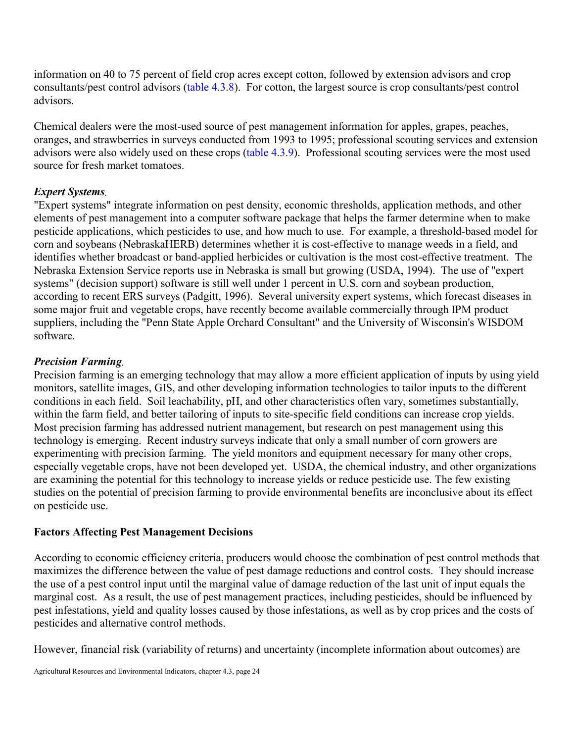information on 40 to 75 percent of field crop acres except cotton, followed by extension advisors and crop consultants/pest control advisors [\(table 4.3.8\).](#page-20-3) For cotton, the largest source is crop consultants/pest control advisors.

Chemical dealers were the most-used source of pest management information for apples, grapes, peaches, oranges, and strawberries in surveys conducted from 1993 to 1995; professional scouting services and extension advisors were also widely used on these crops [\(table 4.3.9\).](#page-24-0) Professional scouting services were the most used source for fresh market tomatoes.

# *Expert Systems.*

<span id="page-23-0"></span>"Expert systems" integrate information on pest density, economic thresholds, application methods, and other elements of pest management into a computer software package that helps the farmer determine when to make pesticide applications, which pesticides to use, and how much to use. For example, a threshold-based model for corn and soybeans (NebraskaHERB) determines whether it is cost-effective to manage weeds in a field, and identifies whether broadcast or band-applied herbicides or cultivation is the most cost-effective treatment. The Nebraska Extension Service reports use in Nebraska is small but growing (USDA, 1994). The use of "expert systems" (decision support) software is still well under 1 percent in U.S. corn and soybean production, according to recent ERS surveys (Padgitt, 1996). Several university expert systems, which forecast diseases in some major fruit and vegetable crops, have recently become available commercially through IPM product suppliers, including the "Penn State Apple Orchard Consultant" and the University of Wisconsin's WISDOM software.

# *Precision Farming.*

Precision farming is an emerging technology that may allow a more efficient application of inputs by using yield monitors, satellite images, GIS, and other developing information technologies to tailor inputs to the different conditions in each field. Soil leachability, pH, and other characteristics often vary, sometimes substantially, within the farm field, and better tailoring of inputs to site-specific field conditions can increase crop yields. Most precision farming has addressed nutrient management, but research on pest management using this technology is emerging. Recent industry surveys indicate that only a small number of corn growers are experimenting with precision farming. The yield monitors and equipment necessary for many other crops, especially vegetable crops, have not been developed yet. USDA, the chemical industry, and other organizations are examining the potential for this technology to increase yields or reduce pesticide use. The few existing studies on the potential of precision farming to provide environmental benefits are inconclusive about its effect on pesticide use.

# **Factors Affecting Pest Management Decisions**

According to economic efficiency criteria, producers would choose the combination of pest control methods that maximizes the difference between the value of pest damage reductions and control costs. They should increase the use of a pest control input until the marginal value of damage reduction of the last unit of input equals the marginal cost. As a result, the use of pest management practices, including pesticides, should be influenced by pest infestations, yield and quality losses caused by those infestations, as well as by crop prices and the costs of pesticides and alternative control methods.

However, financial risk (variability of returns) and uncertainty (incomplete information about outcomes) are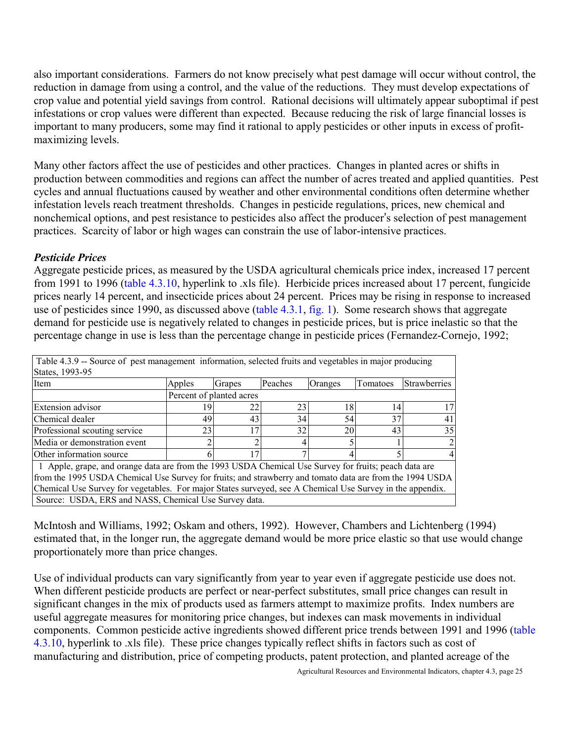also important considerations. Farmers do not know precisely what pest damage will occur without control, the reduction in damage from using a control, and the value of the reductions. They must develop expectations of crop value and potential yield savings from control. Rational decisions will ultimately appear suboptimal if pest infestations or crop values were different than expected. Because reducing the risk of large financial losses is important to many producers, some may find it rational to apply pesticides or other inputs in excess of profitmaximizing levels.

Many other factors affect the use of pesticides and other practices. Changes in planted acres or shifts in production between commodities and regions can affect the number of acres treated and applied quantities. Pest cycles and annual fluctuations caused by weather and other environmental conditions often determine whether infestation levels reach treatment thresholds. Changes in pesticide regulations, prices, new chemical and nonchemical options, and pest resistance to pesticides also affect the producer's selection of pest management practices. Scarcity of labor or high wages can constrain the use of labor-intensive practices.

# *Pesticide Prices*

Aggregate pesticide prices, as measured by the USDA agricultural chemicals price index, increased 17 percent from 1991 to 1996 (table 4.3.10, hyperlink to .xls file). Herbicide prices increased about 17 percent, fungicide prices nearly 14 percent, and insecticide prices about 24 percent. Prices may be rising in response to increased use of pesticides since 1990, as discussed above [\(table 4.3.1,](#page-6-6) [fig. 1\).](#page-5-2) Some research shows that aggregate demand for pesticide use is negatively related to changes in pesticide prices, but is price inelastic so that the percentage change in use is less than the percentage change in pesticide prices (Fernandez-Cornejo, 1992;

<span id="page-24-0"></span>

| Table 4.3.9 -- Source of pest management information, selected fruits and vegetables in major producing   |        |                          |         |         |          |                     |
|-----------------------------------------------------------------------------------------------------------|--------|--------------------------|---------|---------|----------|---------------------|
| States, 1993-95                                                                                           |        |                          |         |         |          |                     |
| Item                                                                                                      | Apples | Grapes                   | Peaches | Oranges | Tomatoes | <b>Strawberries</b> |
|                                                                                                           |        | Percent of planted acres |         |         |          |                     |
| <b>Extension advisor</b>                                                                                  | 19     | 22                       | 23      | 18      | 14       |                     |
| Chemical dealer                                                                                           | 49     | 43                       | 34      | 54      | 37       | 41                  |
| Professional scouting service                                                                             | 23     | 17                       | 32      | 20      | 43       | 35                  |
| Media or demonstration event                                                                              |        |                          |         |         |          |                     |
| Other information source                                                                                  |        | 17                       |         |         |          |                     |
| 1 Apple, grape, and orange data are from the 1993 USDA Chemical Use Survey for fruits; peach data are     |        |                          |         |         |          |                     |
| from the 1995 USDA Chemical Use Survey for fruits; and strawberry and tomato data are from the 1994 USDA  |        |                          |         |         |          |                     |
| Chemical Use Survey for vegetables. For major States surveyed, see A Chemical Use Survey in the appendix. |        |                          |         |         |          |                     |
| Source: USDA, ERS and NASS, Chemical Use Survey data.                                                     |        |                          |         |         |          |                     |

McIntosh and Williams, 1992; Oskam and others, 1992). However, Chambers and Lichtenberg (1994) estimated that, in the longer run, the aggregate demand would be more price elastic so that use would change proportionately more than price changes.

Use of individual products can vary significantly from year to year even if aggregate pesticide use does not. When different pesticide products are perfect or near-perfect substitutes, small price changes can result in significant changes in the mix of products used as farmers attempt to maximize profits. Index numbers are useful aggregate measures for monitoring price changes, but indexes can mask movements in individual components. Common pesticide active ingredients showed different price trends between 1991 and 1996 (table 4.3.10, hyperlink to .xls file). These price changes typically reflect shifts in factors such as cost of manufacturing and distribution, price of competing products, patent protection, and planted acreage of the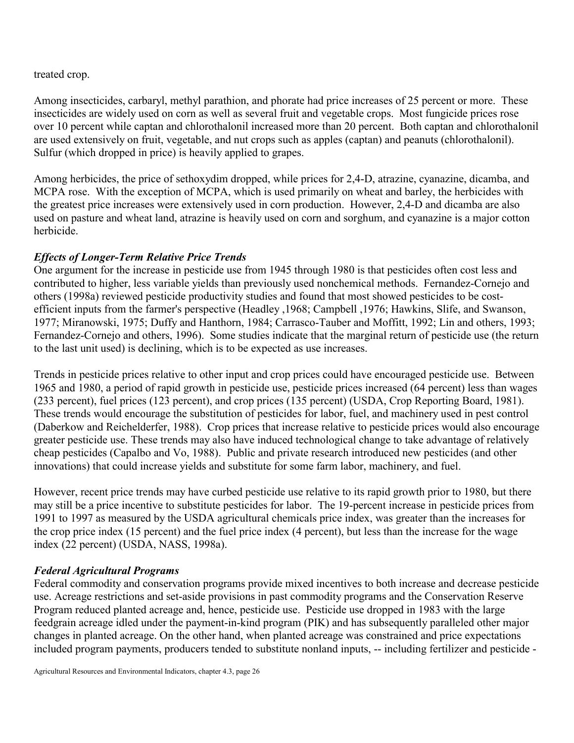treated crop.

Among insecticides, carbaryl, methyl parathion, and phorate had price increases of 25 percent or more. These insecticides are widely used on corn as well as several fruit and vegetable crops. Most fungicide prices rose over 10 percent while captan and chlorothalonil increased more than 20 percent. Both captan and chlorothalonil are used extensively on fruit, vegetable, and nut crops such as apples (captan) and peanuts (chlorothalonil). Sulfur (which dropped in price) is heavily applied to grapes.

Among herbicides, the price of sethoxydim dropped, while prices for 2,4-D, atrazine, cyanazine, dicamba, and MCPA rose. With the exception of MCPA, which is used primarily on wheat and barley, the herbicides with the greatest price increases were extensively used in corn production. However, 2,4-D and dicamba are also used on pasture and wheat land, atrazine is heavily used on corn and sorghum, and cyanazine is a major cotton herbicide.

# *Effects of Longer-Term Relative Price Trends*

One argument for the increase in pesticide use from 1945 through 1980 is that pesticides often cost less and contributed to higher, less variable yields than previously used nonchemical methods. Fernandez-Cornejo and others (1998a) reviewed pesticide productivity studies and found that most showed pesticides to be costefficient inputs from the farmer's perspective (Headley ,1968; Campbell ,1976; Hawkins, Slife, and Swanson, 1977; Miranowski, 1975; Duffy and Hanthorn, 1984; Carrasco-Tauber and Moffitt, 1992; Lin and others, 1993; Fernandez-Cornejo and others, 1996). Some studies indicate that the marginal return of pesticide use (the return to the last unit used) is declining, which is to be expected as use increases.

Trends in pesticide prices relative to other input and crop prices could have encouraged pesticide use. Between 1965 and 1980, a period of rapid growth in pesticide use, pesticide prices increased (64 percent) less than wages (233 percent), fuel prices (123 percent), and crop prices (135 percent) (USDA, Crop Reporting Board, 1981). These trends would encourage the substitution of pesticides for labor, fuel, and machinery used in pest control (Daberkow and Reichelderfer, 1988). Crop prices that increase relative to pesticide prices would also encourage greater pesticide use. These trends may also have induced technological change to take advantage of relatively cheap pesticides (Capalbo and Vo, 1988). Public and private research introduced new pesticides (and other innovations) that could increase yields and substitute for some farm labor, machinery, and fuel.

However, recent price trends may have curbed pesticide use relative to its rapid growth prior to 1980, but there may still be a price incentive to substitute pesticides for labor. The 19-percent increase in pesticide prices from 1991 to 1997 as measured by the USDA agricultural chemicals price index, was greater than the increases for the crop price index (15 percent) and the fuel price index (4 percent), but less than the increase for the wage index (22 percent) (USDA, NASS, 1998a).

# *Federal Agricultural Programs*

Federal commodity and conservation programs provide mixed incentives to both increase and decrease pesticide use. Acreage restrictions and set-aside provisions in past commodity programs and the Conservation Reserve Program reduced planted acreage and, hence, pesticide use. Pesticide use dropped in 1983 with the large feedgrain acreage idled under the payment-in-kind program (PIK) and has subsequently paralleled other major changes in planted acreage. On the other hand, when planted acreage was constrained and price expectations included program payments, producers tended to substitute nonland inputs, -- including fertilizer and pesticide -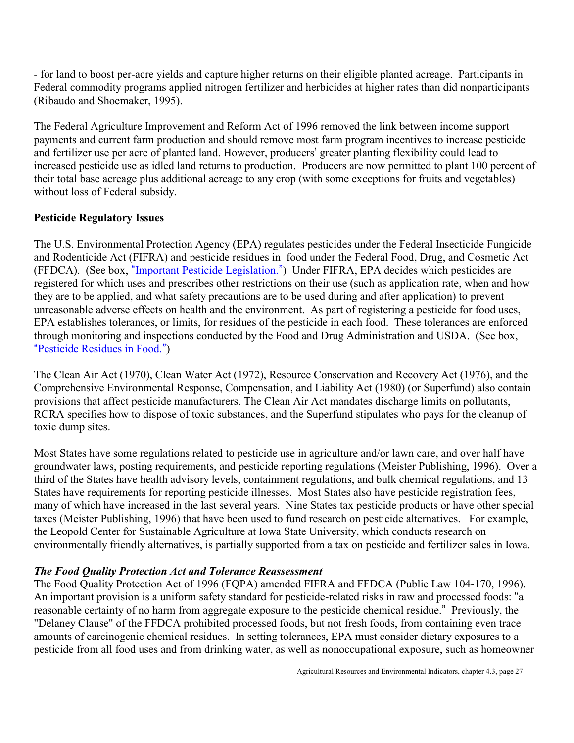<span id="page-26-0"></span>- for land to boost per-acre yields and capture higher returns on their eligible planted acreage. Participants in Federal commodity programs applied nitrogen fertilizer and herbicides at higher rates than did nonparticipants (Ribaudo and Shoemaker, 1995).

The Federal Agriculture Improvement and Reform Act of 1996 removed the link between income support payments and current farm production and should remove most farm program incentives to increase pesticide and fertilizer use per acre of planted land. However, producers' greater planting flexibility could lead to increased pesticide use as idled land returns to production. Producers are now permitted to plant 100 percent of their total base acreage plus additional acreage to any crop (with some exceptions for fruits and vegetables) without loss of Federal subsidy.

# **Pesticide Regulatory Issues**

The U.S. Environmental Protection Agency (EPA) regulates pesticides under the Federal Insecticide Fungicide and Rodenticide Act (FIFRA) and pesticide residues in food under the Federal Food, Drug, and Cosmetic Act (FFDCA). (See box, "[Important Pesticide Legislation.](#page-27-0)") Under FIFRA, EPA decides which pesticides are registered for which uses and prescribes other restrictions on their use (such as application rate, when and how they are to be applied, and what safety precautions are to be used during and after application) to prevent unreasonable adverse effects on health and the environment. As part of registering a pesticide for food uses, EPA establishes tolerances, or limits, for residues of the pesticide in each food. These tolerances are enforced through monitoring and inspections conducted by the Food and Drug Administration and USDA. (See box, "[Pesticide Residues in Food.](#page-28-0)")

The Clean Air Act (1970), Clean Water Act (1972), Resource Conservation and Recovery Act (1976), and the Comprehensive Environmental Response, Compensation, and Liability Act (1980) (or Superfund) also contain provisions that affect pesticide manufacturers. The Clean Air Act mandates discharge limits on pollutants, RCRA specifies how to dispose of toxic substances, and the Superfund stipulates who pays for the cleanup of toxic dump sites.

Most States have some regulations related to pesticide use in agriculture and/or lawn care, and over half have groundwater laws, posting requirements, and pesticide reporting regulations (Meister Publishing, 1996). Over a third of the States have health advisory levels, containment regulations, and bulk chemical regulations, and 13 States have requirements for reporting pesticide illnesses. Most States also have pesticide registration fees, many of which have increased in the last several years. Nine States tax pesticide products or have other special taxes (Meister Publishing, 1996) that have been used to fund research on pesticide alternatives. For example, the Leopold Center for Sustainable Agriculture at Iowa State University, which conducts research on environmentally friendly alternatives, is partially supported from a tax on pesticide and fertilizer sales in Iowa.

# *The Food Quality Protection Act and Tolerance Reassessment*

The Food Quality Protection Act of 1996 (FQPA) amended FIFRA and FFDCA (Public Law 104-170, 1996). An important provision is a uniform safety standard for pesticide-related risks in raw and processed foods: "a reasonable certainty of no harm from aggregate exposure to the pesticide chemical residue." Previously, the "Delaney Clause" of the FFDCA prohibited processed foods, but not fresh foods, from containing even trace amounts of carcinogenic chemical residues. In setting tolerances, EPA must consider dietary exposures to a pesticide from all food uses and from drinking water, as well as nonoccupational exposure, such as homeowner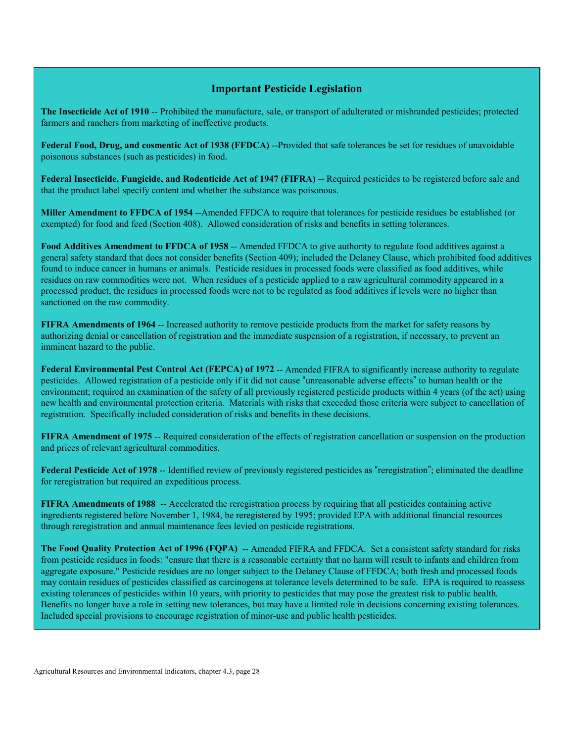#### **Important Pesticide Legislation**

<span id="page-27-0"></span>**The Insecticide Act of 1910** -- Prohibited the manufacture, sale, or transport of adulterated or misbranded pesticides; protected farmers and ranchers from marketing of ineffective products.

**Federal Food, Drug, and cosmentic Act of 1938 (FFDCA)** --Provided that safe tolerances be set for residues of unavoidable poisonous substances (such as pesticides) in food.

**Federal Insecticide, Fungicide, and Rodenticide Act of 1947 (FIFRA)** -- Required pesticides to be registered before sale and that the product label specify content and whether the substance was poisonous.

**Miller Amendment to FFDCA of 1954** --Amended FFDCA to require that tolerances for pesticide residues be established (or exempted) for food and feed (Section 408). Allowed consideration of risks and benefits in setting tolerances.

**Food Additives Amendment to FFDCA of 1958** -- Amended FFDCA to give authority to regulate food additives against a general safety standard that does not consider benefits (Section 409); included the Delaney Clause, which prohibited food additives found to induce cancer in humans or animals. Pesticide residues in processed foods were classified as food additives, while residues on raw commodities were not. When residues of a pesticide applied to a raw agricultural commodity appeared in a processed product, the residues in processed foods were not to be regulated as food additives if levels were no higher than sanctioned on the raw commodity.

**FIFRA Amendments of 1964** -- Increased authority to remove pesticide products from the market for safety reasons by authorizing denial or cancellation of registration and the immediate suspension of a registration, if necessary, to prevent an imminent hazard to the public.

**Federal Environmental Pest Control Act (FEPCA) of 1972** -- Amended FIFRA to significantly increase authority to regulate pesticides. Allowed registration of a pesticide only if it did not cause "unreasonable adverse effects" to human health or the environment; required an examination of the safety of all previously registered pesticide products within 4 years (of the act) using new health and environmental protection criteria. Materials with risks that exceeded those criteria were subject to cancellation of registration. Specifically included consideration of risks and benefits in these decisions.

**FIFRA Amendment of 1975** – Required consideration of the effects of registration cancellation or suspension on the production and prices of relevant agricultural commodities.

**Federal Pesticide Act of 1978** -- Identified review of previously registered pesticides as "reregistration"; eliminated the deadline for reregistration but required an expeditious process.

**FIFRA Amendments of 1988** -- Accelerated the reregistration process by requiring that all pesticides containing active ingredients registered before November 1, 1984, be reregistered by 1995; provided EPA with additional financial resources through reregistration and annual maintenance fees levied on pesticide registrations.

**The Food Quality Protection Act of 1996 (FQPA)** -- Amended FIFRA and FFDCA. Set a consistent safety standard for risks from pesticide residues in foods: "ensure that there is a reasonable certainty that no harm will result to infants and children from aggregate exposure." Pesticide residues are no longer subject to the Delaney Clause of FFDCA; both fresh and processed foods may contain residues of pesticides classified as carcinogens at tolerance levels determined to be safe. EPA is required to reassess existing tolerances of pesticides within 10 years, with priority to pesticides that may pose the greatest risk to public health. Benefits no longer have a role in setting new tolerances, but may have a limited role in decisions concerning existing tolerances. Included special provisions to encourage registration of minor-use and public health pesticides.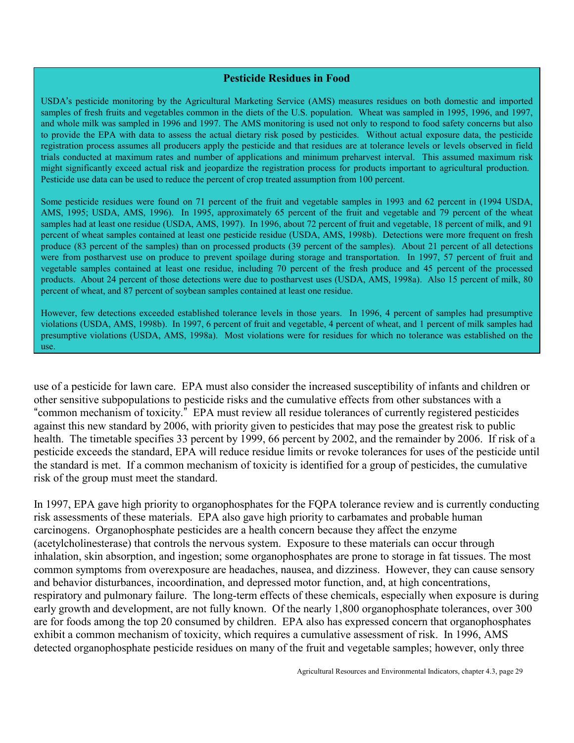#### **Pesticide Residues in Food**

<span id="page-28-1"></span><span id="page-28-0"></span>USDA's pesticide monitoring by the Agricultural Marketing Service (AMS) measures residues on both domestic and imported samples of fresh fruits and vegetables common in the diets of the U.S. population. Wheat was sampled in 1995, 1996, and 1997, and whole milk was sampled in 1996 and 1997. The AMS monitoring is used not only to respond to food safety concerns but also to provide the EPA with data to assess the actual dietary risk posed by pesticides. Without actual exposure data, the pesticide registration process assumes all producers apply the pesticide and that residues are at tolerance levels or levels observed in field trials conducted at maximum rates and number of applications and minimum preharvest interval. This assumed maximum risk might significantly exceed actual risk and jeopardize the registration process for products important to agricultural production. Pesticide use data can be used to reduce the percent of crop treated assumption from 100 percent.

Some pesticide residues were found on 71 percent of the fruit and vegetable samples in 1993 and 62 percent in (1994 USDA, AMS, 1995; USDA, AMS, 1996). In 1995, approximately 65 percent of the fruit and vegetable and 79 percent of the wheat samples had at least one residue (USDA, AMS, 1997). In 1996, about 72 percent of fruit and vegetable, 18 percent of milk, and 91 percent of wheat samples contained at least one pesticide residue (USDA, AMS, 1998b). Detections were more frequent on fresh produce (83 percent of the samples) than on processed products (39 percent of the samples). About 21 percent of all detections were from postharvest use on produce to prevent spoilage during storage and transportation. In 1997, 57 percent of fruit and vegetable samples contained at least one residue, including 70 percent of the fresh produce and 45 percent of the processed products. About 24 percent of those detections were due to postharvest uses (USDA, AMS, 1998a). Also 15 percent of milk, 80 percent of wheat, and 87 percent of soybean samples contained at least one residue.

However, few detections exceeded established tolerance levels in those years. In 1996, 4 percent of samples had presumptive violations (USDA, AMS, 1998b). In 1997, 6 percent of fruit and vegetable, 4 percent of wheat, and 1 percent of milk samples had presumptive violations (USDA, AMS, 1998a). Most violations were for residues for which no tolerance was established on the use.

use of a pesticide for lawn care. EPA must also consider the increased susceptibility of infants and children or other sensitive subpopulations to pesticide risks and the cumulative effects from other substances with a "common mechanism of toxicity." EPA must review all residue tolerances of currently registered pesticides against this new standard by 2006, with priority given to pesticides that may pose the greatest risk to public health. The timetable specifies 33 percent by 1999, 66 percent by 2002, and the remainder by 2006. If risk of a pesticide exceeds the standard, EPA will reduce residue limits or revoke tolerances for uses of the pesticide until the standard is met. If a common mechanism of toxicity is identified for a group of pesticides, the cumulative risk of the group must meet the standard.

In 1997, EPA gave high priority to organophosphates for the FQPA tolerance review and is currently conducting risk assessments of these materials. EPA also gave high priority to carbamates and probable human carcinogens. Organophosphate pesticides are a health concern because they affect the enzyme (acetylcholinesterase) that controls the nervous system. Exposure to these materials can occur through inhalation, skin absorption, and ingestion; some organophosphates are prone to storage in fat tissues. The most common symptoms from overexposure are headaches, nausea, and dizziness. However, they can cause sensory and behavior disturbances, incoordination, and depressed motor function, and, at high concentrations, respiratory and pulmonary failure. The long-term effects of these chemicals, especially when exposure is during early growth and development, are not fully known. Of the nearly 1,800 organophosphate tolerances, over 300 are for foods among the top 20 consumed by children. EPA also has expressed concern that organophosphates exhibit a common mechanism of toxicity, which requires a cumulative assessment of risk. In 1996, AMS detected organophosphate pesticide residues on many of the fruit and vegetable samples; however, only three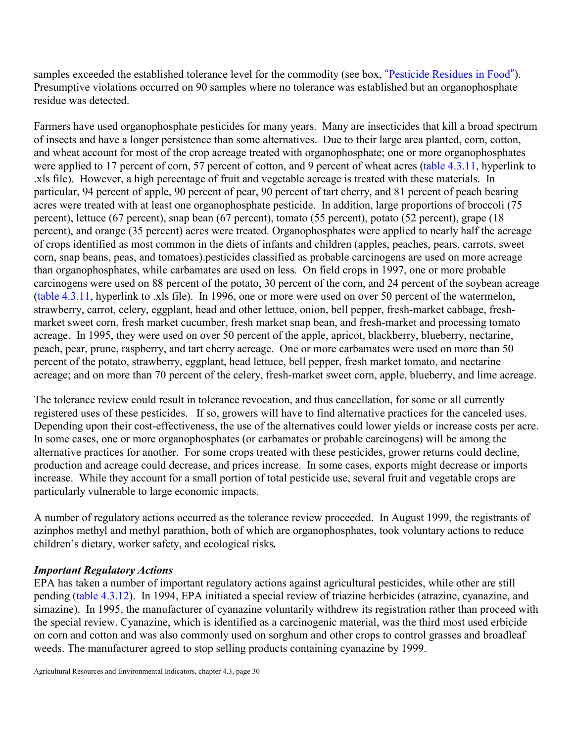samples exceeded the established tolerance level for the commodity (see box, "[Pesticide Residues in Food](#page-28-1)"). Presumptive violations occurred on 90 samples where no tolerance was established but an organophosphate residue was detected.

Farmers have used organophosphate pesticides for many years. Many are insecticides that kill a broad spectrum of insects and have a longer persistence than some alternatives. Due to their large area planted, corn, cotton, and wheat account for most of the crop acreage treated with organophosphate; one or more organophosphates were applied to 17 percent of corn, 57 percent of cotton, and 9 percent of wheat acres (table 4.3.11, hyperlink to .xls file). However, a high percentage of fruit and vegetable acreage is treated with these materials. In particular, 94 percent of apple, 90 percent of pear, 90 percent of tart cherry, and 81 percent of peach bearing acres were treated with at least one organophosphate pesticide. In addition, large proportions of broccoli (75 percent), lettuce (67 percent), snap bean (67 percent), tomato (55 percent), potato (52 percent), grape (18 percent), and orange (35 percent) acres were treated. Organophosphates were applied to nearly half the acreage of crops identified as most common in the diets of infants and children (apples, peaches, pears, carrots, sweet corn, snap beans, peas, and tomatoes).pesticides classified as probable carcinogens are used on more acreage than organophosphates, while carbamates are used on less. On field crops in 1997, one or more probable carcinogens were used on 88 percent of the potato, 30 percent of the corn, and 24 percent of the soybean acreage (table 4.3.11, hyperlink to .xls file). In 1996, one or more were used on over 50 percent of the watermelon, strawberry, carrot, celery, eggplant, head and other lettuce, onion, bell pepper, fresh-market cabbage, freshmarket sweet corn, fresh market cucumber, fresh market snap bean, and fresh-market and processing tomato acreage. In 1995, they were used on over 50 percent of the apple, apricot, blackberry, blueberry, nectarine, peach, pear, prune, raspberry, and tart cherry acreage. One or more carbamates were used on more than 50 percent of the potato, strawberry, eggplant, head lettuce, bell pepper, fresh market tomato, and nectarine acreage; and on more than 70 percent of the celery, fresh-market sweet corn, apple, blueberry, and lime acreage.

The tolerance review could result in tolerance revocation, and thus cancellation, for some or all currently registered uses of these pesticides. If so, growers will have to find alternative practices for the canceled uses. Depending upon their cost-effectiveness, the use of the alternatives could lower yields or increase costs per acre. In some cases, one or more organophosphates (or carbamates or probable carcinogens) will be among the alternative practices for another. For some crops treated with these pesticides, grower returns could decline, production and acreage could decrease, and prices increase. In some cases, exports might decrease or imports increase. While they account for a small portion of total pesticide use, several fruit and vegetable crops are particularly vulnerable to large economic impacts.

A number of regulatory actions occurred as the tolerance review proceeded. In August 1999, the registrants of azinphos methyl and methyl parathion, both of which are organophosphates, took voluntary actions to reduce children's dietary, worker safety, and ecological risks.

# *Important Regulatory Actions*

EPA has taken a number of important regulatory actions against agricultural pesticides, while other are still pending [\(table 4.3.12\).](#page-31-0) In 1994, EPA initiated a special review of triazine herbicides (atrazine, cyanazine, and simazine). In 1995, the manufacturer of cyanazine voluntarily withdrew its registration rather than proceed with the special review. Cyanazine, which is identified as a carcinogenic material, was the third most used erbicide on corn and cotton and was also commonly used on sorghum and other crops to control grasses and broadleaf weeds. The manufacturer agreed to stop selling products containing cyanazine by 1999.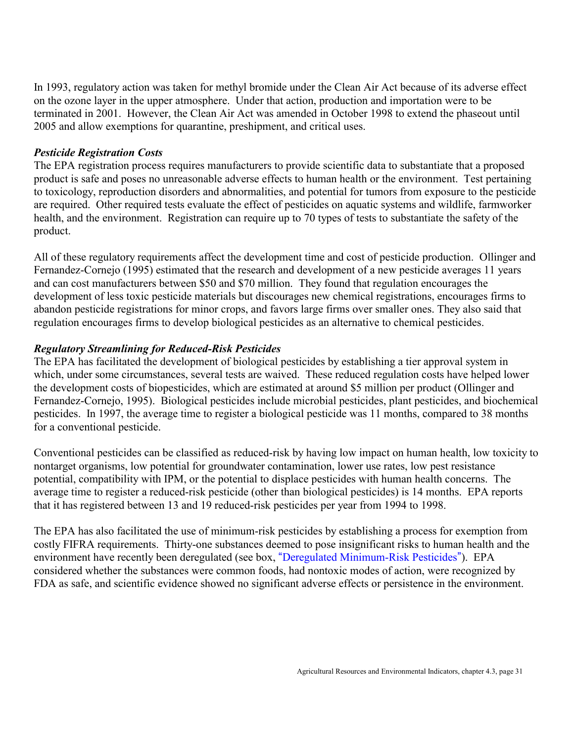In 1993, regulatory action was taken for methyl bromide under the Clean Air Act because of its adverse effect on the ozone layer in the upper atmosphere. Under that action, production and importation were to be terminated in 2001. However, the Clean Air Act was amended in October 1998 to extend the phaseout until 2005 and allow exemptions for quarantine, preshipment, and critical uses.

#### *Pesticide Registration Costs*

The EPA registration process requires manufacturers to provide scientific data to substantiate that a proposed product is safe and poses no unreasonable adverse effects to human health or the environment. Test pertaining to toxicology, reproduction disorders and abnormalities, and potential for tumors from exposure to the pesticide are required. Other required tests evaluate the effect of pesticides on aquatic systems and wildlife, farmworker health, and the environment. Registration can require up to 70 types of tests to substantiate the safety of the product.

All of these regulatory requirements affect the development time and cost of pesticide production. Ollinger and Fernandez-Cornejo (1995) estimated that the research and development of a new pesticide averages 11 years and can cost manufacturers between \$50 and \$70 million. They found that regulation encourages the development of less toxic pesticide materials but discourages new chemical registrations, encourages firms to abandon pesticide registrations for minor crops, and favors large firms over smaller ones. They also said that regulation encourages firms to develop biological pesticides as an alternative to chemical pesticides.

# *Regulatory Streamlining for Reduced-Risk Pesticides*

The EPA has facilitated the development of biological pesticides by establishing a tier approval system in which, under some circumstances, several tests are waived. These reduced regulation costs have helped lower the development costs of biopesticides, which are estimated at around \$5 million per product (Ollinger and Fernandez-Cornejo, 1995). Biological pesticides include microbial pesticides, plant pesticides, and biochemical pesticides. In 1997, the average time to register a biological pesticide was 11 months, compared to 38 months for a conventional pesticide.

Conventional pesticides can be classified as reduced-risk by having low impact on human health, low toxicity to nontarget organisms, low potential for groundwater contamination, lower use rates, low pest resistance potential, compatibility with IPM, or the potential to displace pesticides with human health concerns. The average time to register a reduced-risk pesticide (other than biological pesticides) is 14 months. EPA reports that it has registered between 13 and 19 reduced-risk pesticides per year from 1994 to 1998.

The EPA has also facilitated the use of minimum-risk pesticides by establishing a process for exemption from costly FIFRA requirements. Thirty-one substances deemed to pose insignificant risks to human health and the environment have recently been deregulated (see box, "[Deregulated Minimum-Risk Pesticides](#page-32-0)"). EPA considered whether the substances were common foods, had nontoxic modes of action, were recognized by FDA as safe, and scientific evidence showed no significant adverse effects or persistence in the environment.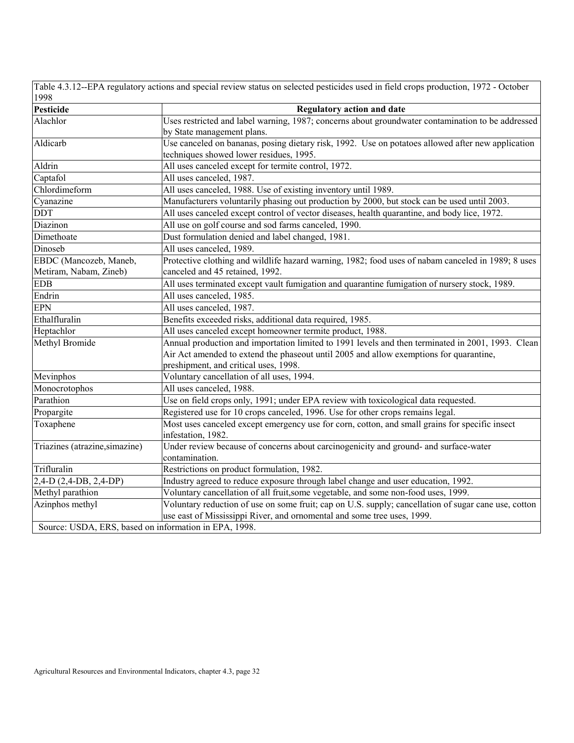<span id="page-31-0"></span>Table 4.3.12--EPA regulatory actions and special review status on selected pesticides used in field crops production, 1972 - October

| 1998                                                  |                                                                                                      |
|-------------------------------------------------------|------------------------------------------------------------------------------------------------------|
| Pesticide                                             | <b>Regulatory action and date</b>                                                                    |
| Alachlor                                              | Uses restricted and label warning, 1987; concerns about groundwater contamination to be addressed    |
|                                                       | by State management plans.                                                                           |
| Aldicarb                                              | Use canceled on bananas, posing dietary risk, 1992. Use on potatoes allowed after new application    |
|                                                       | techniques showed lower residues, 1995.                                                              |
| Aldrin                                                | All uses canceled except for termite control, 1972.                                                  |
| Captafol                                              | All uses canceled, 1987.                                                                             |
| Chlordimeform                                         | All uses canceled, 1988. Use of existing inventory until 1989.                                       |
| Cyanazine                                             | Manufacturers voluntarily phasing out production by 2000, but stock can be used until 2003.          |
| <b>DDT</b>                                            | All uses canceled except control of vector diseases, health quarantine, and body lice, 1972.         |
| Diazinon                                              | All use on golf course and sod farms canceled, 1990.                                                 |
| Dimethoate                                            | Dust formulation denied and label changed, 1981.                                                     |
| Dinoseb                                               | All uses canceled, 1989.                                                                             |
| EBDC (Mancozeb, Maneb,                                | Protective clothing and wildlife hazard warning, 1982; food uses of nabam canceled in 1989; 8 uses   |
| Metiram, Nabam, Zineb)                                | canceled and 45 retained, 1992.                                                                      |
| <b>EDB</b>                                            | All uses terminated except vault fumigation and quarantine fumigation of nursery stock, 1989.        |
| Endrin                                                | All uses canceled, 1985.                                                                             |
| <b>EPN</b>                                            | All uses canceled, 1987.                                                                             |
| Ethalfluralin                                         | Benefits exceeded risks, additional data required, 1985.                                             |
| Heptachlor                                            | All uses canceled except homeowner termite product, 1988.                                            |
| Methyl Bromide                                        | Annual production and importation limited to 1991 levels and then terminated in 2001, 1993. Clean    |
|                                                       | Air Act amended to extend the phaseout until 2005 and allow exemptions for quarantine,               |
|                                                       | preshipment, and critical uses, 1998.                                                                |
| Mevinphos                                             | Voluntary cancellation of all uses, 1994.                                                            |
| Monocrotophos                                         | All uses canceled, 1988.                                                                             |
| Parathion                                             | Use on field crops only, 1991; under EPA review with toxicological data requested.                   |
| Propargite                                            | Registered use for 10 crops canceled, 1996. Use for other crops remains legal.                       |
| Toxaphene                                             | Most uses canceled except emergency use for corn, cotton, and small grains for specific insect       |
|                                                       | infestation, 1982.                                                                                   |
| Triazines (atrazine, simazine)                        | Under review because of concerns about carcinogenicity and ground- and surface-water                 |
|                                                       | contamination.                                                                                       |
| Trifluralin                                           | Restrictions on product formulation, 1982.                                                           |
| $2,4-D$ (2,4-DB, 2,4-DP)                              | Industry agreed to reduce exposure through label change and user education, 1992.                    |
| Methyl parathion                                      | Voluntary cancellation of all fruit, some vegetable, and some non-food uses, 1999.                   |
| Azinphos methyl                                       | Voluntary reduction of use on some fruit; cap on U.S. supply; cancellation of sugar cane use, cotton |
|                                                       | use east of Mississippi River, and ornomental and some tree uses, 1999.                              |
| Source: USDA, ERS, based on information in EPA, 1998. |                                                                                                      |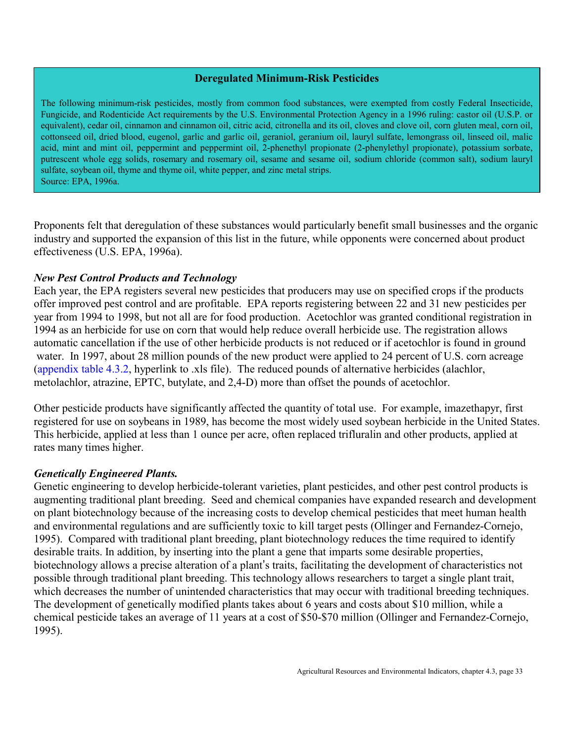#### **Deregulated Minimum-Risk Pesticides**

<span id="page-32-0"></span>The following minimum-risk pesticides, mostly from common food substances, were exempted from costly Federal Insecticide, Fungicide, and Rodenticide Act requirements by the U.S. Environmental Protection Agency in a 1996 ruling: castor oil (U.S.P. or equivalent), cedar oil, cinnamon and cinnamon oil, citric acid, citronella and its oil, cloves and clove oil, corn gluten meal, corn oil, cottonseed oil, dried blood, eugenol, garlic and garlic oil, geraniol, geranium oil, lauryl sulfate, lemongrass oil, linseed oil, malic acid, mint and mint oil, peppermint and peppermint oil, 2-phenethyl propionate (2-phenylethyl propionate), potassium sorbate, putrescent whole egg solids, rosemary and rosemary oil, sesame and sesame oil, sodium chloride (common salt), sodium lauryl sulfate, soybean oil, thyme and thyme oil, white pepper, and zinc metal strips. Source: EPA, 1996a.

Proponents felt that deregulation of these substances would particularly benefit small businesses and the organic industry and supported the expansion of this list in the future, while opponents were concerned about product effectiveness (U.S. EPA, 1996a).

#### *New Pest Control Products and Technology*

Each year, the EPA registers several new pesticides that producers may use on specified crops if the products offer improved pest control and are profitable. EPA reports registering between 22 and 31 new pesticides per year from 1994 to 1998, but not all are for food production. Acetochlor was granted conditional registration in 1994 as an herbicide for use on corn that would help reduce overall herbicide use. The registration allows automatic cancellation if the use of other herbicide products is not reduced or if acetochlor is found in ground water. In 1997, about 28 million pounds of the new product were applied to 24 percent of U.S. corn acreage (appendix table 4.3.2, hyperlink to .xls file). The reduced pounds of alternative herbicides (alachlor, metolachlor, atrazine, EPTC, butylate, and 2,4-D) more than offset the pounds of acetochlor.

Other pesticide products have significantly affected the quantity of total use. For example, imazethapyr, first registered for use on soybeans in 1989, has become the most widely used soybean herbicide in the United States. This herbicide, applied at less than 1 ounce per acre, often replaced trifluralin and other products, applied at rates many times higher.

#### *Genetically Engineered Plants.*

Genetic engineering to develop herbicide-tolerant varieties, plant pesticides, and other pest control products is augmenting traditional plant breeding. Seed and chemical companies have expanded research and development on plant biotechnology because of the increasing costs to develop chemical pesticides that meet human health and environmental regulations and are sufficiently toxic to kill target pests (Ollinger and Fernandez-Cornejo, 1995). Compared with traditional plant breeding, plant biotechnology reduces the time required to identify desirable traits. In addition, by inserting into the plant a gene that imparts some desirable properties, biotechnology allows a precise alteration of a plant's traits, facilitating the development of characteristics not possible through traditional plant breeding. This technology allows researchers to target a single plant trait, which decreases the number of unintended characteristics that may occur with traditional breeding techniques. The development of genetically modified plants takes about 6 years and costs about \$10 million, while a chemical pesticide takes an average of 11 years at a cost of \$50-\$70 million (Ollinger and Fernandez-Cornejo, 1995).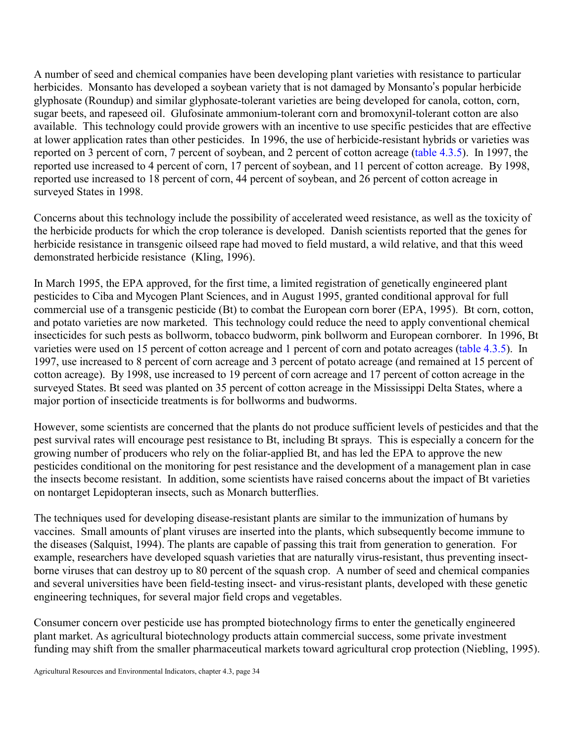A number of seed and chemical companies have been developing plant varieties with resistance to particular herbicides. Monsanto has developed a soybean variety that is not damaged by Monsanto's popular herbicide glyphosate (Roundup) and similar glyphosate-tolerant varieties are being developed for canola, cotton, corn, sugar beets, and rapeseed oil. Glufosinate ammonium-tolerant corn and bromoxynil-tolerant cotton are also available. This technology could provide growers with an incentive to use specific pesticides that are effective at lower application rates than other pesticides. In 1996, the use of herbicide-resistant hybrids or varieties was reported on 3 percent of corn, 7 percent of soybean, and 2 percent of cotton acreage [\(table 4.3.5\).](#page-17-8) In 1997, the reported use increased to 4 percent of corn, 17 percent of soybean, and 11 percent of cotton acreage. By 1998, reported use increased to 18 percent of corn, 44 percent of soybean, and 26 percent of cotton acreage in surveyed States in 1998.

Concerns about this technology include the possibility of accelerated weed resistance, as well as the toxicity of the herbicide products for which the crop tolerance is developed. Danish scientists reported that the genes for herbicide resistance in transgenic oilseed rape had moved to field mustard, a wild relative, and that this weed demonstrated herbicide resistance (Kling, 1996).

In March 1995, the EPA approved, for the first time, a limited registration of genetically engineered plant pesticides to Ciba and Mycogen Plant Sciences, and in August 1995, granted conditional approval for full commercial use of a transgenic pesticide (Bt) to combat the European corn borer (EPA, 1995). Bt corn, cotton, and potato varieties are now marketed. This technology could reduce the need to apply conventional chemical insecticides for such pests as bollworm, tobacco budworm, pink bollworm and European cornborer. In 1996, Bt varieties were used on 15 percent of cotton acreage and 1 percent of corn and potato acreages [\(table 4.3.5\).](#page-17-9) In 1997, use increased to 8 percent of corn acreage and 3 percent of potato acreage (and remained at 15 percent of cotton acreage). By 1998, use increased to 19 percent of corn acreage and 17 percent of cotton acreage in the surveyed States. Bt seed was planted on 35 percent of cotton acreage in the Mississippi Delta States, where a major portion of insecticide treatments is for bollworms and budworms.

However, some scientists are concerned that the plants do not produce sufficient levels of pesticides and that the pest survival rates will encourage pest resistance to Bt, including Bt sprays. This is especially a concern for the growing number of producers who rely on the foliar-applied Bt, and has led the EPA to approve the new pesticides conditional on the monitoring for pest resistance and the development of a management plan in case the insects become resistant. In addition, some scientists have raised concerns about the impact of Bt varieties on nontarget Lepidopteran insects, such as Monarch butterflies.

The techniques used for developing disease-resistant plants are similar to the immunization of humans by vaccines. Small amounts of plant viruses are inserted into the plants, which subsequently become immune to the diseases (Salquist, 1994). The plants are capable of passing this trait from generation to generation. For example, researchers have developed squash varieties that are naturally virus-resistant, thus preventing insectborne viruses that can destroy up to 80 percent of the squash crop. A number of seed and chemical companies and several universities have been field-testing insect- and virus-resistant plants, developed with these genetic engineering techniques, for several major field crops and vegetables.

Consumer concern over pesticide use has prompted biotechnology firms to enter the genetically engineered plant market. As agricultural biotechnology products attain commercial success, some private investment funding may shift from the smaller pharmaceutical markets toward agricultural crop protection (Niebling, 1995).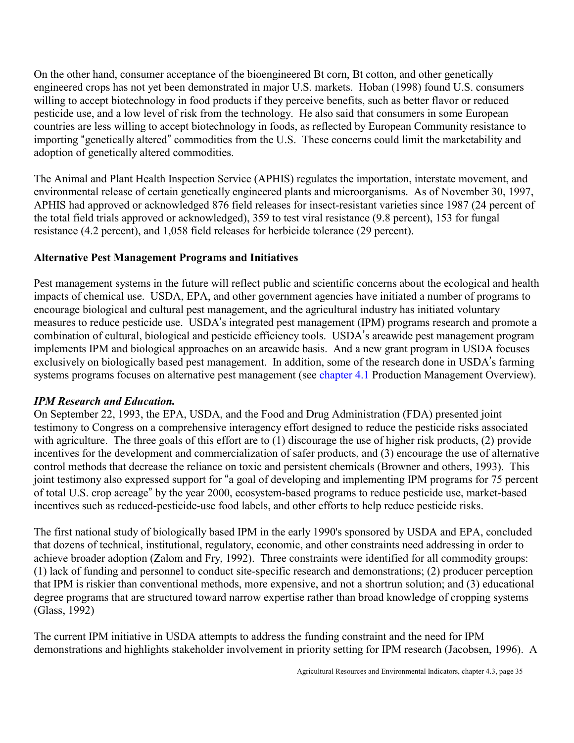<span id="page-34-0"></span>On the other hand, consumer acceptance of the bioengineered Bt corn, Bt cotton, and other genetically engineered crops has not yet been demonstrated in major U.S. markets. Hoban (1998) found U.S. consumers willing to accept biotechnology in food products if they perceive benefits, such as better flavor or reduced pesticide use, and a low level of risk from the technology. He also said that consumers in some European countries are less willing to accept biotechnology in foods, as reflected by European Community resistance to importing "genetically altered" commodities from the U.S. These concerns could limit the marketability and adoption of genetically altered commodities.

The Animal and Plant Health Inspection Service (APHIS) regulates the importation, interstate movement, and environmental release of certain genetically engineered plants and microorganisms. As of November 30, 1997, APHIS had approved or acknowledged 876 field releases for insect-resistant varieties since 1987 (24 percent of the total field trials approved or acknowledged), 359 to test viral resistance (9.8 percent), 153 for fungal resistance (4.2 percent), and 1,058 field releases for herbicide tolerance (29 percent).

# **Alternative Pest Management Programs and Initiatives**

Pest management systems in the future will reflect public and scientific concerns about the ecological and health impacts of chemical use. USDA, EPA, and other government agencies have initiated a number of programs to encourage biological and cultural pest management, and the agricultural industry has initiated voluntary measures to reduce pesticide use. USDA's integrated pest management (IPM) programs research and promote a combination of cultural, biological and pesticide efficiency tools. USDA's areawide pest management program implements IPM and biological approaches on an areawide basis. And a new grant program in USDA focuses exclusively on biologically based pest management. In addition, some of the research done in USDA's farming systems programs focuses on alternative pest management (see [chapter 4.1 P](http://www.ers.usda.gov/publications/ah712/AH7124-1.PDF)roduction Management Overview).

# *IPM Research and Education.*

On September 22, 1993, the EPA, USDA, and the Food and Drug Administration (FDA) presented joint testimony to Congress on a comprehensive interagency effort designed to reduce the pesticide risks associated with agriculture. The three goals of this effort are to (1) discourage the use of higher risk products, (2) provide incentives for the development and commercialization of safer products, and (3) encourage the use of alternative control methods that decrease the reliance on toxic and persistent chemicals (Browner and others, 1993). This joint testimony also expressed support for "a goal of developing and implementing IPM programs for 75 percent of total U.S. crop acreage" by the year 2000, ecosystem-based programs to reduce pesticide use, market-based incentives such as reduced-pesticide-use food labels, and other efforts to help reduce pesticide risks.

The first national study of biologically based IPM in the early 1990's sponsored by USDA and EPA, concluded that dozens of technical, institutional, regulatory, economic, and other constraints need addressing in order to achieve broader adoption (Zalom and Fry, 1992). Three constraints were identified for all commodity groups: (1) lack of funding and personnel to conduct site-specific research and demonstrations; (2) producer perception that IPM is riskier than conventional methods, more expensive, and not a shortrun solution; and (3) educational degree programs that are structured toward narrow expertise rather than broad knowledge of cropping systems (Glass, 1992)

The current IPM initiative in USDA attempts to address the funding constraint and the need for IPM demonstrations and highlights stakeholder involvement in priority setting for IPM research (Jacobsen, 1996). A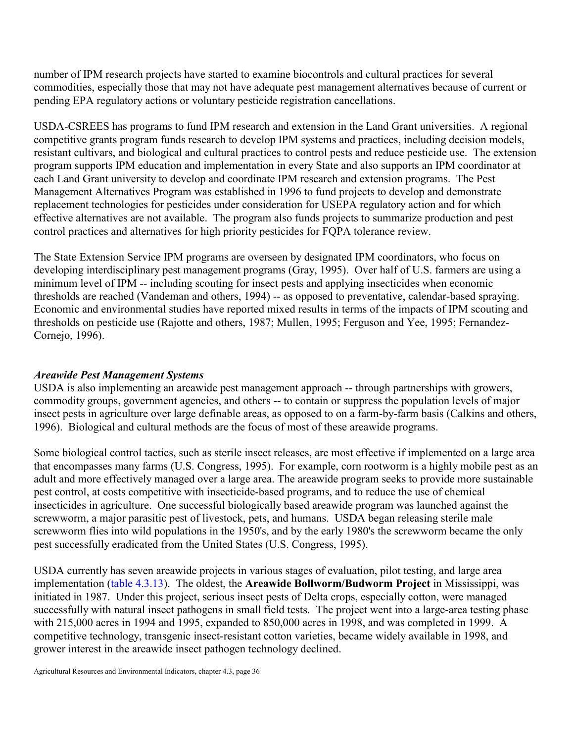number of IPM research projects have started to examine biocontrols and cultural practices for several commodities, especially those that may not have adequate pest management alternatives because of current or pending EPA regulatory actions or voluntary pesticide registration cancellations.

USDA-CSREES has programs to fund IPM research and extension in the Land Grant universities. A regional competitive grants program funds research to develop IPM systems and practices, including decision models, resistant cultivars, and biological and cultural practices to control pests and reduce pesticide use. The extension program supports IPM education and implementation in every State and also supports an IPM coordinator at each Land Grant university to develop and coordinate IPM research and extension programs. The Pest Management Alternatives Program was established in 1996 to fund projects to develop and demonstrate replacement technologies for pesticides under consideration for USEPA regulatory action and for which effective alternatives are not available. The program also funds projects to summarize production and pest control practices and alternatives for high priority pesticides for FQPA tolerance review.

The State Extension Service IPM programs are overseen by designated IPM coordinators, who focus on developing interdisciplinary pest management programs (Gray, 1995). Over half of U.S. farmers are using a minimum level of IPM -- including scouting for insect pests and applying insecticides when economic thresholds are reached (Vandeman and others, 1994) -- as opposed to preventative, calendar-based spraying. Economic and environmental studies have reported mixed results in terms of the impacts of IPM scouting and thresholds on pesticide use (Rajotte and others, 1987; Mullen, 1995; Ferguson and Yee, 1995; Fernandez-Cornejo, 1996).

# *Areawide Pest Management Systems*

USDA is also implementing an areawide pest management approach -- through partnerships with growers, commodity groups, government agencies, and others -- to contain or suppress the population levels of major insect pests in agriculture over large definable areas, as opposed to on a farm-by-farm basis (Calkins and others, 1996). Biological and cultural methods are the focus of most of these areawide programs.

Some biological control tactics, such as sterile insect releases, are most effective if implemented on a large area that encompasses many farms (U.S. Congress, 1995). For example, corn rootworm is a highly mobile pest as an adult and more effectively managed over a large area. The areawide program seeks to provide more sustainable pest control, at costs competitive with insecticide-based programs, and to reduce the use of chemical insecticides in agriculture. One successful biologically based areawide program was launched against the screwworm, a major parasitic pest of livestock, pets, and humans. USDA began releasing sterile male screwworm flies into wild populations in the 1950's, and by the early 1980's the screwworm became the only pest successfully eradicated from the United States (U.S. Congress, 1995).

USDA currently has seven areawide projects in various stages of evaluation, pilot testing, and large area implementation [\(table 4.3.13\).](#page-39-0) The oldest, the **Areawide Bollworm/Budworm Project** in Mississippi, was initiated in 1987. Under this project, serious insect pests of Delta crops, especially cotton, were managed successfully with natural insect pathogens in small field tests. The project went into a large-area testing phase with 215,000 acres in 1994 and 1995, expanded to 850,000 acres in 1998, and was completed in 1999. A competitive technology, transgenic insect-resistant cotton varieties, became widely available in 1998, and grower interest in the areawide insect pathogen technology declined.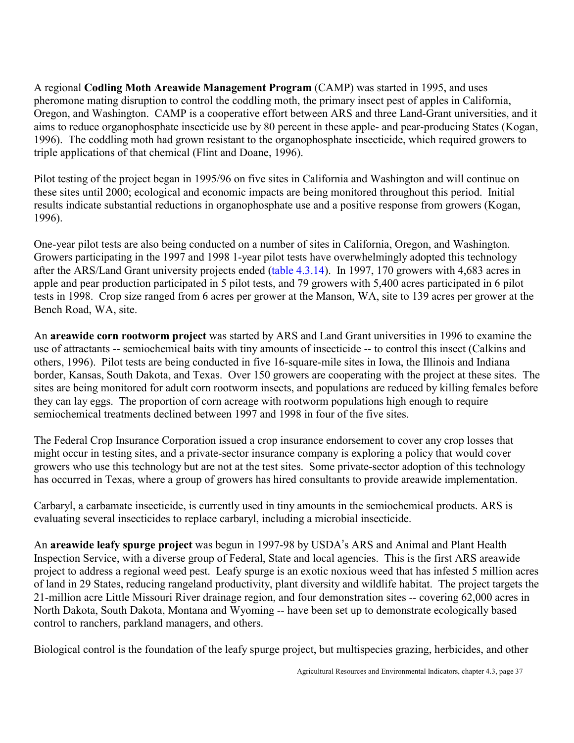A regional **Codling Moth Areawide Management Program** (CAMP) was started in 1995, and uses pheromone mating disruption to control the coddling moth, the primary insect pest of apples in California, Oregon, and Washington. CAMP is a cooperative effort between ARS and three Land-Grant universities, and it aims to reduce organophosphate insecticide use by 80 percent in these apple- and pear-producing States (Kogan, 1996). The coddling moth had grown resistant to the organophosphate insecticide, which required growers to triple applications of that chemical (Flint and Doane, 1996).

Pilot testing of the project began in 1995/96 on five sites in California and Washington and will continue on these sites until 2000; ecological and economic impacts are being monitored throughout this period. Initial results indicate substantial reductions in organophosphate use and a positive response from growers (Kogan, 1996).

One-year pilot tests are also being conducted on a number of sites in California, Oregon, and Washington. Growers participating in the 1997 and 1998 1-year pilot tests have overwhelmingly adopted this technology after the ARS/Land Grant university projects ende[d \(table 4.3.14\).](#page-40-0) In 1997, 170 growers with 4,683 acres in apple and pear production participated in 5 pilot tests, and 79 growers with 5,400 acres participated in 6 pilot tests in 1998. Crop size ranged from 6 acres per grower at the Manson, WA, site to 139 acres per grower at the Bench Road, WA, site.

An **areawide corn rootworm project** was started by ARS and Land Grant universities in 1996 to examine the use of attractants -- semiochemical baits with tiny amounts of insecticide -- to control this insect (Calkins and others, 1996). Pilot tests are being conducted in five 16-square-mile sites in Iowa, the Illinois and Indiana border, Kansas, South Dakota, and Texas. Over 150 growers are cooperating with the project at these sites. The sites are being monitored for adult corn rootworm insects, and populations are reduced by killing females before they can lay eggs. The proportion of corn acreage with rootworm populations high enough to require semiochemical treatments declined between 1997 and 1998 in four of the five sites.

The Federal Crop Insurance Corporation issued a crop insurance endorsement to cover any crop losses that might occur in testing sites, and a private-sector insurance company is exploring a policy that would cover growers who use this technology but are not at the test sites. Some private-sector adoption of this technology has occurred in Texas, where a group of growers has hired consultants to provide areawide implementation.

Carbaryl, a carbamate insecticide, is currently used in tiny amounts in the semiochemical products. ARS is evaluating several insecticides to replace carbaryl, including a microbial insecticide.

An **areawide leafy spurge project** was begun in 1997-98 by USDA's ARS and Animal and Plant Health Inspection Service, with a diverse group of Federal, State and local agencies. This is the first ARS areawide project to address a regional weed pest. Leafy spurge is an exotic noxious weed that has infested 5 million acres of land in 29 States, reducing rangeland productivity, plant diversity and wildlife habitat. The project targets the 21-million acre Little Missouri River drainage region, and four demonstration sites -- covering 62,000 acres in North Dakota, South Dakota, Montana and Wyoming -- have been set up to demonstrate ecologically based control to ranchers, parkland managers, and others.

Biological control is the foundation of the leafy spurge project, but multispecies grazing, herbicides, and other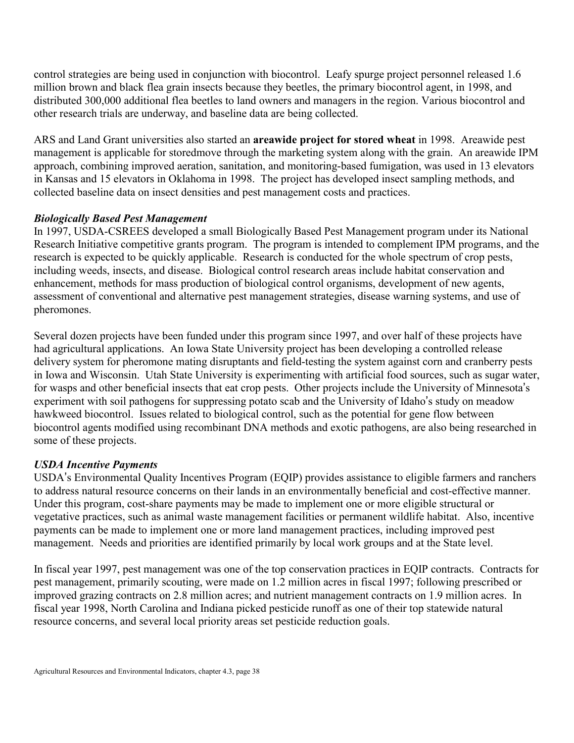control strategies are being used in conjunction with biocontrol. Leafy spurge project personnel released 1.6 million brown and black flea grain insects because they beetles, the primary biocontrol agent, in 1998, and distributed 300,000 additional flea beetles to land owners and managers in the region. Various biocontrol and other research trials are underway, and baseline data are being collected.

ARS and Land Grant universities also started an **areawide project for stored wheat** in 1998. Areawide pest management is applicable for storedmove through the marketing system along with the grain. An areawide IPM approach, combining improved aeration, sanitation, and monitoring-based fumigation, was used in 13 elevators in Kansas and 15 elevators in Oklahoma in 1998. The project has developed insect sampling methods, and collected baseline data on insect densities and pest management costs and practices.

#### *Biologically Based Pest Management*

In 1997, USDA-CSREES developed a small Biologically Based Pest Management program under its National Research Initiative competitive grants program. The program is intended to complement IPM programs, and the research is expected to be quickly applicable. Research is conducted for the whole spectrum of crop pests, including weeds, insects, and disease. Biological control research areas include habitat conservation and enhancement, methods for mass production of biological control organisms, development of new agents, assessment of conventional and alternative pest management strategies, disease warning systems, and use of pheromones.

Several dozen projects have been funded under this program since 1997, and over half of these projects have had agricultural applications. An Iowa State University project has been developing a controlled release delivery system for pheromone mating disruptants and field-testing the system against corn and cranberry pests in Iowa and Wisconsin. Utah State University is experimenting with artificial food sources, such as sugar water, for wasps and other beneficial insects that eat crop pests. Other projects include the University of Minnesota's experiment with soil pathogens for suppressing potato scab and the University of Idaho's study on meadow hawkweed biocontrol. Issues related to biological control, such as the potential for gene flow between biocontrol agents modified using recombinant DNA methods and exotic pathogens, are also being researched in some of these projects.

#### *USDA Incentive Payments*

USDA's Environmental Quality Incentives Program (EQIP) provides assistance to eligible farmers and ranchers to address natural resource concerns on their lands in an environmentally beneficial and cost-effective manner. Under this program, cost-share payments may be made to implement one or more eligible structural or vegetative practices, such as animal waste management facilities or permanent wildlife habitat. Also, incentive payments can be made to implement one or more land management practices, including improved pest management. Needs and priorities are identified primarily by local work groups and at the State level.

In fiscal year 1997, pest management was one of the top conservation practices in EQIP contracts. Contracts for pest management, primarily scouting, were made on 1.2 million acres in fiscal 1997; following prescribed or improved grazing contracts on 2.8 million acres; and nutrient management contracts on 1.9 million acres. In fiscal year 1998, North Carolina and Indiana picked pesticide runoff as one of their top statewide natural resource concerns, and several local priority areas set pesticide reduction goals.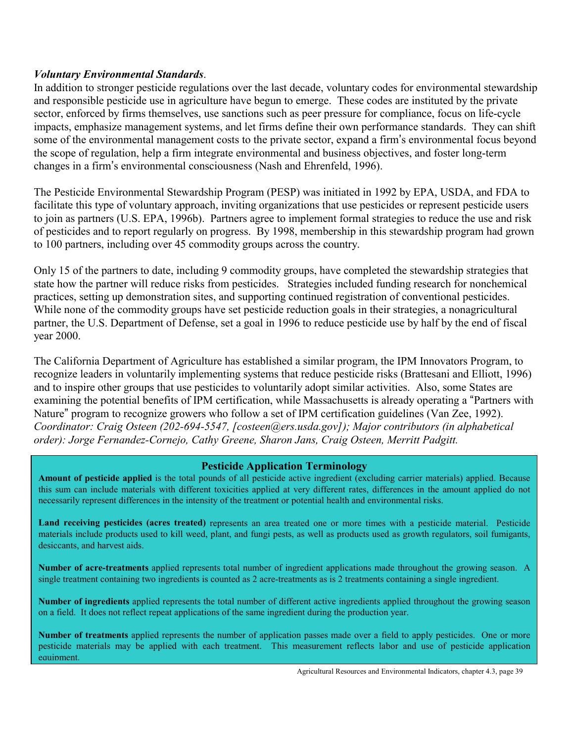#### *Voluntary Environmental Standards*.

In addition to stronger pesticide regulations over the last decade, voluntary codes for environmental stewardship and responsible pesticide use in agriculture have begun to emerge. These codes are instituted by the private sector, enforced by firms themselves, use sanctions such as peer pressure for compliance, focus on life-cycle impacts, emphasize management systems, and let firms define their own performance standards. They can shift some of the environmental management costs to the private sector, expand a firm's environmental focus beyond the scope of regulation, help a firm integrate environmental and business objectives, and foster long-term changes in a firm's environmental consciousness (Nash and Ehrenfeld, 1996).

The Pesticide Environmental Stewardship Program (PESP) was initiated in 1992 by EPA, USDA, and FDA to facilitate this type of voluntary approach, inviting organizations that use pesticides or represent pesticide users to join as partners (U.S. EPA, 1996b). Partners agree to implement formal strategies to reduce the use and risk of pesticides and to report regularly on progress. By 1998, membership in this stewardship program had grown to 100 partners, including over 45 commodity groups across the country.

Only 15 of the partners to date, including 9 commodity groups, have completed the stewardship strategies that state how the partner will reduce risks from pesticides. Strategies included funding research for nonchemical practices, setting up demonstration sites, and supporting continued registration of conventional pesticides. While none of the commodity groups have set pesticide reduction goals in their strategies, a nonagricultural partner, the U.S. Department of Defense, set a goal in 1996 to reduce pesticide use by half by the end of fiscal year 2000.

The California Department of Agriculture has established a similar program, the IPM Innovators Program, to recognize leaders in voluntarily implementing systems that reduce pesticide risks (Brattesani and Elliott, 1996) and to inspire other groups that use pesticides to voluntarily adopt similar activities. Also, some States are examining the potential benefits of IPM certification, while Massachusetts is already operating a "Partners with Nature" program to recognize growers who follow a set of IPM certification guidelines (Van Zee, 1992). *Coordinator: Craig Osteen (202-694-5547, [costeen@ers.usda.gov]); Major contributors (in alphabetical order): Jorge Fernandez-Cornejo, Cathy Greene, Sharon Jans, Craig Osteen, Merritt Padgitt.* 

#### **Pesticide Application Terminology**

**Amount of pesticide applied** is the total pounds of all pesticide active ingredient (excluding carrier materials) applied. Because this sum can include materials with different toxicities applied at very different rates, differences in the amount applied do not necessarily represent differences in the intensity of the treatment or potential health and environmental risks.

**Land receiving pesticides (acres treated)** represents an area treated one or more times with a pesticide material. Pesticide materials include products used to kill weed, plant, and fungi pests, as well as products used as growth regulators, soil fumigants, desiccants, and harvest aids.

**Number of acre-treatments** applied represents total number of ingredient applications made throughout the growing season. A single treatment containing two ingredients is counted as 2 acre-treatments as is 2 treatments containing a single ingredient.

**Number of ingredients** applied represents the total number of different active ingredients applied throughout the growing season on a field. It does not reflect repeat applications of the same ingredient during the production year.

**Number of treatments** applied represents the number of application passes made over a field to apply pesticides. One or more pesticide materials may be applied with each treatment. This measurement reflects labor and use of pesticide application equipment.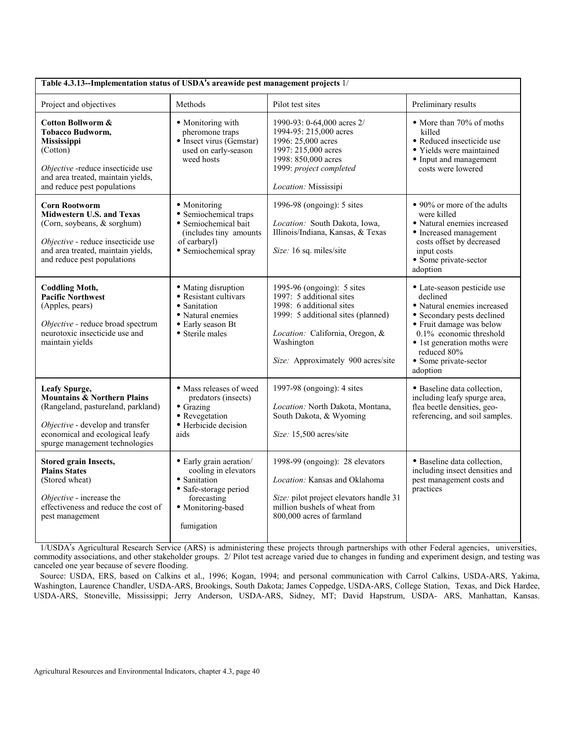<span id="page-39-0"></span>

| Table 4.3.13--Implementation status of USDA's areawide pest management projects 1/                                                                                                                     |                                                                                                                                             |                                                                                                                                                                                                                 |                                                                                                                                                                                                                                                |  |  |  |
|--------------------------------------------------------------------------------------------------------------------------------------------------------------------------------------------------------|---------------------------------------------------------------------------------------------------------------------------------------------|-----------------------------------------------------------------------------------------------------------------------------------------------------------------------------------------------------------------|------------------------------------------------------------------------------------------------------------------------------------------------------------------------------------------------------------------------------------------------|--|--|--|
| Project and objectives                                                                                                                                                                                 | Methods                                                                                                                                     | Pilot test sites                                                                                                                                                                                                | Preliminary results                                                                                                                                                                                                                            |  |  |  |
| <b>Cotton Bollworm &amp;</b><br><b>Tobacco Budworm,</b><br>Mississippi<br>(Cotton)<br>Objective -reduce insecticide use<br>and area treated, maintain yields,<br>and reduce pest populations           | • Monitoring with<br>pheromone traps<br>$\bullet$ Insect virus (Gemstar)<br>used on early-season<br>weed hosts                              | 1990-93: 0-64,000 acres 2/<br>1994-95: 215,000 acres<br>1996: 25,000 acres<br>1997: 215,000 acres<br>1998: 850,000 acres<br>1999: project completed<br>Location: Mississipi                                     | • More than 70% of moths<br>killed<br>· Reduced insecticide use<br>• Yields were maintained<br>• Input and management<br>costs were lowered                                                                                                    |  |  |  |
| <b>Corn Rootworm</b><br><b>Midwestern U.S. and Texas</b><br>(Corn, soybeans, & sorghum)<br>Objective - reduce insecticide use<br>and area treated, maintain yields,<br>and reduce pest populations     | · Monitoring<br>• Semiochemical traps<br>· Semiochemical bait<br>(includes tiny amounts<br>of carbaryl)<br>• Semiochemical spray            | 1996-98 (ongoing): 5 sites<br>Location: South Dakota, Iowa,<br>Illinois/Indiana, Kansas, & Texas<br>Size: 16 sq. miles/site                                                                                     | • 90% or more of the adults<br>were killed<br>• Natural enemies increased<br>• Increased management<br>costs offset by decreased<br>input costs<br>• Some private-sector<br>adoption                                                           |  |  |  |
| <b>Coddling Moth,</b><br><b>Pacific Northwest</b><br>(Apples, pears)<br>Objective - reduce broad spectrum<br>neurotoxic insecticide use and<br>maintain yields                                         | · Mating disruption<br>• Resistant cultivars<br>• Sanitation<br>· Natural enemies<br>• Early season Bt<br>• Sterile males                   | 1995-96 (ongoing): 5 sites<br>1997: 5 additional sites<br>1998: 6 additional sites<br>1999: 5 additional sites (planned)<br>Location: California, Oregon, &<br>Washington<br>Size: Approximately 900 acres/site | · Late-season pesticide use<br>declined<br>• Natural enemies increased<br>• Secondary pests declined<br>• Fruit damage was below<br>0.1% economic threshold<br>• 1st generation moths were<br>reduced 80%<br>• Some private-sector<br>adoption |  |  |  |
| Leafy Spurge,<br><b>Mountains &amp; Northern Plains</b><br>(Rangeland, pastureland, parkland)<br>Objective - develop and transfer<br>economical and ecological leafy<br>spurge management technologies | • Mass releases of weed<br>predators (insects)<br>$\bullet$ Grazing<br>• Revegetation<br>· Herbicide decision<br>aids                       | 1997-98 (ongoing): 4 sites<br>Location: North Dakota, Montana,<br>South Dakota, & Wyoming<br>Size: 15,500 acres/site                                                                                            | · Baseline data collection,<br>including leafy spurge area,<br>flea beetle densities, geo-<br>referencing, and soil samples.                                                                                                                   |  |  |  |
| <b>Stored grain Insects,</b><br><b>Plains States</b><br>(Stored wheat)<br>Objective - increase the<br>effectiveness and reduce the cost of<br>pest management                                          | • Early grain aeration/<br>cooling in elevators<br>· Sanitation<br>• Safe-storage period<br>forecasting<br>· Monitoring-based<br>fumigation | 1998-99 (ongoing): 28 elevators<br>Location: Kansas and Oklahoma<br>Size: pilot project elevators handle 31<br>million bushels of wheat from<br>800,000 acres of farmland                                       | · Baseline data collection,<br>including insect densities and<br>pest management costs and<br>practices                                                                                                                                        |  |  |  |

 1/USDA=s Agricultural Research Service (ARS) is administering these projects through partnerships with other Federal agencies, universities, commodity associations, and other stakeholder groups. 2/ Pilot test acreage varied due to changes in funding and experiment design, and testing was canceled one year because of severe flooding.

 Source: USDA, ERS, based on Calkins et al., 1996; Kogan, 1994; and personal communication with Carrol Calkins, USDA-ARS, Yakima, Washington, Laurence Chandler, USDA-ARS, Brookings, South Dakota; James Coppedge, USDA-ARS, College Station, Texas, and Dick Hardee, USDA-ARS, Stoneville, Mississippi; Jerry Anderson, USDA-ARS, Sidney, MT; David Hapstrum, USDA- ARS, Manhattan, Kansas.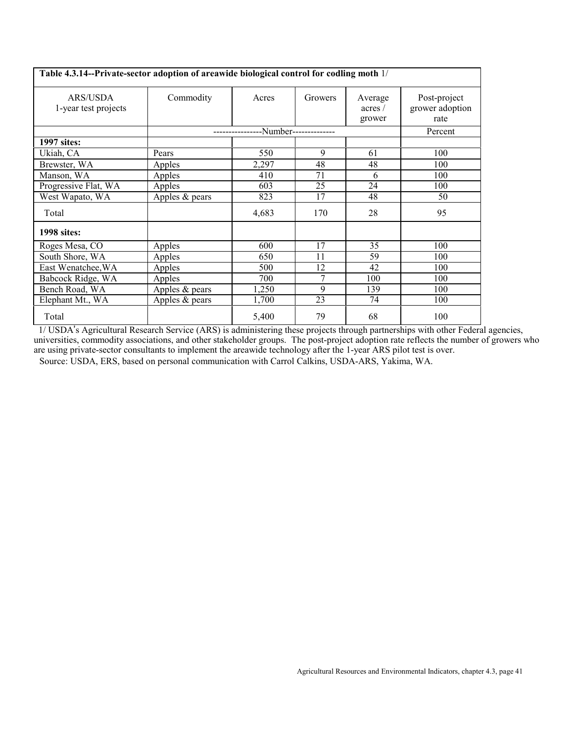<span id="page-40-0"></span>

| Table 4.3.14--Private-sector adoption of areawide biological control for codling moth 1/ |                  |       |                       |                             |                                         |  |  |
|------------------------------------------------------------------------------------------|------------------|-------|-----------------------|-----------------------------|-----------------------------------------|--|--|
| <b>ARS/USDA</b><br>1-year test projects                                                  | Commodity        | Acres | Growers               | Average<br>acres/<br>grower | Post-project<br>grower adoption<br>rate |  |  |
|                                                                                          |                  |       | -Number-------------- |                             | Percent                                 |  |  |
| 1997 sites:                                                                              |                  |       |                       |                             |                                         |  |  |
| Ukiah, CA                                                                                | Pears            | 550   | 9                     | 61                          | 100                                     |  |  |
| Brewster, WA                                                                             | Apples           | 2,297 | 48                    | 48                          | 100                                     |  |  |
| Manson, WA                                                                               | Apples           | 410   | 71                    | 6                           | 100                                     |  |  |
| Progressive Flat, WA                                                                     | Apples           | 603   | 25                    | 24                          | 100                                     |  |  |
| West Wapato, WA                                                                          | Apples $&$ pears | 823   | 17                    | 48                          | 50                                      |  |  |
| Total                                                                                    |                  | 4,683 | 170                   | 28                          | 95                                      |  |  |
| <b>1998</b> sites:                                                                       |                  |       |                       |                             |                                         |  |  |
| Roges Mesa, CO                                                                           | Apples           | 600   | 17                    | 35                          | 100                                     |  |  |
| South Shore, WA                                                                          | Apples           | 650   | 11                    | 59                          | 100                                     |  |  |
| East Wenatchee, WA                                                                       | Apples           | 500   | 12                    | 42                          | 100                                     |  |  |
| Babcock Ridge, WA                                                                        | Apples           | 700   | 7                     | 100                         | 100                                     |  |  |
| Bench Road, WA                                                                           | Apples & pears   | 1,250 | 9                     | 139                         | 100                                     |  |  |
| Elephant Mt., WA                                                                         | Apples $&$ pears | 1,700 | 23                    | 74                          | 100                                     |  |  |
| Total                                                                                    |                  | 5,400 | 79                    | 68                          | 100                                     |  |  |

1/ USDA's Agricultural Research Service (ARS) is administering these projects through partnerships with other Federal agencies, universities, commodity associations, and other stakeholder groups. The post-project adoption rate reflects the number of growers who are using private-sector consultants to implement the areawide technology after the 1-year ARS pilot test is over. Source: USDA, ERS, based on personal communication with Carrol Calkins, USDA-ARS, Yakima, WA.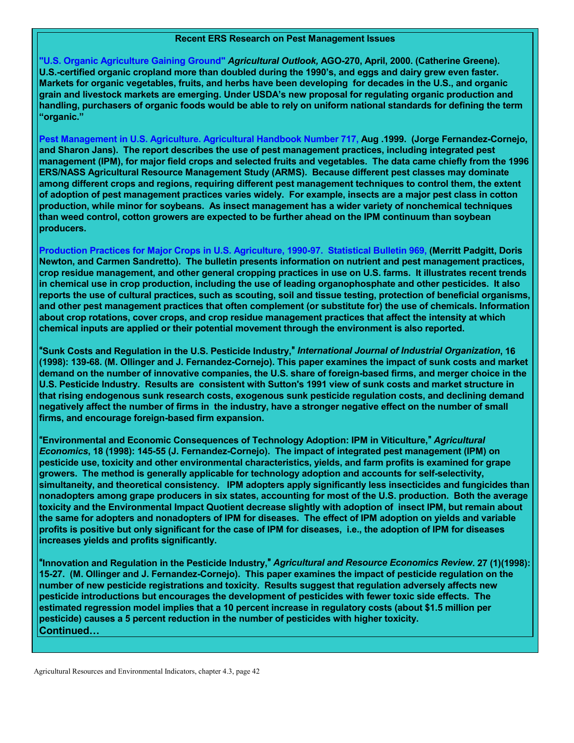#### **Recent ERS Research on Pest Management Issues**

**"U.S. Organic [Agriculture Gaining Ground"](http://www.ers.usda.gov/publications/agoutlook/apr2000/ao270d.pdf)** *Agricultural Outlook,* **AGO-270, April, 2000. (Catherine Greene). U.S.-certified organic cropland more than doubled during the 1990ís, and eggs and dairy grew even faster. Markets for organic vegetables, fruits, and herbs have been developing for decades in the U.S., and organic grain and livestock markets are emerging. Under USDAís new proposal for regulating organic production and handling, purchasers of organic foods would be able to rely on uniform national standards for defining the term ìorganic.î**

**Pest Management in U.S. [Agriculture. Agricultural Handbook Number 717,](http://www.ers.usda.gov/publications/ah717/) Aug .1999. (Jorge Fernandez-Cornejo, and Sharon Jans). The report describes the use of pest management practices, including integrated pest management (IPM), for major field crops and selected fruits and vegetables. The data came chiefly from the 1996 ERS/NASS Agricultural Resource Management Study (ARMS). Because different pest classes may dominate among different crops and regions, requiring different pest management techniques to control them, the extent of adoption of pest management practices varies widely. For example, insects are a major pest class in cotton production, while minor for soybeans. As insect management has a wider variety of nonchemical techniques than weed control, cotton growers are expected to be further ahead on the IPM continuum than soybean producers.**

**[Production Practices for Major Crops in U.S. Agriculture, 1990-97. Statistical Bulletin 969,](http://www.ers.usda.gov/publications/sb969/) (Merritt Padgitt, Doris Newton, and Carmen Sandretto). The bulletin presents information on nutrient and pest management practices, crop residue management, and other general cropping practices in use on U.S. farms. It illustrates recent trends in chemical use in crop production, including the use of leading organophosphate and other pesticides. It also reports the use of cultural practices, such as scouting, soil and tissue testing, protection of beneficial organisms, and other pest management practices that often complement (or substitute for) the use of chemicals. Information about crop rotations, cover crops, and crop residue management practices that affect the intensity at which chemical inputs are applied or their potential movement through the environment is also reported.**

A**Sunk Costs and Regulation in the U.S. Pesticide Industry,**@ *International Journal of Industrial Organization***, 16 (1998): 139-68. (M. Ollinger and J. Fernandez-Cornejo). This paper examines the impact of sunk costs and market demand on the number of innovative companies, the U.S. share of foreign-based firms, and merger choice in the U.S. Pesticide Industry. Results are consistent with Sutton's 1991 view of sunk costs and market structure in that rising endogenous sunk research costs, exogenous sunk pesticide regulation costs, and declining demand negatively affect the number of firms in the industry, have a stronger negative effect on the number of small firms, and encourage foreign-based firm expansion.**

A**Environmental and Economic Consequences of Technology Adoption: IPM in Viticulture,**@ *Agricultural Economics***, 18 (1998): 145-55 (J. Fernandez-Cornejo). The impact of integrated pest management (IPM) on pesticide use, toxicity and other environmental characteristics, yields, and farm profits is examined for grape growers. The method is generally applicable for technology adoption and accounts for self-selectivity, simultaneity, and theoretical consistency. IPM adopters apply significantly less insecticides and fungicides than nonadopters among grape producers in six states, accounting for most of the U.S. production. Both the average toxicity and the Environmental Impact Quotient decrease slightly with adoption of insect IPM, but remain about the same for adopters and nonadopters of IPM for diseases. The effect of IPM adoption on yields and variable profits is positive but only significant for the case of IPM for diseases, i.e., the adoption of IPM for diseases increases yields and profits significantly.** 

A**Innovation and Regulation in the Pesticide Industry,**@ *Agricultural and Resource Economics Review***. 27 (1)(1998): 15-27. (M. Ollinger and J. Fernandez-Cornejo). This paper examines the impact of pesticide regulation on the number of new pesticide registrations and toxicity. Results suggest that regulation adversely affects new pesticide introductions but encourages the development of pesticides with fewer toxic side effects. The estimated regression model implies that a 10 percent increase in regulatory costs (about \$1.5 million per pesticide) causes a 5 percent reduction in the number of pesticides with higher toxicity.** Continued...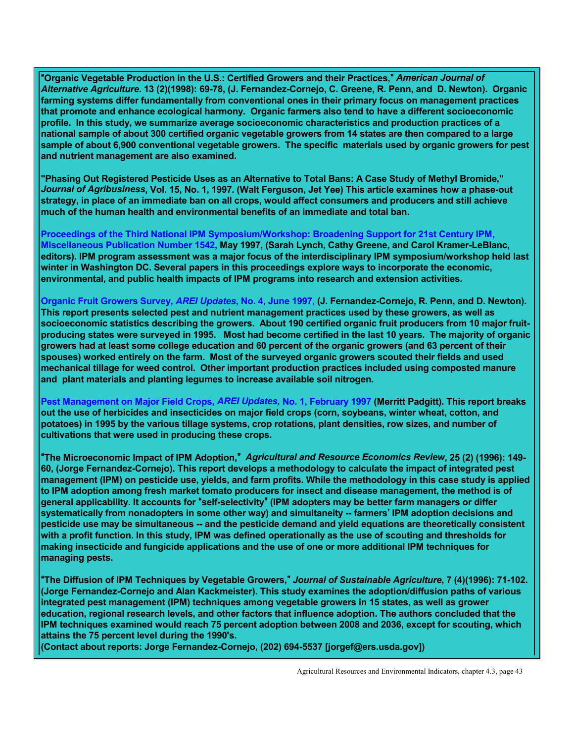A**Organic Vegetable Production in the U.S.: Certified Growers and their Practices,**@ *American Journal of Alternative Agriculture***. 13 (2)(1998): 69-78, (J. Fernandez-Cornejo, C. Greene, R. Penn, and D. Newton). Organic farming systems differ fundamentally from conventional ones in their primary focus on management practices that promote and enhance ecological harmony. Organic farmers also tend to have a different socioeconomic profile. In this study, we summarize average socioeconomic characteristics and production practices of a national sample of about 300 certified organic vegetable growers from 14 states are then compared to a large sample of about 6,900 conventional vegetable growers. The specific materials used by organic growers for pest and nutrient management are also examined.** 

**"Phasing Out Registered Pesticide Uses as an Alternative to Total Bans: A Case Study of Methyl Bromide,"** *Journal of Agribusiness***, Vol. 15, No. 1, 1997. (Walt Ferguson, Jet Yee) This article examines how a phase-out strategy, in place of an immediate ban on all crops, would affect consumers and producers and still achieve much of the human health and environmental benefits of an immediate and total ban.**

**Proceedings of the Third National IPM [Symposium/Workshop: Broadening Support for 21st Century IPM,](http://www.ers.usda.gov/publications/mp1542/) [Miscellaneous Publication Number 1542,](http://www.ers.usda.gov/publications/mp1542/) May 1997, (Sarah Lynch, Cathy Greene, and Carol Kramer-LeBlanc, editors). IPM program assessment was a major focus of the interdisciplinary IPM symposium/workshop held last winter in Washington DC. Several papers in this proceedings explore ways to incorporate the economic, environmental, and public health impacts of IPM programs into research and extension activities.**

**[Organic Fruit Growers](http://www.ers.usda.gov/publications/arei/97upd/upd97-4.pdf) Survey,** *AREI Updates***, No. 4, June 1997, (J. Fernandez-Cornejo, R. Penn, and D. Newton). This report presents selected pest and nutrient management practices used by these growers, as well as socioeconomic statistics describing the growers. About 190 certified organic fruit producers from 10 major fruitproducing states were surveyed in 1995. Most had become certified in the last 10 years. The majority of organic growers had at least some college education and 60 percent of the organic growers (and 63 percent of their spouses) worked entirely on the farm. Most of the surveyed organic growers scouted their fields and used mechanical tillage for weed control. Other important production practices included using composted manure and plant materials and planting legumes to increase available soil nitrogen.**

**Pest [Management on Major Field Crops,](http://www.ers.usda.gov/publications/arei/97upd/upd97-1.pdf)** *AREI Updates,* **No. 1, February 1997 (Merritt Padgitt). This report breaks out the use of herbicides and insecticides on major field crops (corn, soybeans, winter wheat, cotton, and potatoes) in 1995 by the various tillage systems, crop rotations, plant densities, row sizes, and number of cultivations that were used in producing these crops.** 

A**The Microeconomic Impact of IPM Adoption,**@ *Agricultural and Resource Economics Review***, 25 (2) (1996): 149- 60, (Jorge Fernandez-Cornejo). This report develops a methodology to calculate the impact of integrated pest management (IPM) on pesticide use, yields, and farm profits. While the methodology in this case study is applied to IPM adoption among fresh market tomato producers for insect and disease management, the method is of general applicability. It accounts for "self-selectivity" (IPM adopters may be better farm managers or differ systematically from nonadopters in some other way) and simultaneity -- farmers' IPM adoption decisions and pesticide use may be simultaneous -- and the pesticide demand and yield equations are theoretically consistent with a profit function. In this study, IPM was defined operationally as the use of scouting and thresholds for making insecticide and fungicide applications and the use of one or more additional IPM techniques for managing pests.**

A**The Diffusion of IPM Techniques by Vegetable Growers,**@ *Journal of Sustainable Agriculture***, 7 (4)(1996): 71-102. (Jorge Fernandez-Cornejo and Alan Kackmeister). This study examines the adoption/diffusion paths of various integrated pest management (IPM) techniques among vegetable growers in 15 states, as well as grower education, regional research levels, and other factors that influence adoption. The authors concluded that the IPM techniques examined would reach 75 percent adoption between 2008 and 2036, except for scouting, which attains the 75 percent level during the 1990's.**

**(Contact about reports: Jorge Fernandez-Cornejo, (202) 694-5537 [jorgef@ers.usda.gov])**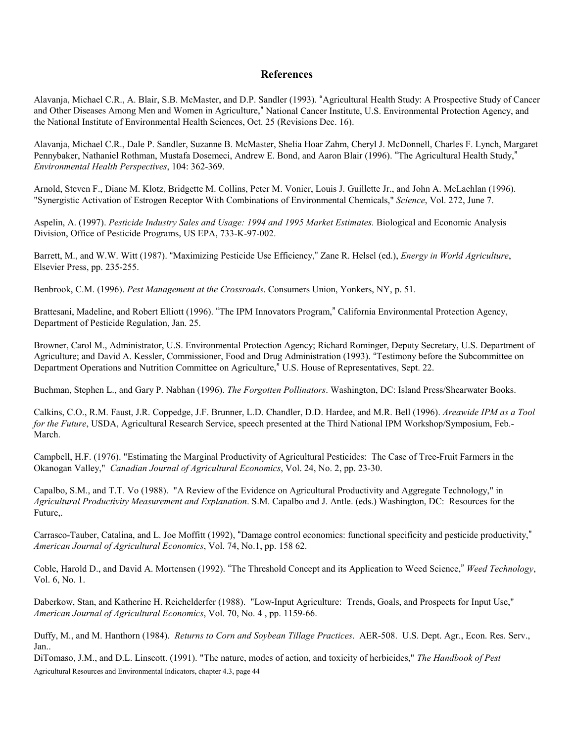#### **References**

<span id="page-43-0"></span>Alavanja, Michael C.R., A. Blair, S.B. McMaster, and D.P. Sandler (1993). "Agricultural Health Study: A Prospective Study of Cancer and Other Diseases Among Men and Women in Agriculture," National Cancer Institute, U.S. Environmental Protection Agency, and the National Institute of Environmental Health Sciences, Oct. 25 (Revisions Dec. 16).

Alavanja, Michael C.R., Dale P. Sandler, Suzanne B. McMaster, Shelia Hoar Zahm, Cheryl J. McDonnell, Charles F. Lynch, Margaret Pennybaker, Nathaniel Rothman, Mustafa Dosemeci, Andrew E. Bond, and Aaron Blair (1996). "The Agricultural Health Study," *Environmental Health Perspectives*, 104: 362-369.

Arnold, Steven F., Diane M. Klotz, Bridgette M. Collins, Peter M. Vonier, Louis J. Guillette Jr., and John A. McLachlan (1996). "Synergistic Activation of Estrogen Receptor With Combinations of Environmental Chemicals," *Science*, Vol. 272, June 7.

Aspelin, A. (1997). *Pesticide Industry Sales and Usage: 1994 and 1995 Market Estimates.* Biological and Economic Analysis Division, Office of Pesticide Programs, US EPA, 733-K-97-002.

Barrett, M., and W.W. Witt (1987). "Maximizing Pesticide Use Efficiency," Zane R. Helsel (ed.), *Energy in World Agriculture*, Elsevier Press, pp. 235-255.

Benbrook, C.M. (1996). *Pest Management at the Crossroads*. Consumers Union, Yonkers, NY, p. 51.

Brattesani, Madeline, and Robert Elliott (1996). "The IPM Innovators Program," California Environmental Protection Agency, Department of Pesticide Regulation, Jan. 25.

Browner, Carol M., Administrator, U.S. Environmental Protection Agency; Richard Rominger, Deputy Secretary, U.S. Department of Agriculture; and David A. Kessler, Commissioner, Food and Drug Administration (1993). "Testimony before the Subcommittee on Department Operations and Nutrition Committee on Agriculture," U.S. House of Representatives, Sept. 22.

Buchman, Stephen L., and Gary P. Nabhan (1996). *The Forgotten Pollinators*. Washington, DC: Island Press/Shearwater Books.

Calkins, C.O., R.M. Faust, J.R. Coppedge, J.F. Brunner, L.D. Chandler, D.D. Hardee, and M.R. Bell (1996). *Areawide IPM as a Tool for the Future*, USDA, Agricultural Research Service, speech presented at the Third National IPM Workshop/Symposium, Feb.-March.

Campbell, H.F. (1976). "Estimating the Marginal Productivity of Agricultural Pesticides: The Case of Tree-Fruit Farmers in the Okanogan Valley," *Canadian Journal of Agricultural Economics*, Vol. 24, No. 2, pp. 23-30.

Capalbo, S.M., and T.T. Vo (1988). "A Review of the Evidence on Agricultural Productivity and Aggregate Technology," in *Agricultural Productivity Measurement and Explanation*. S.M. Capalbo and J. Antle. (eds.) Washington, DC: Resources for the Future,.

Carrasco-Tauber, Catalina, and L. Joe Moffitt (1992), "Damage control economics: functional specificity and pesticide productivity," *American Journal of Agricultural Economics*, Vol. 74, No.1, pp. 158 62.

Coble, Harold D., and David A. Mortensen (1992). "The Threshold Concept and its Application to Weed Science," Weed Technology, Vol. 6, No. 1.

Daberkow, Stan, and Katherine H. Reichelderfer (1988). "Low-Input Agriculture: Trends, Goals, and Prospects for Input Use," *American Journal of Agricultural Economics*, Vol. 70, No. 4 , pp. 1159-66.

Duffy, M., and M. Hanthorn (1984). *Returns to Corn and Soybean Tillage Practices*. AER-508. U.S. Dept. Agr., Econ. Res. Serv., Jan..

Agricultural Resources and Environmental Indicators, chapter 4.3, page 44 DiTomaso, J.M., and D.L. Linscott. (1991). "The nature, modes of action, and toxicity of herbicides," *The Handbook of Pest*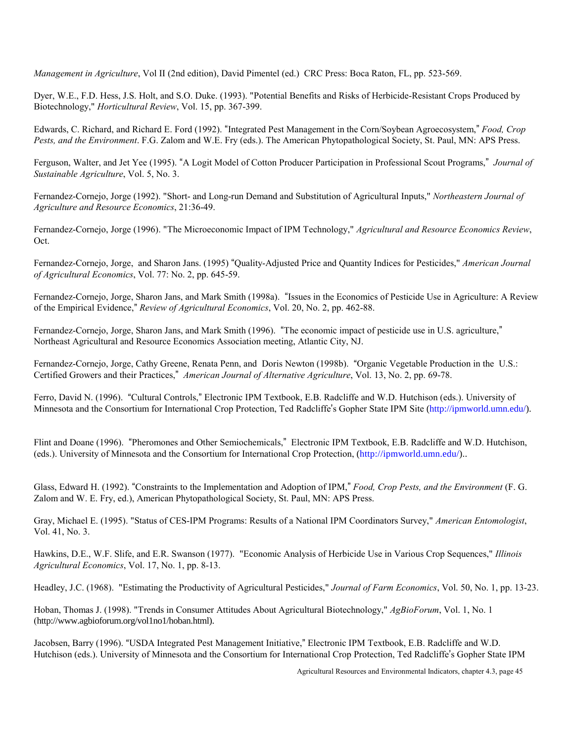*Management in Agriculture*, Vol II (2nd edition), David Pimentel (ed.) CRC Press: Boca Raton, FL, pp. 523-569.

Dyer, W.E., F.D. Hess, J.S. Holt, and S.O. Duke. (1993). "Potential Benefits and Risks of Herbicide-Resistant Crops Produced by Biotechnology," *Horticultural Review*, Vol. 15, pp. 367-399.

Edwards, C. Richard, and Richard E. Ford (1992). "Integrated Pest Management in the Corn/Soybean Agroecosystem," *Food, Crop Pests, and the Environment*. F.G. Zalom and W.E. Fry (eds.). The American Phytopathological Society, St. Paul, MN: APS Press.

Ferguson, Walter, and Jet Yee (1995). "A Logit Model of Cotton Producer Participation in Professional Scout Programs," *Journal of Sustainable Agriculture*, Vol. 5, No. 3.

Fernandez-Cornejo, Jorge (1992). "Short- and Long-run Demand and Substitution of Agricultural Inputs," *Northeastern Journal of Agriculture and Resource Economics*, 21:36-49.

Fernandez-Cornejo, Jorge (1996). "The Microeconomic Impact of IPM Technology," *Agricultural and Resource Economics Review*, Oct.

Fernandez-Cornejo, Jorge, and Sharon Jans. (1995) "Quality-Adjusted Price and Quantity Indices for Pesticides," *American Journal of Agricultural Economics*, Vol. 77: No. 2, pp. 645-59.

Fernandez-Cornejo, Jorge, Sharon Jans, and Mark Smith (1998a). "Issues in the Economics of Pesticide Use in Agriculture: A Review of the Empirical Evidence," Review of Agricultural Economics, Vol. 20, No. 2, pp. 462-88.

Fernandez-Cornejo, Jorge, Sharon Jans, and Mark Smith (1996). "The economic impact of pesticide use in U.S. agriculture," Northeast Agricultural and Resource Economics Association meeting, Atlantic City, NJ.

Fernandez-Cornejo, Jorge, Cathy Greene, Renata Penn, and Doris Newton (1998b). "Organic Vegetable Production in the U.S.: Certified Growers and their Practices," *American Journal of Alternative Agriculture*, Vol. 13, No. 2, pp. 69-78.

Ferro, David N. (1996). "Cultural Controls," Electronic IPM Textbook, E.B. Radcliffe and W.D. Hutchison (eds.). University of Minnesota and the Consortium for International Crop Protection, Ted Radcliffe's Gopher State IPM Site [\(http://ipmworld.umn.edu/\)](http://ipmworld.umn.edu/).

Flint and Doane (1996). "Pheromones and Other Semiochemicals," Electronic IPM Textbook, E.B. Radcliffe and W.D. Hutchison, (eds.). University of Minnesota and the Consortium for International Crop Protection, [\(http://ipmworld.umn.edu/\).](http://ipmworld.umn.edu/).

Glass, Edward H. (1992). "Constraints to the Implementation and Adoption of IPM," Food, Crop Pests, and the Environment (F. G. Zalom and W. E. Fry, ed.), American Phytopathological Society, St. Paul, MN: APS Press.

Gray, Michael E. (1995). "Status of CES-IPM Programs: Results of a National IPM Coordinators Survey," *American Entomologist*, Vol. 41, No. 3.

Hawkins, D.E., W.F. Slife, and E.R. Swanson (1977). "Economic Analysis of Herbicide Use in Various Crop Sequences," *Illinois Agricultural Economics*, Vol. 17, No. 1, pp. 8-13.

Headley, J.C. (1968). "Estimating the Productivity of Agricultural Pesticides," *Journal of Farm Economics*, Vol. 50, No. 1, pp. 13-23.

Hoban, Thomas J. (1998). "Trends in Consumer Attitudes About Agricultural Biotechnology," *AgBioForum*, Vol. 1, No. 1 (http://www.agbioforum.org/vol1no1/hoban.html).

Jacobsen, Barry (1996). "USDA Integrated Pest Management Initiative," Electronic IPM Textbook, E.B. Radcliffe and W.D. Hutchison (eds.). University of Minnesota and the Consortium for International Crop Protection, Ted Radcliffe's Gopher State IPM

Agricultural Resources and Environmental Indicators, chapter 4.3, page 45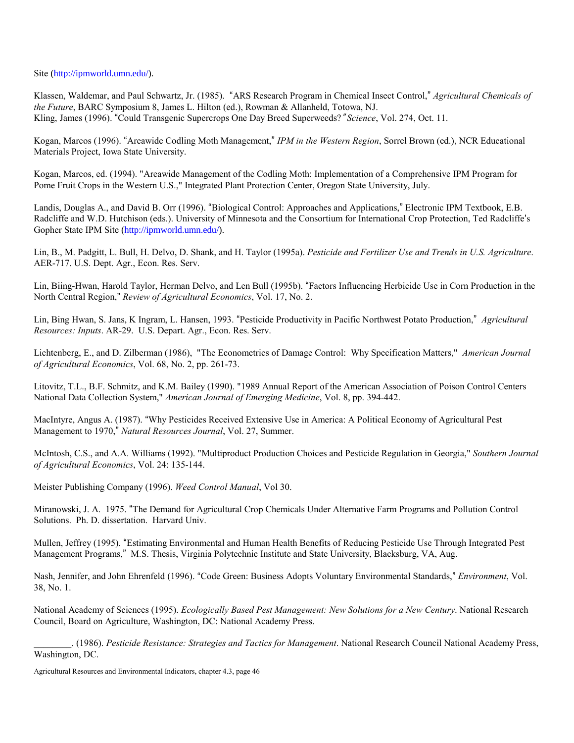Site [\(http://ipmworld.umn.edu/\).](http://ipmworld.umn.edu/)

Klassen, Waldemar, and Paul Schwartz, Jr. (1985). "ARS Research Program in Chemical Insect Control," *Agricultural Chemicals of the Future*, BARC Symposium 8, James L. Hilton (ed.), Rowman & Allanheld, Totowa, NJ. Kling, James (1996). "Could Transgenic Supercrops One Day Breed Superweeds? "Science, Vol. 274, Oct. 11.

Kogan, Marcos (1996). "Areawide Codling Moth Management," *IPM in the Western Region*, Sorrel Brown (ed.), NCR Educational Materials Project, Iowa State University.

Kogan, Marcos, ed. (1994). "Areawide Management of the Codling Moth: Implementation of a Comprehensive IPM Program for Pome Fruit Crops in the Western U.S.," Integrated Plant Protection Center, Oregon State University, July.

Landis, Douglas A., and David B. Orr (1996). "Biological Control: Approaches and Applications," Electronic IPM Textbook, E.B. Radcliffe and W.D. Hutchison (eds.). University of Minnesota and the Consortium for International Crop Protection, Ted Radcliffe's Gopher State IPM Site [\(http://ipmworld.umn.edu/\).](http://ipmworld.umn.edu/)

Lin, B., M. Padgitt, L. Bull, H. Delvo, D. Shank, and H. Taylor (1995a). *Pesticide and Fertilizer Use and Trends in U.S. Agriculture*. AER-717. U.S. Dept. Agr., Econ. Res. Serv.

Lin, Biing-Hwan, Harold Taylor, Herman Delvo, and Len Bull (1995b). "Factors Influencing Herbicide Use in Corn Production in the North Central Region," Review of Agricultural Economics, Vol. 17, No. 2.

Lin, Bing Hwan, S. Jans, K Ingram, L. Hansen, 1993. "Pesticide Productivity in Pacific Northwest Potato Production," *Agricultural Resources: Inputs*. AR-29. U.S. Depart. Agr., Econ. Res. Serv.

Lichtenberg, E., and D. Zilberman (1986), "The Econometrics of Damage Control: Why Specification Matters," *American Journal of Agricultural Economics*, Vol. 68, No. 2, pp. 261-73.

Litovitz, T.L., B.F. Schmitz, and K.M. Bailey (1990). "1989 Annual Report of the American Association of Poison Control Centers National Data Collection System," *American Journal of Emerging Medicine*, Vol. 8, pp. 394-442.

MacIntyre, Angus A. (1987). "Why Pesticides Received Extensive Use in America: A Political Economy of Agricultural Pest Management to 1970," Natural Resources Journal, Vol. 27, Summer.

McIntosh, C.S., and A.A. Williams (1992). "Multiproduct Production Choices and Pesticide Regulation in Georgia," *Southern Journal of Agricultural Economics*, Vol. 24: 135-144.

Meister Publishing Company (1996). *Weed Control Manual*, Vol 30.

Miranowski, J. A. 1975. "The Demand for Agricultural Crop Chemicals Under Alternative Farm Programs and Pollution Control Solutions. Ph. D. dissertation. Harvard Univ.

Mullen, Jeffrey (1995). "Estimating Environmental and Human Health Benefits of Reducing Pesticide Use Through Integrated Pest Management Programs," M.S. Thesis, Virginia Polytechnic Institute and State University, Blacksburg, VA, Aug.

Nash, Jennifer, and John Ehrenfeld (1996). "Code Green: Business Adopts Voluntary Environmental Standards," *Environment*, Vol. 38, No. 1.

National Academy of Sciences (1995). *Ecologically Based Pest Management: New Solutions for a New Century*. National Research Council, Board on Agriculture, Washington, DC: National Academy Press.

\_\_\_\_\_\_\_\_. (1986). *Pesticide Resistance: Strategies and Tactics for Management*. National Research Council National Academy Press, Washington, DC.

Agricultural Resources and Environmental Indicators, chapter 4.3, page 46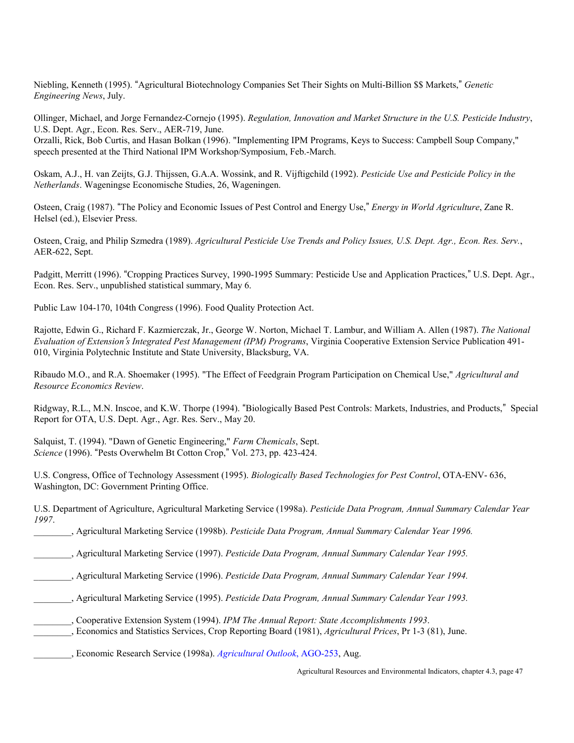Niebling, Kenneth (1995). "Agricultural Biotechnology Companies Set Their Sights on Multi-Billion \$\$ Markets," Genetic *Engineering News*, July.

Ollinger, Michael, and Jorge Fernandez-Cornejo (1995). *Regulation, Innovation and Market Structure in the U.S. Pesticide Industry*, U.S. Dept. Agr., Econ. Res. Serv., AER-719, June.

Orzalli, Rick, Bob Curtis, and Hasan Bolkan (1996). "Implementing IPM Programs, Keys to Success: Campbell Soup Company," speech presented at the Third National IPM Workshop/Symposium, Feb.-March.

Oskam, A.J., H. van Zeijts, G.J. Thijssen, G.A.A. Wossink, and R. Vijftigchild (1992). *Pesticide Use and Pesticide Policy in the Netherlands*. Wageningse Economische Studies, 26, Wageningen.

Osteen, Craig (1987). "The Policy and Economic Issues of Pest Control and Energy Use," *Energy in World Agriculture*, Zane R. Helsel (ed.), Elsevier Press.

Osteen, Craig, and Philip Szmedra (1989). *Agricultural Pesticide Use Trends and Policy Issues, U.S. Dept. Agr., Econ. Res. Serv.*, AER-622, Sept.

Padgitt, Merritt (1996). "Cropping Practices Survey, 1990-1995 Summary: Pesticide Use and Application Practices," U.S. Dept. Agr., Econ. Res. Serv., unpublished statistical summary, May 6.

Public Law 104-170, 104th Congress (1996). Food Quality Protection Act.

Rajotte, Edwin G., Richard F. Kazmierczak, Jr., George W. Norton, Michael T. Lambur, and William A. Allen (1987). *The National Evaluation of Extension*=*s Integrated Pest Management (IPM) Programs*, Virginia Cooperative Extension Service Publication 491- 010, Virginia Polytechnic Institute and State University, Blacksburg, VA.

Ribaudo M.O., and R.A. Shoemaker (1995). "The Effect of Feedgrain Program Participation on Chemical Use," *Agricultural and Resource Economics Review*.

Ridgway, R.L., M.N. Inscoe, and K.W. Thorpe (1994). "Biologically Based Pest Controls: Markets, Industries, and Products," Special Report for OTA, U.S. Dept. Agr., Agr. Res. Serv., May 20.

Salquist, T. (1994). "Dawn of Genetic Engineering," *Farm Chemicals*, Sept. *Science* (1996). "Pests Overwhelm Bt Cotton Crop," Vol. 273, pp. 423-424.

U.S. Congress, Office of Technology Assessment (1995). *Biologically Based Technologies for Pest Control*, OTA-ENV- 636, Washington, DC: Government Printing Office.

U.S. Department of Agriculture, Agricultural Marketing Service (1998a). *Pesticide Data Program, Annual Summary Calendar Year 1997*.

\_\_\_\_\_\_\_\_, Agricultural Marketing Service (1998b). *Pesticide Data Program, Annual Summary Calendar Year 1996.*

\_\_\_\_\_\_\_\_, Agricultural Marketing Service (1997). *Pesticide Data Program, Annual Summary Calendar Year 1995.*

\_\_\_\_\_\_\_\_, Agricultural Marketing Service (1996). *Pesticide Data Program, Annual Summary Calendar Year 1994.*

- \_\_\_\_\_\_\_\_, Agricultural Marketing Service (1995). *Pesticide Data Program, Annual Summary Calendar Year 1993.*
- \_\_\_\_\_\_\_\_, Cooperative Extension System (1994). *IPM The Annual Report: State Accomplishments 1993*.
- \_\_\_\_\_\_\_\_, Economics and Statistics Services, Crop Reporting Board (1981), *Agricultural Prices*, Pr 1-3 (81), June.

\_\_\_\_\_\_\_\_, Economic Research Service (1998a). *[Agricultural Outlook](http://www.ers.usda.gov/publications/agoutlook/aug1998/)*, AGO-253, Aug.

Agricultural Resources and Environmental Indicators, chapter 4.3, page 47